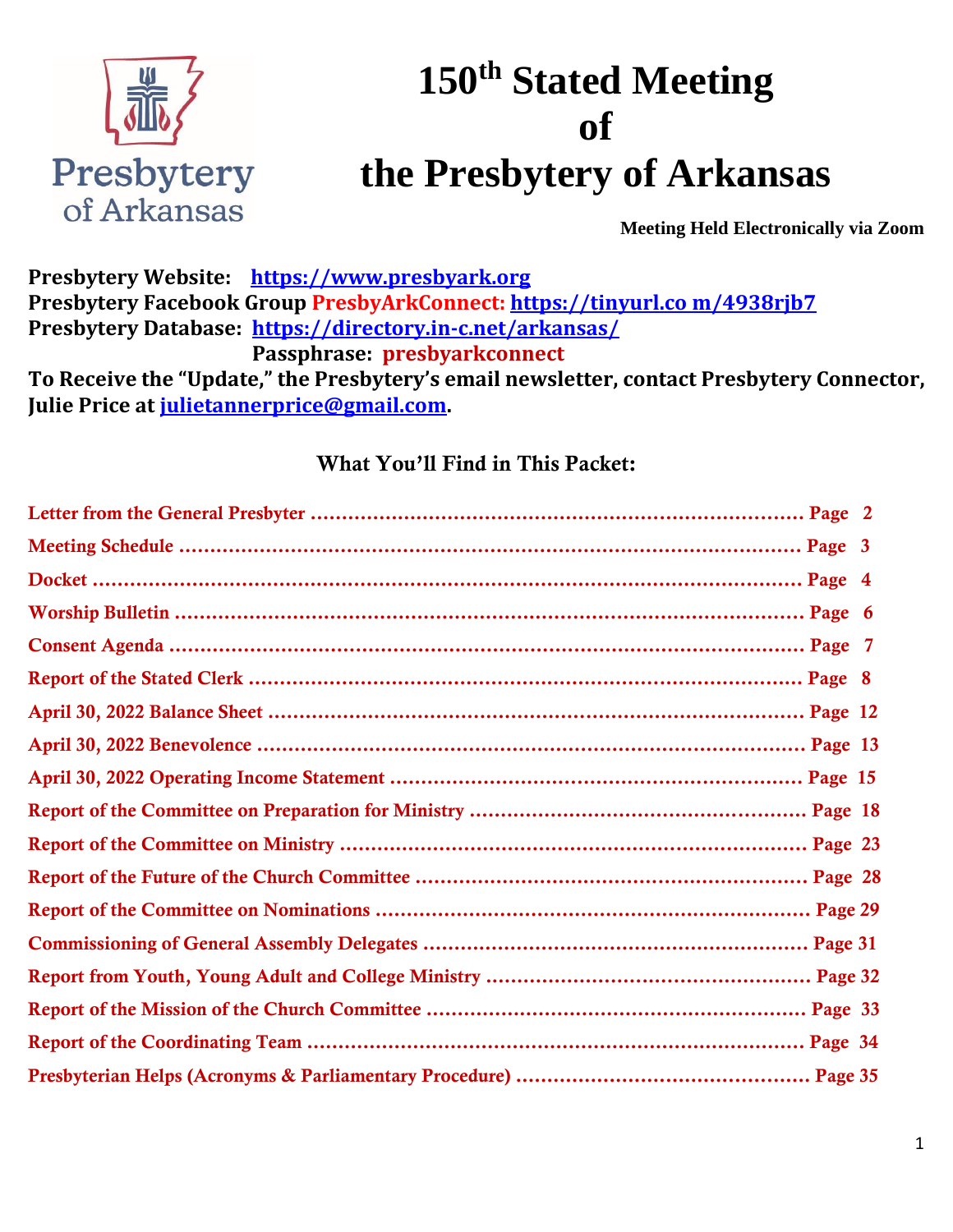

## **150th Stated Meeting of the Presbytery of Arkansas**

**Meeting Held Electronically via Zoom**

**Presbytery Website: [https://www.presbyark.org](https://www.presbyark.org/) Presbytery Facebook Group PresbyArkConnect: [https://tinyurl.co](https://tinyurl.com/4938rjb7) m/4938rjb7 Presbytery Database: <https://directory.in-c.net/arkansas/> Passphrase: presbyarkconnect To Receive the "Update," the Presbytery's email newsletter, contact Presbytery Connector, Julie Price at [julietannerprice@gmail.com.](mailto:julietannerprice@gmail.com)** 

### What You'll Find in This Packet: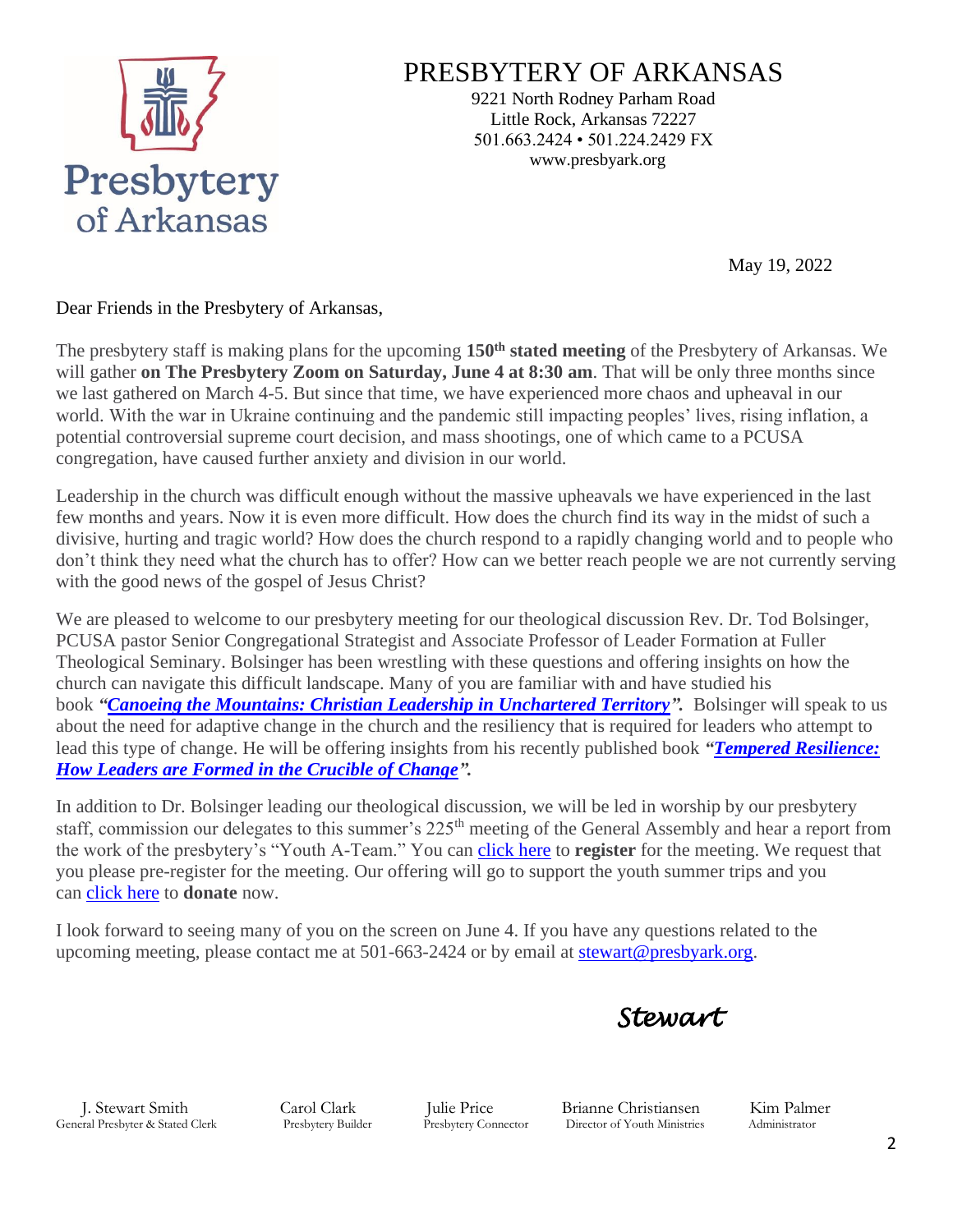

### PRESBYTERY OF ARKANSAS

9221 North Rodney Parham Road Little Rock, Arkansas 72227 501.663.2424 • 501.224.2429 FX www.presbyark.org

May 19, 2022

Dear Friends in the Presbytery of Arkansas,

The presbytery staff is making plans for the upcoming **150th stated meeting** of the Presbytery of Arkansas. We will gather **on The Presbytery Zoom on Saturday, June 4 at 8:30 am**. That will be only three months since we last gathered on March 4-5. But since that time, we have experienced more chaos and upheaval in our world. With the war in Ukraine continuing and the pandemic still impacting peoples' lives, rising inflation, a potential controversial supreme court decision, and mass shootings, one of which came to a PCUSA congregation, have caused further anxiety and division in our world.

Leadership in the church was difficult enough without the massive upheavals we have experienced in the last few months and years. Now it is even more difficult. How does the church find its way in the midst of such a divisive, hurting and tragic world? How does the church respond to a rapidly changing world and to people who don't think they need what the church has to offer? How can we better reach people we are not currently serving with the good news of the gospel of Jesus Christ?

We are pleased to welcome to our presbytery meeting for our theological discussion Rev. Dr. Tod Bolsinger, PCUSA pastor Senior Congregational Strategist and Associate Professor of Leader Formation at Fuller Theological Seminary. Bolsinger has been wrestling with these questions and offering insights on how the church can navigate this difficult landscape. Many of you are familiar with and have studied his book *["Canoeing the Mountains: Christian Leadership in Unchartered Territory"](https://a.rs6.net/1/pc?ep=87fb07b6b6dc59f8PX-e7P3OLg-fvpNKE6DZQEfcYO29LuT0hKv5qf_ma6LdKEvhoAzqUQgMWqb-8uI5fPzWdi8vkiYTZg_aMzpXmHBLV35Oy8WcC7hWVGuQ6j1WklTZZ2gJR7jVaLiaL59YuLuKXFgAt6l0jGPWkqHqPU2MEPXKC-fTnO9AmpxIzgGgSGEBYD75k86lQVpvKV4B8jwS2FbHZ19vYGvqD2BJd90mdfR4wrURIsxji1veP5Se4zOknm-zNlwxnoNl2Wdx&c=$%7bContact.encryptedContactId%7d).* Bolsinger will speak to us about the need for adaptive change in the church and the resiliency that is required for leaders who attempt to lead this type of change. He will be offering insights from his recently published book *["Tempered Resilience:](https://a.rs6.net/1/pc?ep=f78a170dc3d43448GWUoD9_rjmnQ8TBnHueDLhuzuDagCmRHykGWI_nfQAdTDMzdmSjlWDXvFCMf0yHEP-DgLQsuNMNpi_aH1ykl5MdDSPBryh--196uBn-7NjMoNshB1Vu25reKqn0xedLytLP1isw6Kt6rbi5P9Ttu4JtBczN867LXAnyJf63hIuPxCWZ0vdtLNSCvHTIzjJsYURSTv9zd4XJY5VciVNMwRLe9Yx6TI2mL_PhdRSxxnxk&c=$%7bContact.encryptedContactId%7d)  [How Leaders are Formed in the Crucible of Change"](https://a.rs6.net/1/pc?ep=f78a170dc3d43448GWUoD9_rjmnQ8TBnHueDLhuzuDagCmRHykGWI_nfQAdTDMzdmSjlWDXvFCMf0yHEP-DgLQsuNMNpi_aH1ykl5MdDSPBryh--196uBn-7NjMoNshB1Vu25reKqn0xedLytLP1isw6Kt6rbi5P9Ttu4JtBczN867LXAnyJf63hIuPxCWZ0vdtLNSCvHTIzjJsYURSTv9zd4XJY5VciVNMwRLe9Yx6TI2mL_PhdRSxxnxk&c=$%7bContact.encryptedContactId%7d).*

In addition to Dr. Bolsinger leading our theological discussion, we will be led in worship by our presbytery staff, commission our delegates to this summer's 225<sup>th</sup> meeting of the General Assembly and hear a report from the work of the presbytery's "Youth A-Team." You can [click here](https://a.rs6.net/1/pc?ep=d2206cdce999a979cIgd01H5pooorL0Vji6K1qAGXen8bQ3Ok3qzYBM3-HU-dZrYfgwx3lnVgcD8D2M4QBpbWPsAMIXvFygX7POwE-hFGG_J0Kch9vEOa1-Of0xjLVNxaH6pJVyHF5GlD_jMj2CQzQuWhptJ4_D81ri_jC7E43Zib34uaBYh7KfBBipYtQNoavyWZUBqYrhUC8rVCVz3gVDqzjkTxYjDRtyOoJDLOZsNWb1-6BqQD0_jxRG8MTJUKHLGoTR0yhQku-WW&c=$%7bContact.encryptedContactId%7d) to **register** for the meeting. We request that you please pre-register for the meeting. Our offering will go to support the youth summer trips and you can [click here](https://a.rs6.net/1/pc?ep=4945bc3619c46d18H83a4CbNXQxM1IytXdebWpZKMEosRtYI4jEd2HHJK8Z11RjjYtBsGP543GPK6hSLy-7BipNeeyc_LgGWU_rqEG27g-olUiJEpfLB_ph5Uo64B2UWj1l9SsD-kSGW-T7Wqa-xMlTJ1lhp--qXZyYfj7nhhzHEEYWlOXkdmA89hi-h_6zq1GSJQ14edR2nh30iKzmGBXXxaWWsWzeArwuwFpxowwscx50EZDN8K_fXEX5G4T6rbv1UXNU5aU9YCZuIJLFhm6uGY5EsL4z74VP7eg9MdD9gw1WFmeMchUX2wpPYfixJxCxcmJEXH4k0f9kXqjaLBcuCo5-bfaJvL-cXvYGxjhZXr59ic_6_Ew9b-63MAPQDfhGB7tquVc0ahlWG6Pr72LzphPCzytDbMDUMuzZfkijVbUN5Ac0SOMvSvcS10Z-FnnSDuxSdYD7RZJOOXr2QhYMCfYM__i0tbOJX4A&c=$%7bContact.encryptedContactId%7d) to **donate** now.

I look forward to seeing many of you on the screen on June 4. If you have any questions related to the upcoming meeting, please contact me at  $501-663-2424$  or by email at [stewart@presbyark.org.](https://a.rs6.net/1/pc?ep=357673df78249af6-dio8Z27HXREVXQ0QVzf3LfBRBcHX04p_yONowCc1EzZQLG5fDRalLAys92jHaFFkamLB6D6XoLPOdjBtPEHfsHRw-f8GbfKEVSLsk3U6zRvGgXA1SMdL-TXoUlviFfRxdbVQmVKiaaShGI3-wOjBcHGNbEMCL5Hvs04U6aO8IQ&c=$%7bContact.encryptedContactId%7d)



General Presbyter & Stated Clerk Presbytery Builder Presbytery Connector Director of Youth Ministries Administrator

J. Stewart Smith Carol Clark Julie Price Brianne Christiansen Kim Palmer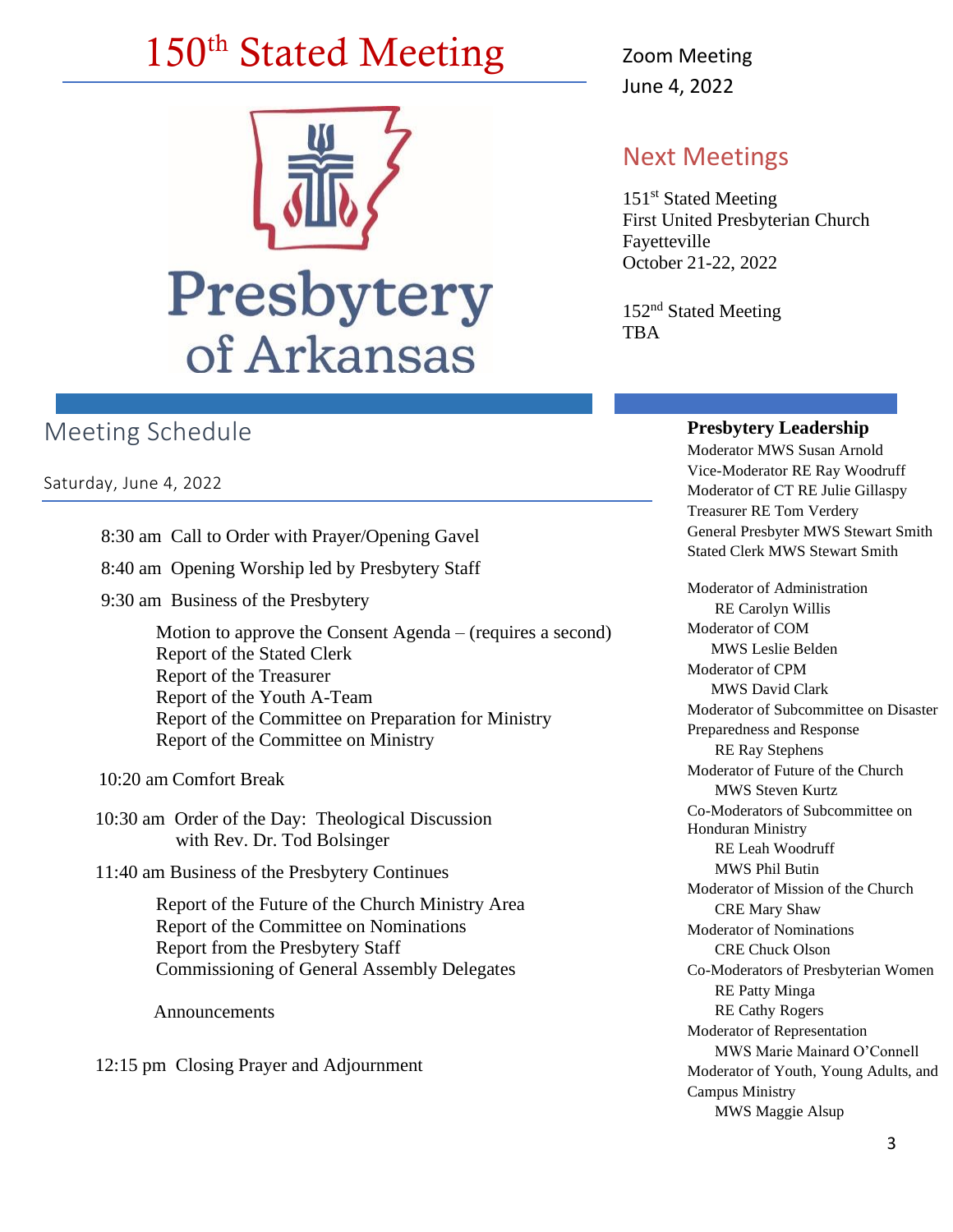# 150<sup>th</sup> Stated Meeting Zoom Meeting



### Meeting Schedule

Saturday, June 4, 2022

- 8:30 am Call to Order with Prayer/Opening Gavel
- 8:40 am Opening Worship led by Presbytery Staff
- 9:30 am Business of the Presbytery

Motion to approve the Consent Agenda – (requires a second) Report of the Stated Clerk Report of the Treasurer Report of the Youth A-Team Report of the Committee on Preparation for Ministry Report of the Committee on Ministry

10:20 am Comfort Break

- 10:30 am Order of the Day: Theological Discussion with Rev. Dr. Tod Bolsinger
- 11:40 am Business of the Presbytery Continues

Report of the Future of the Church Ministry Area Report of the Committee on Nominations Report from the Presbytery Staff Commissioning of General Assembly Delegates

Announcements

12:15 pm Closing Prayer and Adjournment

June 4, 2022

### Next Meetings

151<sup>st</sup> Stated Meeting First United Presbyterian Church Fayetteville October 21-22, 2022

152<sup>nd</sup> Stated Meeting TBA

#### **Presbytery Leadership**

Moderator MWS Susan Arnold Vice-Moderator RE Ray Woodruff Moderator of CT RE Julie Gillaspy Treasurer RE Tom Verdery General Presbyter MWS Stewart Smith Stated Clerk MWS Stewart Smith

Moderator of Administration RE Carolyn Willis Moderator of COM MWS Leslie Belden Moderator of CPM MWS David Clark Moderator of Subcommittee on Disaster Preparedness and Response RE Ray Stephens Moderator of Future of the Church MWS Steven Kurtz Co-Moderators of Subcommittee on Honduran Ministry RE Leah Woodruff MWS Phil Butin Moderator of Mission of the Church CRE Mary Shaw Moderator of Nominations CRE Chuck Olson Co-Moderators of Presbyterian Women RE Patty Minga RE Cathy Rogers Moderator of Representation MWS Marie Mainard O'Connell Moderator of Youth, Young Adults, and Campus Ministry MWS Maggie Alsup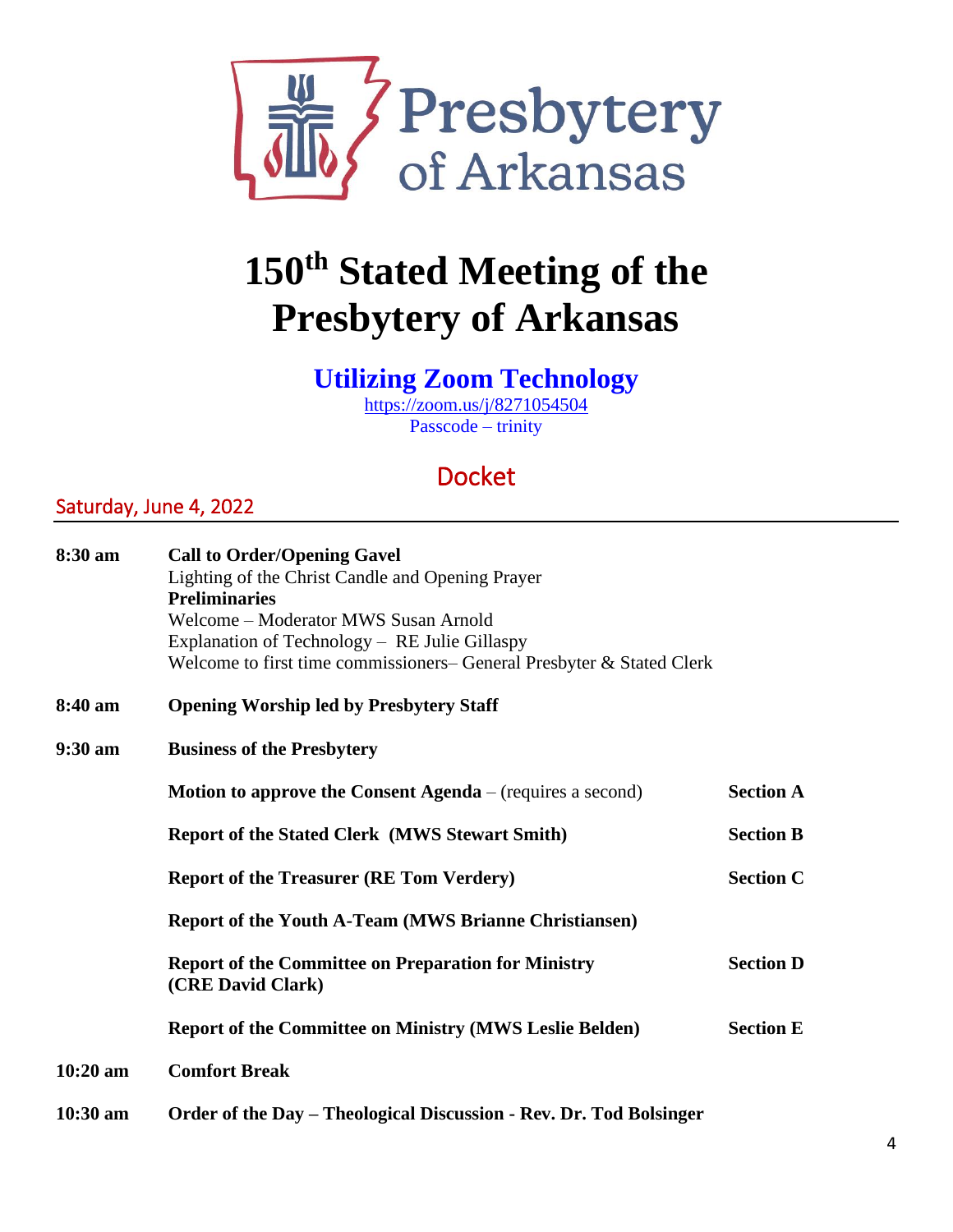

## **150th Stated Meeting of the Presbytery of Arkansas**

### **Utilizing Zoom Technology**

<https://zoom.us/j/8271054504> Passcode – trinity

## Docket

### Saturday, June 4, 2022

| 8:30 am           | <b>Call to Order/Opening Gavel</b>                                              |                  |
|-------------------|---------------------------------------------------------------------------------|------------------|
|                   | Lighting of the Christ Candle and Opening Prayer                                |                  |
|                   | <b>Preliminaries</b>                                                            |                  |
|                   | Welcome - Moderator MWS Susan Arnold                                            |                  |
|                   | Explanation of Technology - RE Julie Gillaspy                                   |                  |
|                   | Welcome to first time commissioners-General Presbyter & Stated Clerk            |                  |
| 8:40 am           | <b>Opening Worship led by Presbytery Staff</b>                                  |                  |
| $9:30 \text{ am}$ | <b>Business of the Presbytery</b>                                               |                  |
|                   | <b>Motion to approve the Consent Agenda</b> – (requires a second)               | <b>Section A</b> |
|                   | <b>Report of the Stated Clerk (MWS Stewart Smith)</b>                           | <b>Section B</b> |
|                   | <b>Report of the Treasurer (RE Tom Verdery)</b>                                 | <b>Section C</b> |
|                   | <b>Report of the Youth A-Team (MWS Brianne Christiansen)</b>                    |                  |
|                   | <b>Report of the Committee on Preparation for Ministry</b><br>(CRE David Clark) | <b>Section D</b> |
|                   | <b>Report of the Committee on Ministry (MWS Leslie Belden)</b>                  | <b>Section E</b> |
| 10:20 am          | <b>Comfort Break</b>                                                            |                  |
| $10:30$ am        | Order of the Day – Theological Discussion - Rev. Dr. Tod Bolsinger              |                  |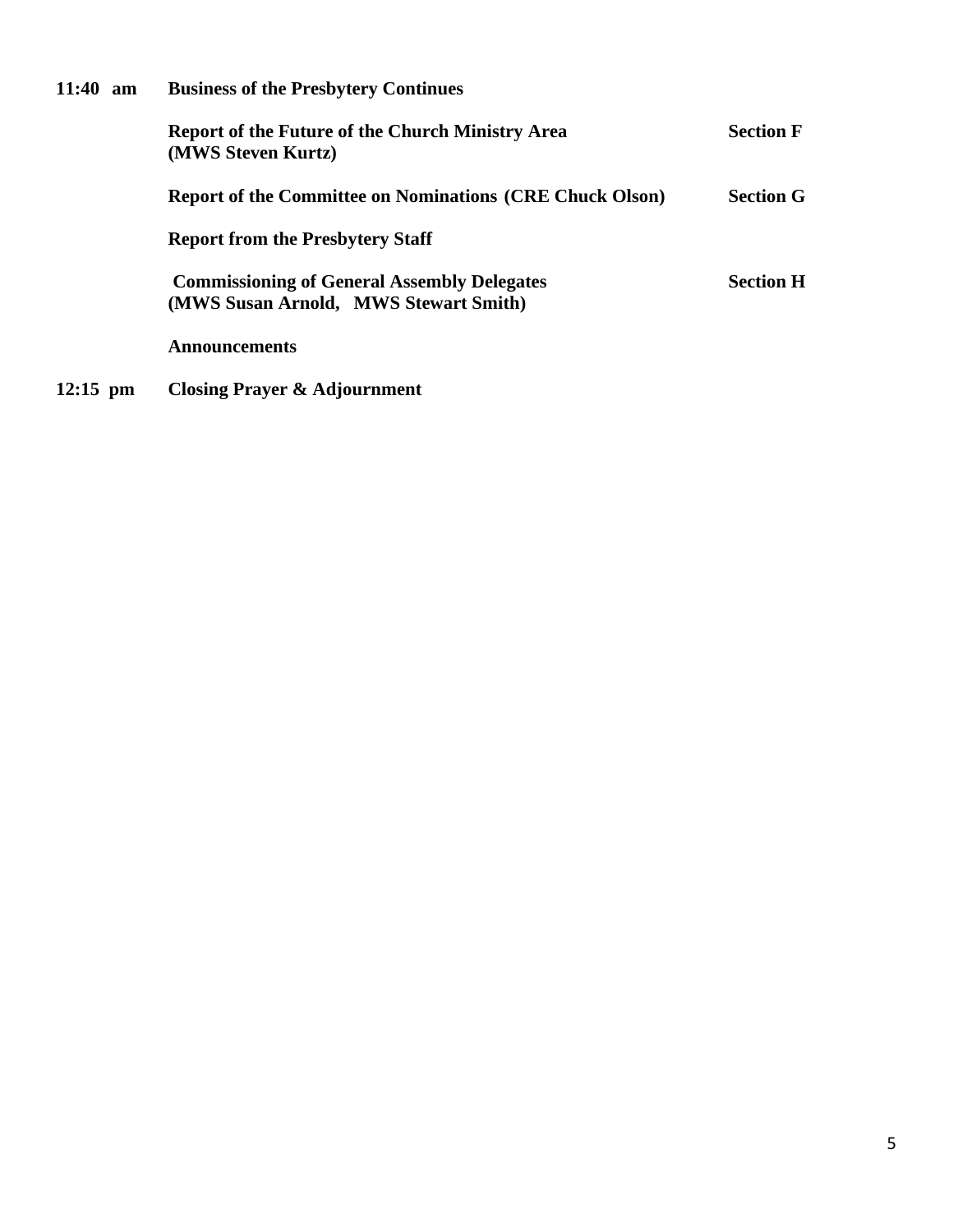| $11:40 \text{ am}$ | <b>Business of the Presbytery Continues</b>                                                 |                  |
|--------------------|---------------------------------------------------------------------------------------------|------------------|
|                    | <b>Report of the Future of the Church Ministry Area</b><br>(MWS Steven Kurtz)               | <b>Section F</b> |
|                    | <b>Report of the Committee on Nominations (CRE Chuck Olson)</b>                             | <b>Section G</b> |
|                    | <b>Report from the Presbytery Staff</b>                                                     |                  |
|                    | <b>Commissioning of General Assembly Delegates</b><br>(MWS Susan Arnold, MWS Stewart Smith) | <b>Section H</b> |
|                    | <b>Announcements</b>                                                                        |                  |
|                    |                                                                                             |                  |

**12:15 pm Closing Prayer & Adjournment**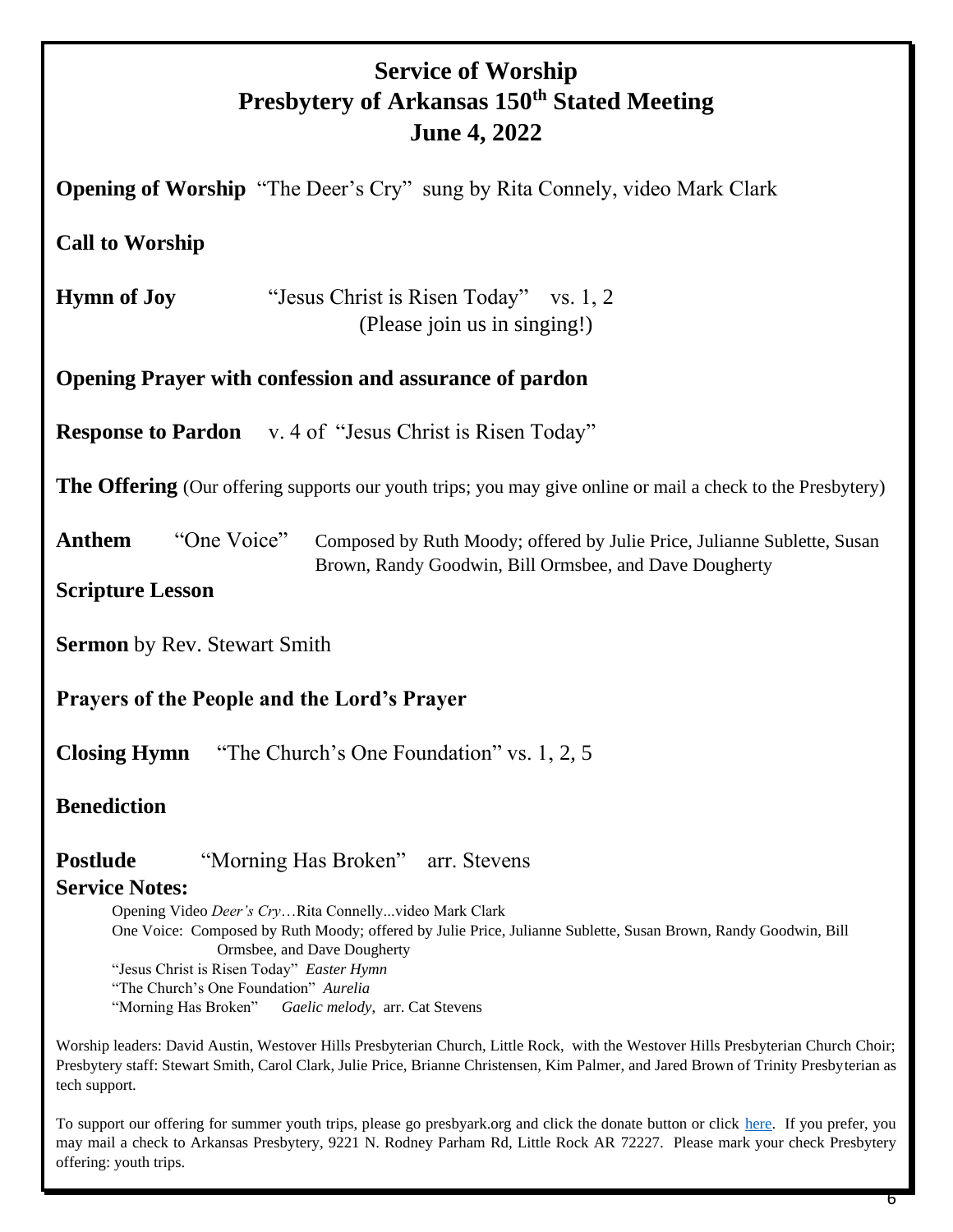### **Service of Worship Presbytery of Arkansas 150th Stated Meeting June 4, 2022**

**Opening of Worship** "The Deer's Cry" sung by Rita Connely, video Mark Clark **Call to Worship Hymn of Joy** "Jesus Christ is Risen Today" vs. 1, 2 (Please join us in singing!) **Opening Prayer with confession and assurance of pardon Response to Pardon** v. 4 of "Jesus Christ is Risen Today" **The Offering** (Our offering supports our youth trips; you may give online or mail a check to the Presbytery) Anthem "One Voice" Composed by Ruth Moody; offered by Julie Price, Julianne Sublette, Susan Brown, Randy Goodwin, Bill Ormsbee, and Dave Dougherty **Scripture Lesson Sermon** by Rev. Stewart Smith **Prayers of the People and the Lord's Prayer Closing Hymn** "The Church's One Foundation" vs. 1, 2, 5 **Benediction Postlude** "Morning Has Broken" arr. Stevens **Service Notes:** Opening Video *Deer's Cry*…Rita Connelly...video Mark Clark One Voice: Composed by Ruth Moody; offered by Julie Price, Julianne Sublette, Susan Brown, Randy Goodwin, Bill Ormsbee, and Dave Dougherty "Jesus Christ is Risen Today" *Easter Hymn* "The Church's One Foundation" *Aurelia* "Morning Has Broken" *Gaelic melody*, arr. Cat Stevens

Worship leaders: David Austin, Westover Hills Presbyterian Church, Little Rock, with the Westover Hills Presbyterian Church Choir; Presbytery staff: Stewart Smith, Carol Clark, Julie Price, Brianne Christensen, Kim Palmer, and Jared Brown of Trinity Presbyterian as tech support.

To support our offering for summer youth trips, please go presbyark.org and click the donate button or click [here.](https://bit.ly/3MrLc9s) If you prefer, you may mail a check to Arkansas Presbytery, 9221 N. Rodney Parham Rd, Little Rock AR 72227. Please mark your check Presbytery offering: youth trips.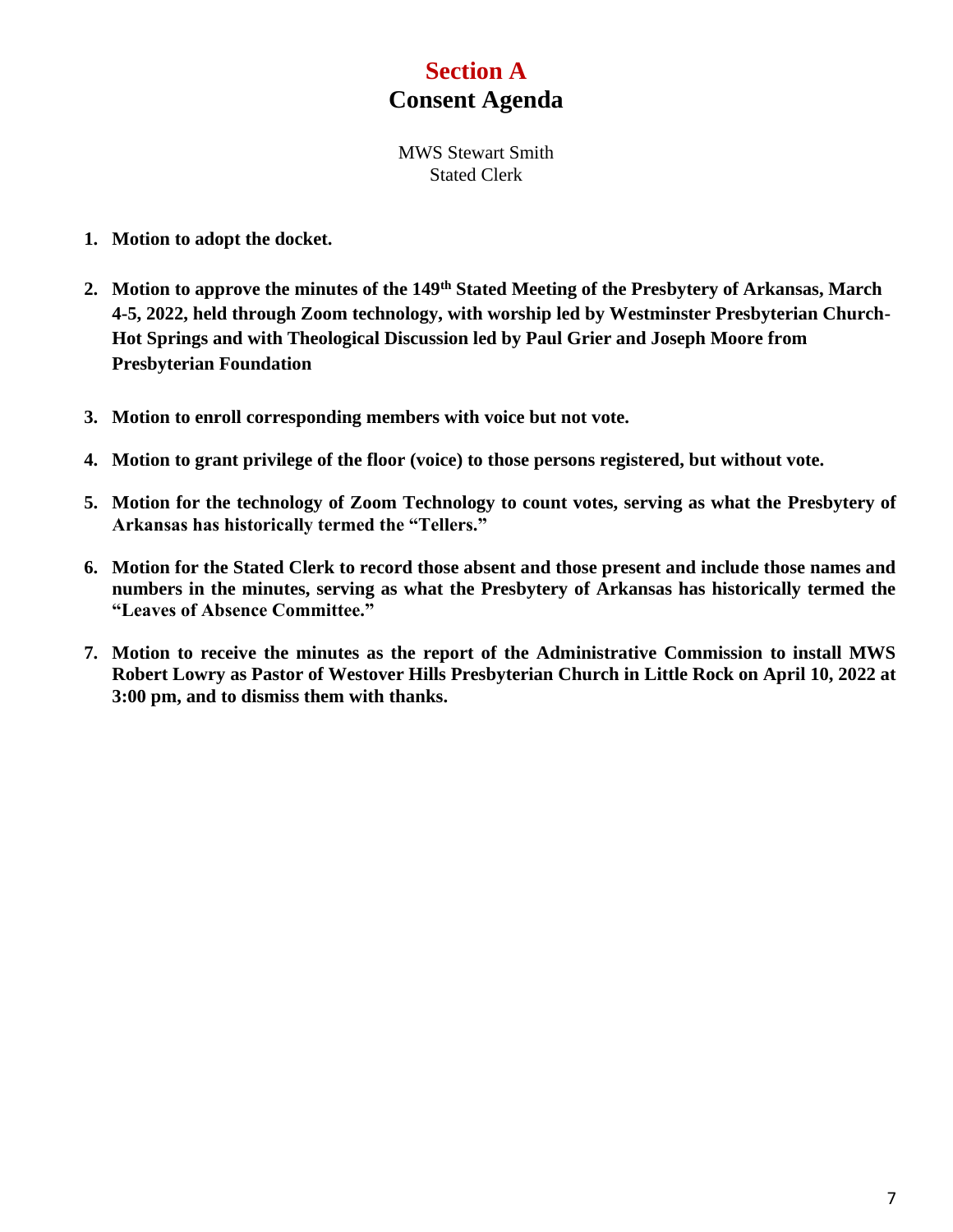### **Section A Consent Agenda**

MWS Stewart Smith Stated Clerk

- **1. Motion to adopt the docket.**
- **2. Motion to approve the minutes of the 149th Stated Meeting of the Presbytery of Arkansas, March 4-5, 2022, held through Zoom technology, with worship led by Westminster Presbyterian Church-Hot Springs and with Theological Discussion led by Paul Grier and Joseph Moore from Presbyterian Foundation**
- **3. Motion to enroll corresponding members with voice but not vote.**
- **4. Motion to grant privilege of the floor (voice) to those persons registered, but without vote.**
- **5. Motion for the technology of Zoom Technology to count votes, serving as what the Presbytery of Arkansas has historically termed the "Tellers."**
- **6. Motion for the Stated Clerk to record those absent and those present and include those names and numbers in the minutes, serving as what the Presbytery of Arkansas has historically termed the "Leaves of Absence Committee."**
- **7. Motion to receive the minutes as the report of the Administrative Commission to install MWS Robert Lowry as Pastor of Westover Hills Presbyterian Church in Little Rock on April 10, 2022 at 3:00 pm, and to dismiss them with thanks.**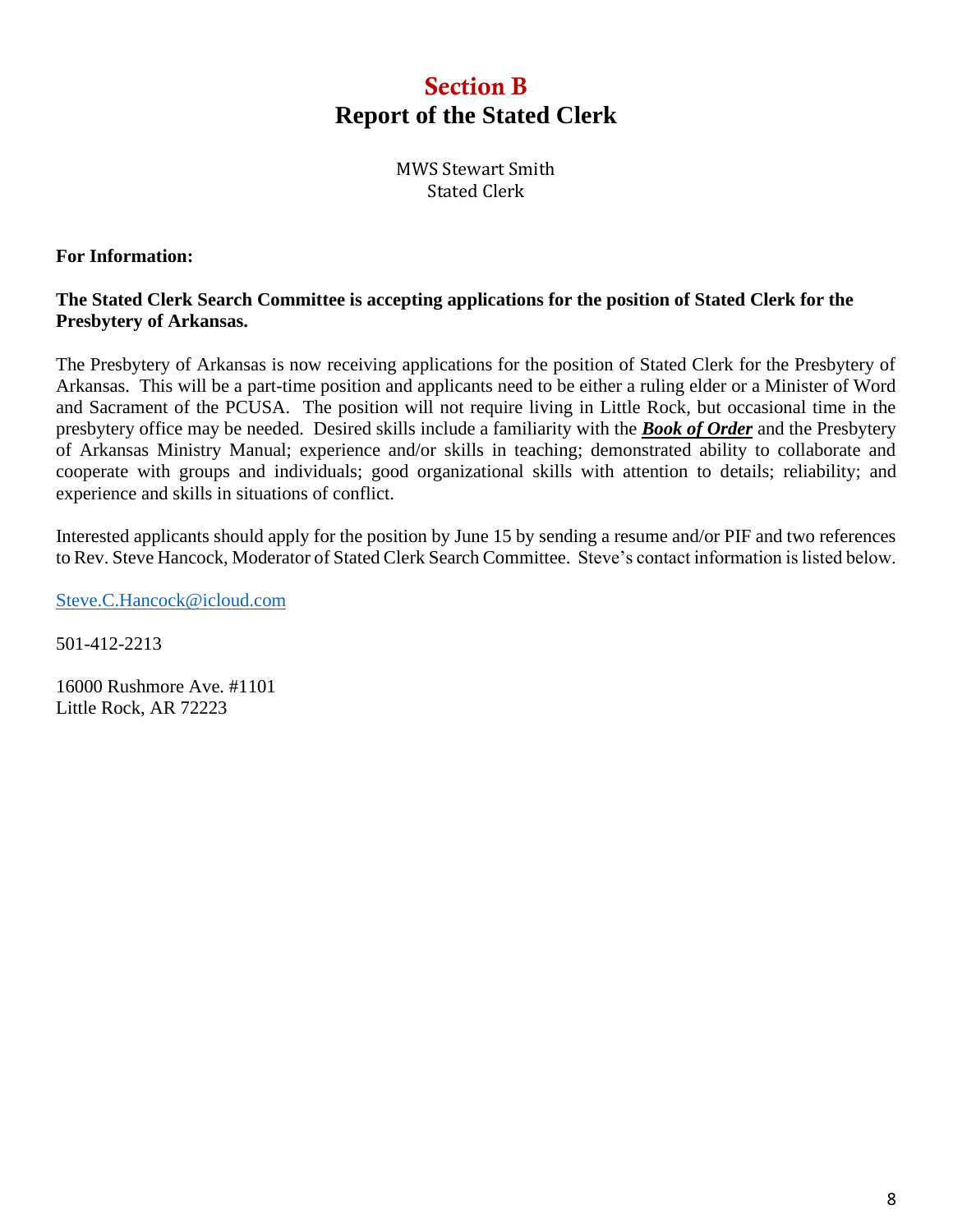### Section B **Report of the Stated Clerk**

MWS Stewart Smith Stated Clerk

#### **For Information:**

#### **The Stated Clerk Search Committee is accepting applications for the position of Stated Clerk for the Presbytery of Arkansas.**

The Presbytery of Arkansas is now receiving applications for the position of Stated Clerk for the Presbytery of Arkansas. This will be a part-time position and applicants need to be either a ruling elder or a Minister of Word and Sacrament of the PCUSA. The position will not require living in Little Rock, but occasional time in the presbytery office may be needed. Desired skills include a familiarity with the *Book of Order* and the Presbytery of Arkansas Ministry Manual; experience and/or skills in teaching; demonstrated ability to collaborate and cooperate with groups and individuals; good organizational skills with attention to details; reliability; and experience and skills in situations of conflict.

Interested applicants should apply for the position by June 15 by sending a resume and/or PIF and two references to Rev. Steve Hancock, Moderator of Stated Clerk Search Committee. Steve's contact information is listed below.

[Steve.C.Hancock@icloud.com](mailto:Steve.C.Hancock@icloud.com)

501-412-2213

16000 Rushmore Ave. #1101 Little Rock, AR 72223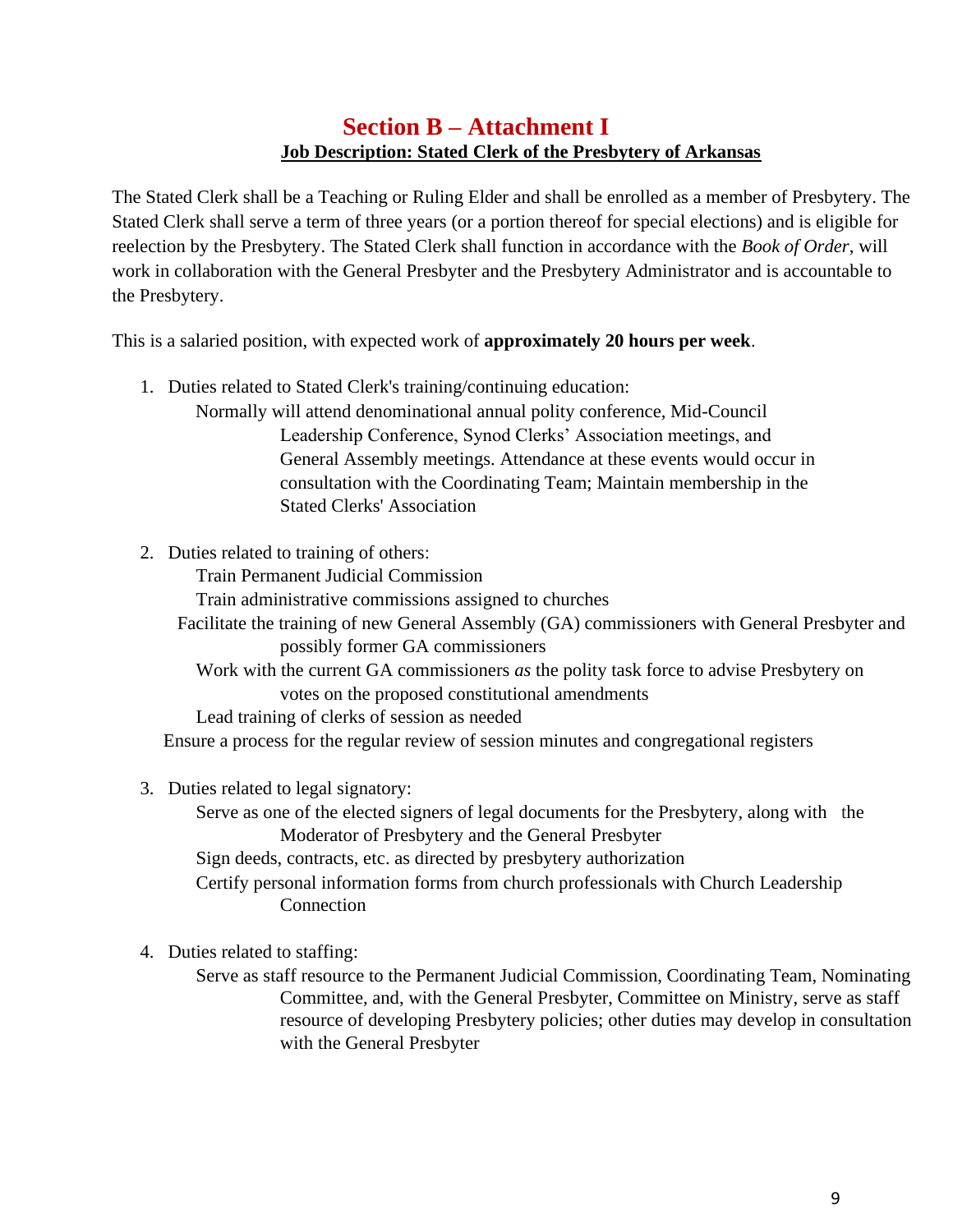### **Section B – Attachment I Job Description: Stated Clerk of the Presbytery of Arkansas**

The Stated Clerk shall be a Teaching or Ruling Elder and shall be enrolled as a member of Presbytery. The Stated Clerk shall serve a term of three years (or a portion thereof for special elections) and is eligible for reelection by the Presbytery. The Stated Clerk shall function in accordance with the *Book of Order*, will work in collaboration with the General Presbyter and the Presbytery Administrator and is accountable to the Presbytery.

This is a salaried position, with expected work of **approximately 20 hours per week**.

- 1. Duties related to Stated Clerk's training/continuing education:
	- Normally will attend denominational annual polity conference, Mid-Council Leadership Conference, Synod Clerks' Association meetings, and General Assembly meetings. Attendance at these events would occur in consultation with the Coordinating Team; Maintain membership in the Stated Clerks' Association
- 2. Duties related to training of others:

Train Permanent Judicial Commission

Train administrative commissions assigned to churches

 Facilitate the training of new General Assembly (GA) commissioners with General Presbyter and possibly former GA commissioners

Work with the current GA commissioners *as* the polity task force to advise Presbytery on votes on the proposed constitutional amendments

Lead training of clerks of session as needed

Ensure a process for the regular review of session minutes and congregational registers

- 3. Duties related to legal signatory:
	- Serve as one of the elected signers of legal documents for the Presbytery, along with the Moderator of Presbytery and the General Presbyter

Sign deeds, contracts, etc. as directed by presbytery authorization

Certify personal information forms from church professionals with Church Leadership **Connection** 

4. Duties related to staffing:

Serve as staff resource to the Permanent Judicial Commission, Coordinating Team, Nominating Committee, and, with the General Presbyter, Committee on Ministry, serve as staff resource of developing Presbytery policies; other duties may develop in consultation with the General Presbyter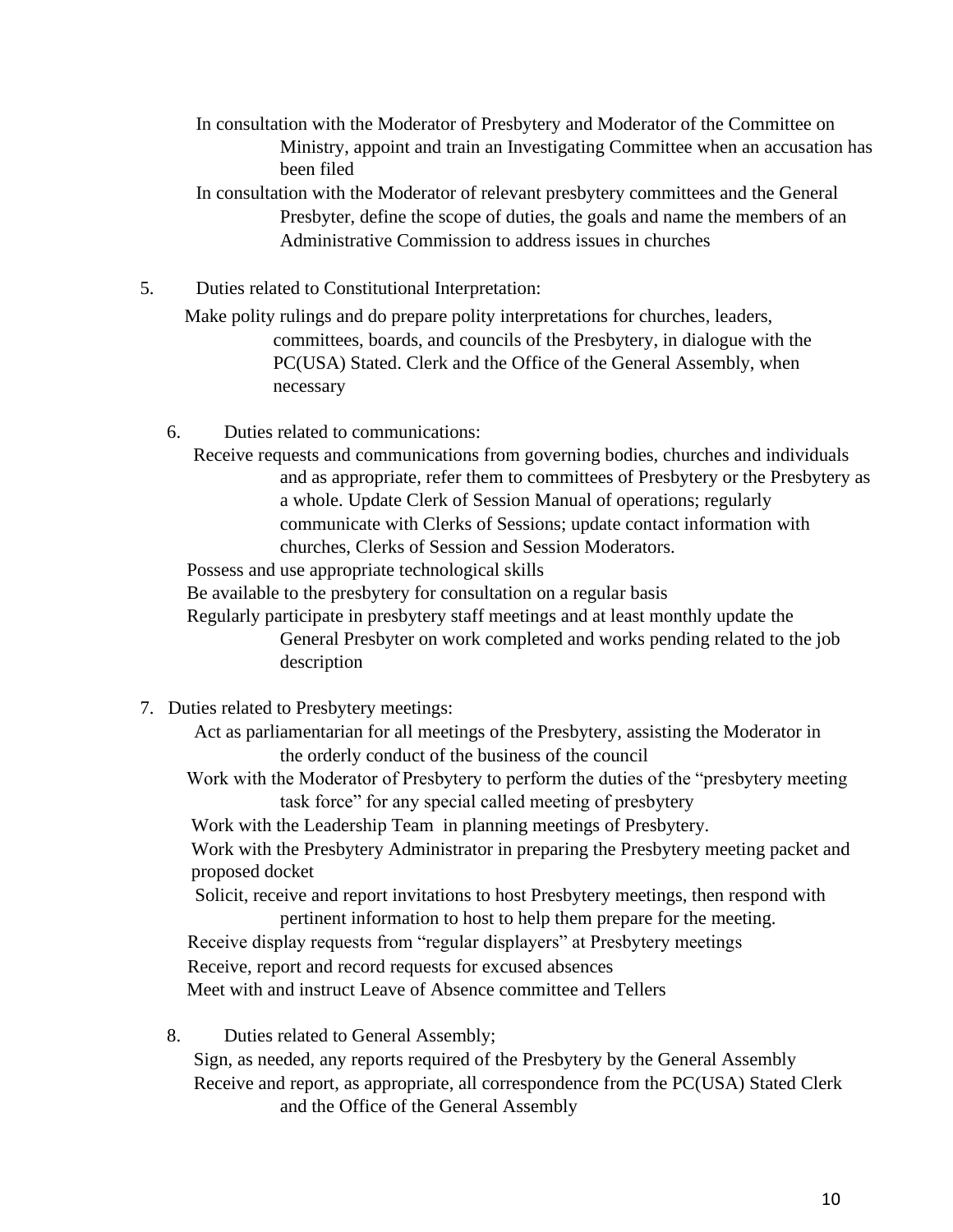In consultation with the Moderator of Presbytery and Moderator of the Committee on Ministry, appoint and train an Investigating Committee when an accusation has been filed

In consultation with the Moderator of relevant presbytery committees and the General Presbyter, define the scope of duties, the goals and name the members of an Administrative Commission to address issues in churches

5. Duties related to Constitutional Interpretation:

 Make polity rulings and do prepare polity interpretations for churches, leaders, committees, boards, and councils of the Presbytery, in dialogue with the PC(USA) Stated. Clerk and the Office of the General Assembly, when necessary

- 6. Duties related to communications:
	- Receive requests and communications from governing bodies, churches and individuals and as appropriate, refer them to committees of Presbytery or the Presbytery as a whole. Update Clerk of Session Manual of operations; regularly communicate with Clerks of Sessions; update contact information with churches, Clerks of Session and Session Moderators.

Possess and use appropriate technological skills

Be available to the presbytery for consultation on a regular basis

 Regularly participate in presbytery staff meetings and at least monthly update the General Presbyter on work completed and works pending related to the job description

- 7. Duties related to Presbytery meetings:
	- Act as parliamentarian for all meetings of the Presbytery, assisting the Moderator in the orderly conduct of the business of the council
	- Work with the Moderator of Presbytery to perform the duties of the "presbytery meeting task force" for any special called meeting of presbytery

Work with the Leadership Team in planning meetings of Presbytery.

Work with the Presbytery Administrator in preparing the Presbytery meeting packet and proposed docket

Solicit, receive and report invitations to host Presbytery meetings, then respond with pertinent information to host to help them prepare for the meeting.

 Receive display requests from "regular displayers" at Presbytery meetings Receive, report and record requests for excused absences

Meet with and instruct Leave of Absence committee and Tellers

8. Duties related to General Assembly; Sign, as needed, any reports required of the Presbytery by the General Assembly Receive and report, as appropriate, all correspondence from the PC(USA) Stated Clerk and the Office of the General Assembly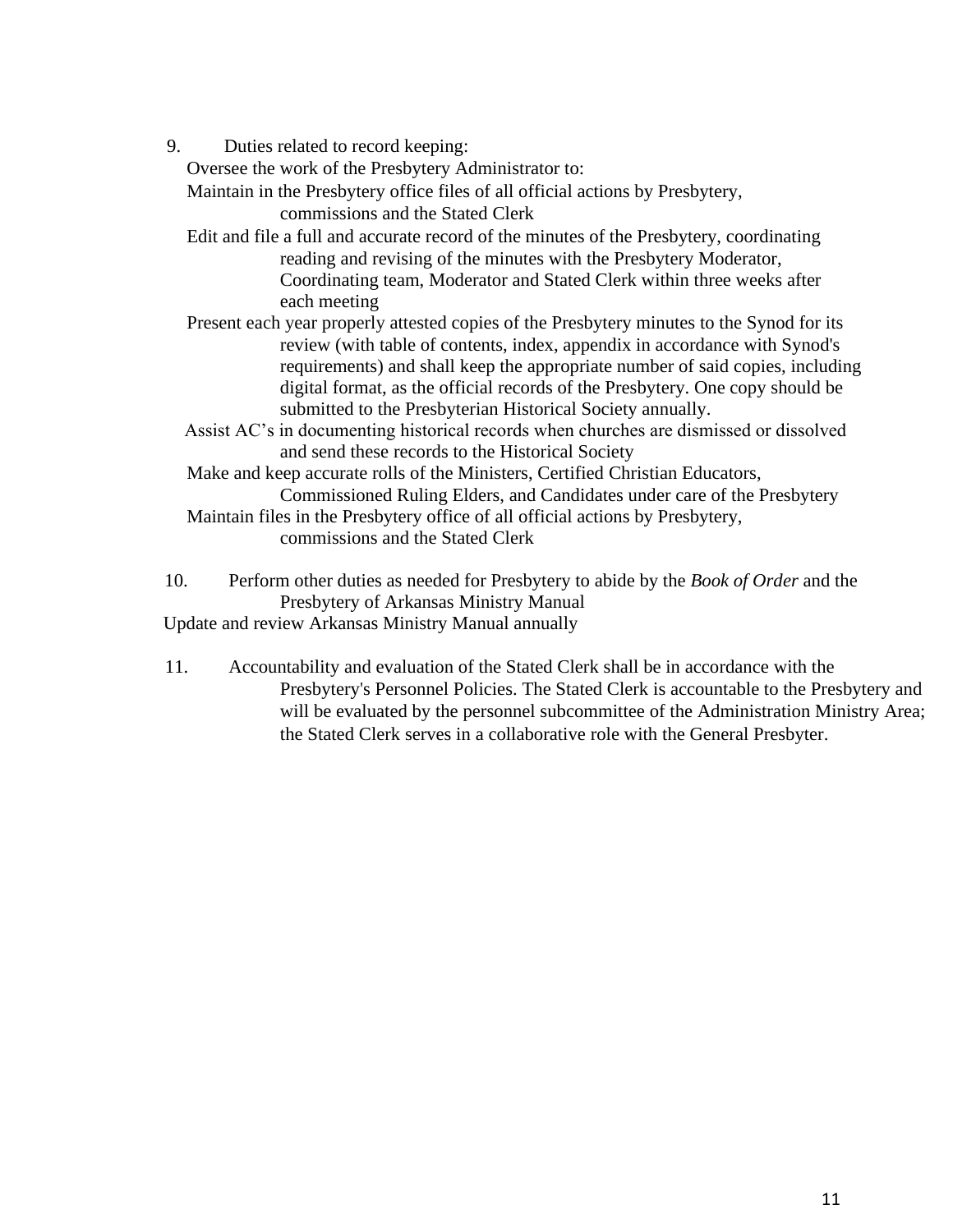9. Duties related to record keeping:

Oversee the work of the Presbytery Administrator to:

Maintain in the Presbytery office files of all official actions by Presbytery,

commissions and the Stated Clerk

 Edit and file a full and accurate record of the minutes of the Presbytery, coordinating reading and revising of the minutes with the Presbytery Moderator, Coordinating team, Moderator and Stated Clerk within three weeks after each meeting

- Present each year properly attested copies of the Presbytery minutes to the Synod for its review (with table of contents, index, appendix in accordance with Synod's requirements) and shall keep the appropriate number of said copies, including digital format, as the official records of the Presbytery. One copy should be submitted to the Presbyterian Historical Society annually.
- Assist AC's in documenting historical records when churches are dismissed or dissolved and send these records to the Historical Society

 Make and keep accurate rolls of the Ministers, Certified Christian Educators, Commissioned Ruling Elders, and Candidates under care of the Presbytery

 Maintain files in the Presbytery office of all official actions by Presbytery, commissions and the Stated Clerk

10. Perform other duties as needed for Presbytery to abide by the *Book of Order* and the Presbytery of Arkansas Ministry Manual Update and review Arkansas Ministry Manual annually

11. Accountability and evaluation of the Stated Clerk shall be in accordance with the Presbytery's Personnel Policies. The Stated Clerk is accountable to the Presbytery and will be evaluated by the personnel subcommittee of the Administration Ministry Area; the Stated Clerk serves in a collaborative role with the General Presbyter.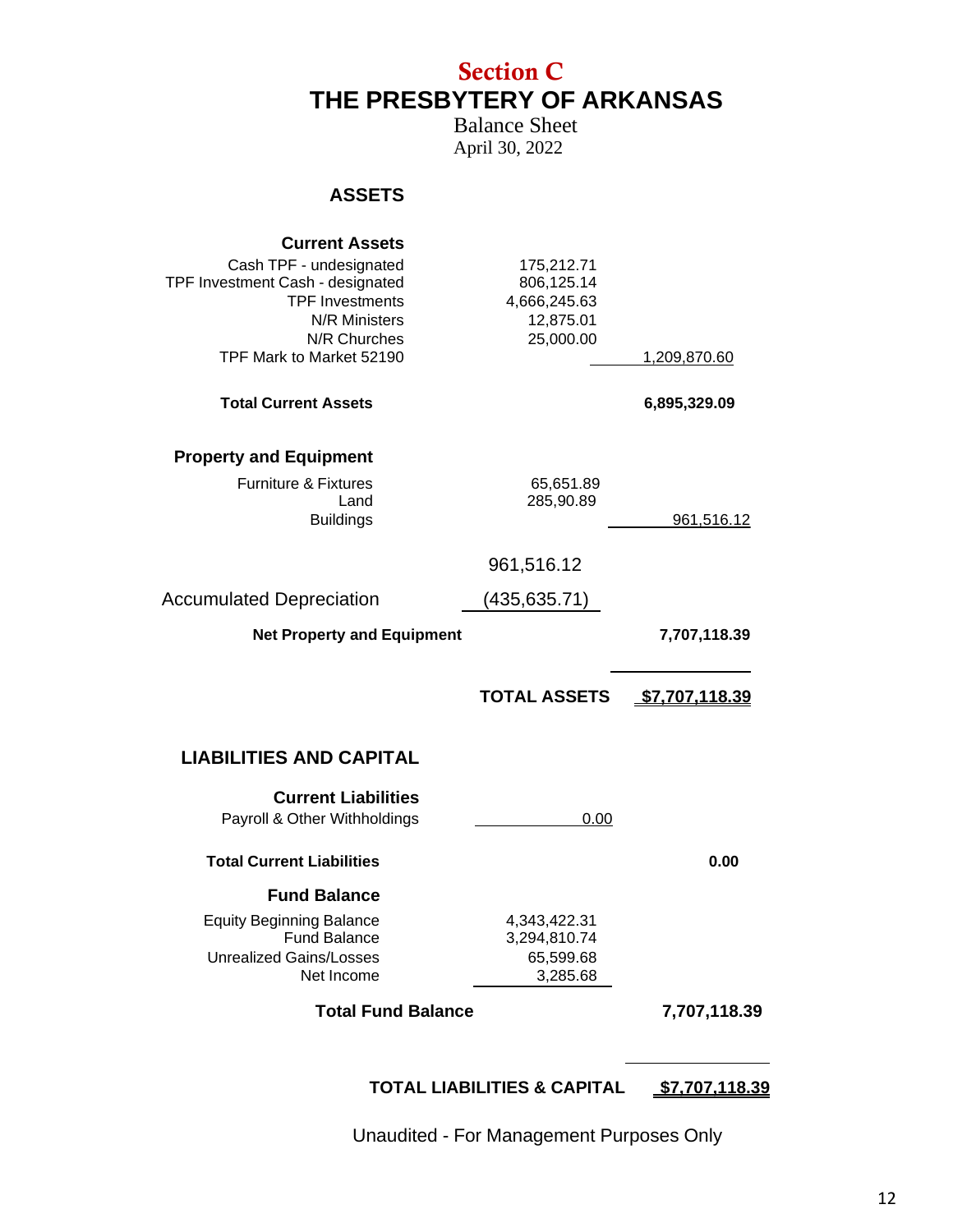### Section C **THE PRESBYTERY OF ARKANSAS**

Balance Sheet April 30, 2022

#### **ASSETS**

| <b>Current Assets</b><br>Cash TPF - undesignated<br>TPF Investment Cash - designated<br><b>TPF Investments</b><br>N/R Ministers<br>N/R Churches<br>TPF Mark to Market 52190 | 175,212.71<br>806,125.14<br>4,666,245.63<br>12,875.01<br>25,000.00 | 1,209,870.60          |
|-----------------------------------------------------------------------------------------------------------------------------------------------------------------------------|--------------------------------------------------------------------|-----------------------|
| <b>Total Current Assets</b>                                                                                                                                                 |                                                                    | 6,895,329.09          |
| <b>Property and Equipment</b><br><b>Furniture &amp; Fixtures</b><br>Land<br><b>Buildings</b>                                                                                | 65,651.89<br>285,90.89                                             | 961,516.12            |
|                                                                                                                                                                             | 961,516.12                                                         |                       |
| <b>Accumulated Depreciation</b>                                                                                                                                             | (435,635.71)                                                       |                       |
| <b>Net Property and Equipment</b>                                                                                                                                           |                                                                    | 7,707,118.39          |
|                                                                                                                                                                             | <b>TOTAL ASSETS</b>                                                | <u>\$7,707,118.39</u> |
| <b>LIABILITIES AND CAPITAL</b>                                                                                                                                              |                                                                    |                       |
| <b>Current Liabilities</b><br>Payroll & Other Withholdings                                                                                                                  | 0.00                                                               |                       |
| <b>Total Current Liabilities</b>                                                                                                                                            |                                                                    | 0.00                  |
| <b>Fund Balance</b>                                                                                                                                                         |                                                                    |                       |
| <b>Equity Beginning Balance</b><br><b>Fund Balance</b><br><b>Unrealized Gains/Losses</b><br>Net Income                                                                      | 4,343,422.31<br>3,294,810.74<br>65,599.68<br>3,285.68              |                       |
| <b>Total Fund Balance</b>                                                                                                                                                   |                                                                    | 7,707,118.39          |
|                                                                                                                                                                             | <b>TOTAL LIABILITIES &amp; CAPITAL</b>                             | <u>\$7,707,118.39</u> |

Unaudited - For Management Purposes Only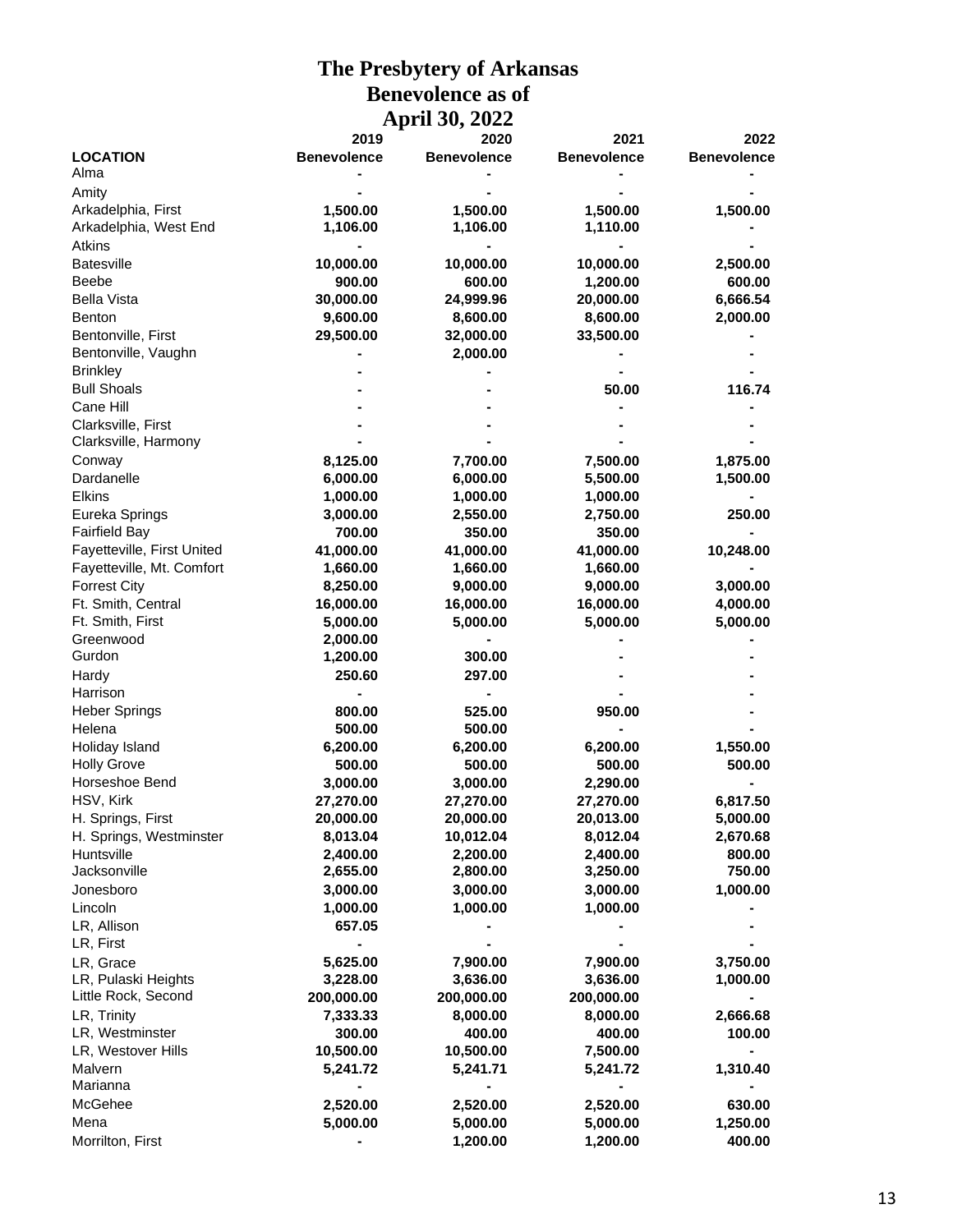#### **The Presbytery of Arkansas Benevolence as of April 30, 2022**

|                            | 2019               | 2020               | 2021               | 2022               |
|----------------------------|--------------------|--------------------|--------------------|--------------------|
| <b>LOCATION</b>            | <b>Benevolence</b> | <b>Benevolence</b> | <b>Benevolence</b> | <b>Benevolence</b> |
| Alma                       |                    |                    |                    |                    |
| Amity                      |                    |                    |                    |                    |
| Arkadelphia, First         | 1,500.00           | 1,500.00           | 1,500.00           | 1,500.00           |
| Arkadelphia, West End      | 1,106.00           | 1,106.00           | 1,110.00           |                    |
| <b>Atkins</b>              |                    |                    |                    |                    |
| <b>Batesville</b>          | 10,000.00          | 10,000.00          | 10,000.00          | 2,500.00           |
| <b>Beebe</b>               | 900.00             | 600.00             | 1,200.00           | 600.00             |
| <b>Bella Vista</b>         | 30,000.00          | 24,999.96          | 20,000.00          | 6,666.54           |
| <b>Benton</b>              | 9,600.00           | 8,600.00           | 8,600.00           | 2,000.00           |
| Bentonville, First         | 29,500.00          | 32,000.00          | 33,500.00          |                    |
| Bentonville, Vaughn        |                    | 2,000.00           |                    |                    |
| <b>Brinkley</b>            |                    |                    |                    |                    |
| <b>Bull Shoals</b>         |                    |                    | 50.00              | 116.74             |
| Cane Hill                  |                    |                    |                    |                    |
| Clarksville, First         |                    |                    |                    |                    |
| Clarksville, Harmony       |                    |                    |                    |                    |
|                            |                    |                    |                    |                    |
| Conway                     | 8,125.00           | 7,700.00           | 7,500.00           | 1,875.00           |
| Dardanelle                 | 6,000.00           | 6,000.00           | 5,500.00           | 1,500.00           |
| Elkins                     | 1,000.00           | 1,000.00           | 1,000.00           |                    |
| Eureka Springs             | 3,000.00           | 2,550.00           | 2,750.00           | 250.00             |
| <b>Fairfield Bay</b>       | 700.00             | 350.00             | 350.00             |                    |
| Fayetteville, First United | 41,000.00          | 41,000.00          | 41,000.00          | 10,248.00          |
| Fayetteville, Mt. Comfort  | 1,660.00           | 1,660.00           | 1,660.00           |                    |
| <b>Forrest City</b>        | 8,250.00           | 9,000.00           | 9,000.00           | 3,000.00           |
| Ft. Smith, Central         | 16,000.00          | 16,000.00          | 16,000.00          | 4,000.00           |
| Ft. Smith, First           | 5,000.00           | 5,000.00           | 5,000.00           | 5,000.00           |
| Greenwood                  | 2,000.00           |                    |                    |                    |
| Gurdon                     | 1,200.00           | 300.00             |                    |                    |
| Hardy                      | 250.60             | 297.00             |                    |                    |
| Harrison                   |                    |                    |                    |                    |
| <b>Heber Springs</b>       | 800.00             | 525.00             | 950.00             |                    |
| Helena                     | 500.00             | 500.00             |                    |                    |
| Holiday Island             | 6,200.00           | 6,200.00           | 6,200.00           | 1,550.00           |
| <b>Holly Grove</b>         | 500.00             | 500.00             | 500.00             | 500.00             |
| Horseshoe Bend             | 3,000.00           | 3,000.00           | 2,290.00           |                    |
| HSV, Kirk                  | 27,270.00          | 27,270.00          | 27,270.00          | 6,817.50           |
| H. Springs, First          | 20,000.00          | 20,000.00          | 20,013.00          | 5,000.00           |
| H. Springs, Westminster    | 8,013.04           | 10,012.04          | 8,012.04           | 2,670.68           |
| Huntsville                 | 2,400.00           | 2,200.00           | 2,400.00           | 800.00             |
| Jacksonville               | 2,655.00           | 2,800.00           | 3,250.00           | 750.00             |
| Jonesboro                  | 3,000.00           | 3,000.00           | 3,000.00           | 1,000.00           |
| Lincoln                    | 1,000.00           | 1,000.00           | 1,000.00           |                    |
| LR, Allison                | 657.05             |                    |                    |                    |
| LR, First                  |                    |                    |                    |                    |
| LR, Grace                  | 5,625.00           | 7,900.00           | 7,900.00           | 3,750.00           |
| LR, Pulaski Heights        | 3,228.00           | 3,636.00           | 3,636.00           | 1,000.00           |
| Little Rock, Second        | 200,000.00         | 200,000.00         | 200,000.00         |                    |
| LR, Trinity                | 7,333.33           | 8,000.00           | 8,000.00           | 2,666.68           |
| LR, Westminster            | 300.00             | 400.00             | 400.00             | 100.00             |
| LR, Westover Hills         | 10,500.00          | 10,500.00          | 7,500.00           |                    |
| Malvern                    | 5,241.72           |                    |                    |                    |
| Marianna                   |                    | 5,241.71           | 5,241.72           | 1,310.40           |
|                            |                    |                    |                    |                    |
| McGehee                    | 2,520.00           | 2,520.00           | 2,520.00           | 630.00             |
| Mena                       | 5,000.00           | 5,000.00           | 5,000.00           | 1,250.00           |
| Morrilton, First           |                    | 1,200.00           | 1,200.00           | 400.00             |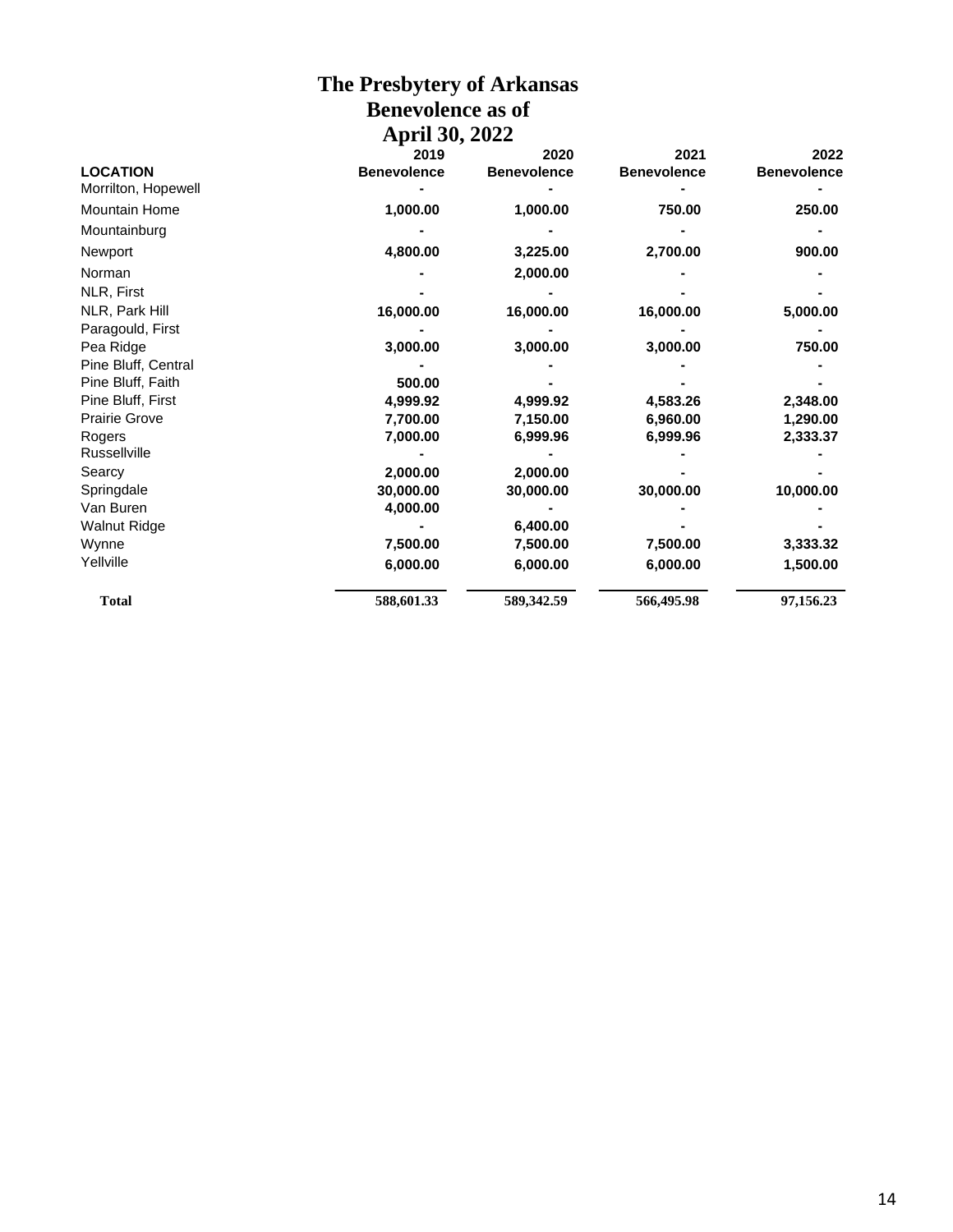#### **The Presbytery of Arkansas Benevolence as of April 30, 2022**

|                      | 2019               | 2020               | 2021               | 2022               |
|----------------------|--------------------|--------------------|--------------------|--------------------|
| <b>LOCATION</b>      | <b>Benevolence</b> | <b>Benevolence</b> | <b>Benevolence</b> | <b>Benevolence</b> |
| Morrilton, Hopewell  |                    |                    |                    |                    |
| <b>Mountain Home</b> | 1,000.00           | 1,000.00           | 750.00             | 250.00             |
| Mountainburg         |                    |                    |                    |                    |
| Newport              | 4,800.00           | 3,225.00           | 2,700.00           | 900.00             |
| Norman               |                    | 2,000.00           |                    |                    |
| NLR, First           |                    |                    |                    |                    |
| NLR, Park Hill       | 16,000.00          | 16,000.00          | 16,000.00          | 5,000.00           |
| Paragould, First     |                    |                    |                    |                    |
| Pea Ridge            | 3,000.00           | 3,000.00           | 3,000.00           | 750.00             |
| Pine Bluff, Central  |                    |                    |                    |                    |
| Pine Bluff, Faith    | 500.00             |                    |                    |                    |
| Pine Bluff, First    | 4,999.92           | 4,999.92           | 4,583.26           | 2,348.00           |
| <b>Prairie Grove</b> | 7,700.00           | 7,150.00           | 6,960.00           | 1,290.00           |
| Rogers               | 7,000.00           | 6,999.96           | 6,999.96           | 2,333.37           |
| <b>Russellville</b>  |                    |                    |                    |                    |
| Searcy               | 2,000.00           | 2,000.00           |                    |                    |
| Springdale           | 30,000.00          | 30,000.00          | 30,000.00          | 10,000.00          |
| Van Buren            | 4,000.00           |                    |                    |                    |
| <b>Walnut Ridge</b>  |                    | 6,400.00           |                    |                    |
| Wynne                | 7,500.00           | 7,500.00           | 7,500.00           | 3,333.32           |
| Yellville            | 6,000.00           | 6,000.00           | 6,000.00           | 1,500.00           |
| <b>Total</b>         | 588,601.33         | 589,342.59         | 566,495.98         | 97,156.23          |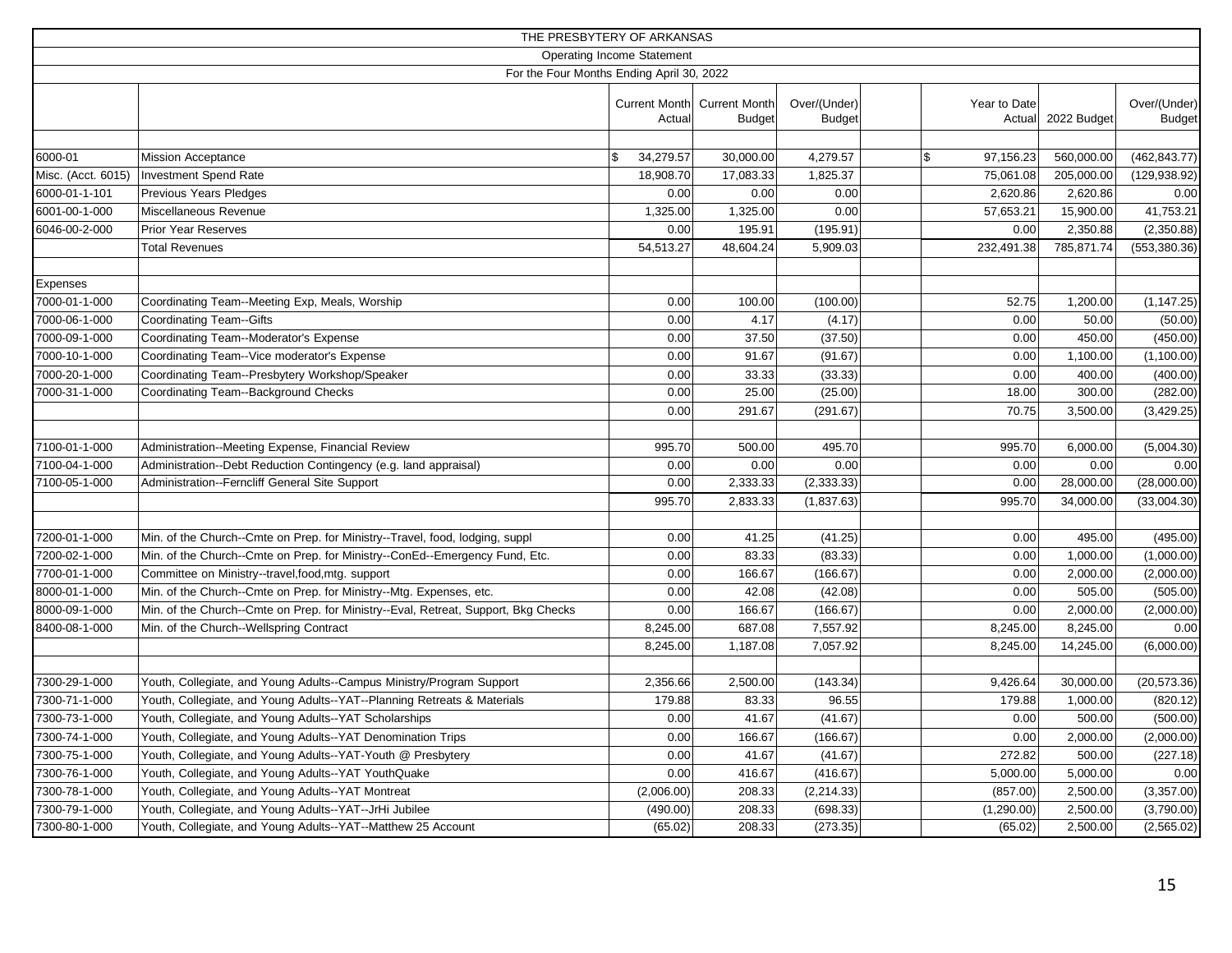|                    |                                                                                    | THE PRESBYTERY OF ARKANSAS        |                                       |                               |                                 |             |                               |
|--------------------|------------------------------------------------------------------------------------|-----------------------------------|---------------------------------------|-------------------------------|---------------------------------|-------------|-------------------------------|
|                    |                                                                                    | <b>Operating Income Statement</b> |                                       |                               |                                 |             |                               |
|                    | For the Four Months Ending April 30, 2022                                          |                                   |                                       |                               |                                 |             |                               |
|                    |                                                                                    | <b>Current Month</b><br>Actual    | <b>Current Month</b><br><b>Budget</b> | Over/(Under)<br><b>Budget</b> | Year to Date<br>Actual          | 2022 Budget | Over/(Under)<br><b>Budget</b> |
|                    |                                                                                    |                                   |                                       |                               |                                 |             |                               |
| 6000-01            | <b>Mission Acceptance</b>                                                          | \$<br>34,279.57                   | 30,000.00                             | 4,279.57                      | $\mathbf{\hat{s}}$<br>97,156.23 | 560,000.00  | (462, 843.77)                 |
| Misc. (Acct. 6015) | Investment Spend Rate                                                              | 18,908.70                         | 17,083.33                             | 1,825.37                      | 75,061.08                       | 205,000.00  | (129, 938.92)                 |
| 6000-01-1-101      | Previous Years Pledges                                                             | 0.00                              | 0.00                                  | 0.00                          | 2,620.86                        | 2,620.86    | 0.00                          |
| 6001-00-1-000      | Miscellaneous Revenue                                                              | 1,325.00                          | 1,325.00                              | 0.00                          | 57,653.21                       | 15,900.00   | 41,753.21                     |
| 6046-00-2-000      | <b>Prior Year Reserves</b>                                                         | 0.00                              | 195.91                                | (195.91)                      | 0.00                            | 2,350.88    | (2,350.88)                    |
|                    | <b>Total Revenues</b>                                                              | 54,513.27                         | 48,604.24                             | 5,909.03                      | 232,491.38                      | 785,871.74  | (553, 380.36)                 |
|                    |                                                                                    |                                   |                                       |                               |                                 |             |                               |
| Expenses           |                                                                                    |                                   |                                       |                               |                                 |             |                               |
| 7000-01-1-000      | Coordinating Team--Meeting Exp, Meals, Worship                                     | 0.00                              | 100.00                                | (100.00)                      | 52.75                           | 1,200.00    | (1, 147.25)                   |
| 7000-06-1-000      | <b>Coordinating Team--Gifts</b>                                                    | 0.00                              | 4.17                                  | (4.17)                        | 0.00                            | 50.00       | (50.00)                       |
| 7000-09-1-000      | Coordinating Team--Moderator's Expense                                             | 0.00                              | 37.50                                 | (37.50)                       | 0.00                            | 450.00      | (450.00)                      |
| 7000-10-1-000      | Coordinating Team--Vice moderator's Expense                                        | 0.00                              | 91.67                                 | (91.67)                       | 0.00                            | 1,100.00    | (1, 100.00)                   |
| 7000-20-1-000      | Coordinating Team--Presbytery Workshop/Speaker                                     | 0.00                              | 33.33                                 | (33.33)                       | 0.00                            | 400.00      | (400.00)                      |
| 7000-31-1-000      | Coordinating Team--Background Checks                                               | 0.00                              | 25.00                                 | (25.00)                       | 18.00                           | 300.00      | (282.00)                      |
|                    |                                                                                    | 0.00                              | 291.67                                | (291.67)                      | 70.75                           | 3,500.00    | (3, 429.25)                   |
|                    |                                                                                    |                                   |                                       |                               |                                 |             |                               |
| 7100-01-1-000      | Administration--Meeting Expense, Financial Review                                  | 995.70                            | 500.00                                | 495.70                        | 995.70                          | 6,000.00    | (5,004.30)                    |
| 7100-04-1-000      | Administration--Debt Reduction Contingency (e.g. land appraisal)                   | 0.00                              | 0.00                                  | 0.00                          | 0.00                            | 0.00        | 0.00                          |
| 7100-05-1-000      | Administration--Ferncliff General Site Support                                     | 0.00                              | 2,333.33                              | (2, 333.33)                   | 0.00                            | 28,000.00   | (28,000.00)                   |
|                    |                                                                                    | 995.70                            | 2,833.33                              | (1,837.63)                    | 995.70                          | 34,000.00   | (33,004.30)                   |
|                    |                                                                                    |                                   |                                       |                               |                                 |             |                               |
| 7200-01-1-000      | Min. of the Church--Cmte on Prep. for Ministry--Travel, food, lodging, suppl       | 0.00                              | 41.25                                 | (41.25)                       | 0.00                            | 495.00      | (495.00)                      |
| 7200-02-1-000      | Min. of the Church--Cmte on Prep. for Ministry--ConEd--Emergency Fund, Etc.        | 0.00                              | 83.33                                 | (83.33)                       | 0.00                            | 1,000.00    | (1,000.00)                    |
| 7700-01-1-000      | Committee on Ministry--travel, food, mtg. support                                  | 0.00                              | 166.67                                | (166.67)                      | 0.00                            | 2,000.00    | (2,000.00)                    |
| 8000-01-1-000      | Min. of the Church--Cmte on Prep. for Ministry--Mtg. Expenses, etc.                | 0.00                              | 42.08                                 | (42.08)                       | 0.00                            | 505.00      | (505.00)                      |
| 8000-09-1-000      | Min. of the Church--Cmte on Prep. for Ministry--Eval, Retreat, Support, Bkg Checks | 0.00                              | 166.67                                | (166.67)                      | 0.00                            | 2,000.00    | (2,000.00)                    |
| 8400-08-1-000      | Min. of the Church--Wellspring Contract                                            | 8,245.00                          | 687.08                                | 7,557.92                      | 8,245.00                        | 8,245.00    | 0.00                          |
|                    |                                                                                    | 8,245.00                          | 1,187.08                              | 7,057.92                      | 8,245.00                        | 14,245.00   | (6,000.00)                    |
|                    |                                                                                    |                                   |                                       |                               |                                 |             |                               |
| 7300-29-1-000      | Youth, Collegiate, and Young Adults--Campus Ministry/Program Support               | 2,356.66                          | 2,500.00                              | (143.34)                      | 9,426.64                        | 30,000.00   | (20, 573.36)                  |
| 7300-71-1-000      | Youth, Collegiate, and Young Adults--YAT--Planning Retreats & Materials            | 179.88                            | 83.33                                 | 96.55                         | 179.88                          | 1,000.00    | (820.12)                      |
| 7300-73-1-000      | Youth, Collegiate, and Young Adults--YAT Scholarships                              | 0.00                              | 41.67                                 | (41.67)                       | 0.00                            | 500.00      | (500.00)                      |
| 7300-74-1-000      | Youth, Collegiate, and Young Adults--YAT Denomination Trips                        | 0.00                              | 166.67                                | (166.67)                      | 0.00                            | 2,000.00    | (2,000.00)                    |
| 7300-75-1-000      | Youth, Collegiate, and Young Adults--YAT-Youth @ Presbytery                        | 0.00                              | 41.67                                 | (41.67)                       | 272.82                          | 500.00      | (227.18)                      |
| 7300-76-1-000      | Youth, Collegiate, and Young Adults--YAT YouthQuake                                | 0.00                              | 416.67                                | (416.67)                      | 5,000.00                        | 5,000.00    | 0.00                          |
| 7300-78-1-000      | Youth, Collegiate, and Young Adults--YAT Montreat                                  | (2,006.00)                        | 208.33                                | (2, 214.33)                   | (857.00)                        | 2,500.00    | (3,357.00)                    |
| 7300-79-1-000      | Youth, Collegiate, and Young Adults--YAT--JrHi Jubilee                             | (490.00)                          | 208.33                                | (698.33)                      | (1,290.00)                      | 2,500.00    | (3,790.00)                    |
| 7300-80-1-000      | Youth, Collegiate, and Young Adults--YAT--Matthew 25 Account                       | (65.02)                           | 208.33                                | (273.35)                      | (65.02)                         | 2,500.00    | (2,565.02)                    |
|                    |                                                                                    |                                   |                                       |                               |                                 |             |                               |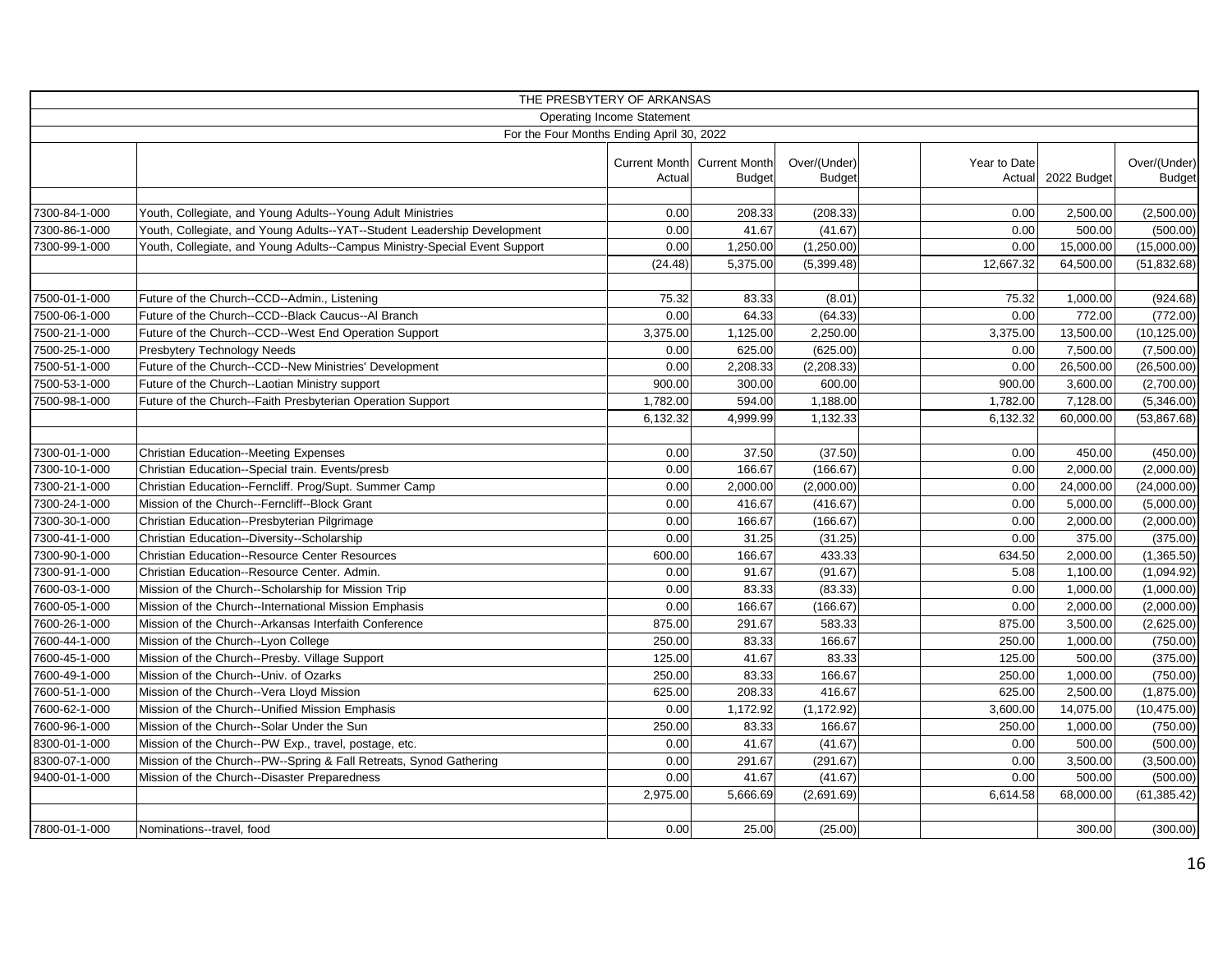|                                |                                                                                                                    | THE PRESBYTERY OF ARKANSAS                |                                              |                               |                        |                       |                               |
|--------------------------------|--------------------------------------------------------------------------------------------------------------------|-------------------------------------------|----------------------------------------------|-------------------------------|------------------------|-----------------------|-------------------------------|
|                                |                                                                                                                    | <b>Operating Income Statement</b>         |                                              |                               |                        |                       |                               |
|                                |                                                                                                                    | For the Four Months Ending April 30, 2022 |                                              |                               |                        |                       |                               |
|                                |                                                                                                                    | Actual                                    | Current Month Current Month<br><b>Budget</b> | Over/(Under)<br><b>Budget</b> | Year to Date<br>Actual | 2022 Budget           | Over/(Under)<br><b>Budget</b> |
|                                |                                                                                                                    |                                           |                                              |                               |                        |                       |                               |
| 7300-84-1-000                  | Youth, Collegiate, and Young Adults--Young Adult Ministries                                                        | 0.00                                      | 208.33                                       | (208.33)                      | 0.00                   | 2,500.00              | (2,500.00)                    |
| 7300-86-1-000                  | Youth, Collegiate, and Young Adults--YAT--Student Leadership Development                                           | 0.00                                      | 41.67                                        | (41.67)                       | 0.00                   | 500.00                | (500.00)                      |
| 7300-99-1-000                  | Youth, Collegiate, and Young Adults--Campus Ministry-Special Event Support                                         | 0.00                                      | 1,250.00                                     | (1,250.00)                    | 0.00                   | 15,000.00             | (15,000.00)                   |
|                                |                                                                                                                    | (24.48)                                   | 5,375.00                                     | (5,399.48)                    | 12,667.32              | 64,500.00             | (51, 832.68)                  |
| 7500-01-1-000                  | Future of the Church--CCD--Admin., Listening                                                                       | 75.32                                     | 83.33                                        | (8.01)                        | 75.32                  | 1,000.00              | (924.68)                      |
| 7500-06-1-000                  | Future of the Church--CCD--Black Caucus--Al Branch                                                                 | 0.00                                      | 64.33                                        | (64.33)                       | 0.00                   | 772.00                | (772.00)                      |
| 7500-21-1-000                  | Future of the Church--CCD--West End Operation Support                                                              | 3,375.00                                  | 1,125.00                                     | 2,250.00                      | 3,375.00               | 13,500.00             | (10, 125.00)                  |
| 7500-25-1-000                  | <b>Presbytery Technology Needs</b>                                                                                 | 0.00                                      | 625.00                                       | (625.00)                      | 0.00                   | 7,500.00              | (7,500.00)                    |
| 7500-51-1-000                  | Future of the Church--CCD--New Ministries' Development                                                             | 0.00                                      | 2,208.33                                     | (2, 208.33)                   | 0.00                   | 26,500.00             | (26,500.00)                   |
| 7500-53-1-000                  | Future of the Church--Laotian Ministry support                                                                     | 900.00                                    | 300.00                                       | 600.00                        | 900.00                 | 3,600.00              | (2,700.00)                    |
| 7500-98-1-000                  | Future of the Church--Faith Presbyterian Operation Support                                                         | 1,782.00                                  | 594.00                                       | 1,188.00                      | 1,782.00               | 7,128.00              | (5,346.00)                    |
|                                |                                                                                                                    | 6,132.32                                  | 4,999.99                                     | 1,132.33                      | 6,132.32               | 60,000.00             | (53,867.68)                   |
|                                |                                                                                                                    |                                           |                                              |                               |                        |                       |                               |
| 7300-01-1-000                  | <b>Christian Education--Meeting Expenses</b>                                                                       | 0.00                                      | 37.50                                        | (37.50)                       | 0.00                   | 450.00                | (450.00)                      |
| 7300-10-1-000                  | Christian Education--Special train. Events/presb                                                                   | 0.00                                      | 166.67                                       | (166.67)                      | 0.00                   | 2,000.00              | (2,000.00)                    |
| 7300-21-1-000                  | Christian Education--Ferncliff. Prog/Supt. Summer Camp                                                             | 0.00                                      | 2,000.00                                     | (2,000.00)                    | 0.00                   | 24,000.00             | (24,000.00)                   |
| 7300-24-1-000                  | Mission of the Church--Ferncliff--Block Grant                                                                      | 0.00                                      | 416.67                                       | (416.67)                      | 0.00                   | 5,000.00              | (5,000.00)                    |
| 7300-30-1-000                  | Christian Education--Presbyterian Pilgrimage                                                                       | 0.00                                      | 166.67                                       | (166.67)                      | 0.00                   | 2,000.00              | (2,000.00)                    |
| 7300-41-1-000                  | Christian Education--Diversity--Scholarship                                                                        | 0.00                                      | 31.25                                        | (31.25)                       | 0.00                   | 375.00                | (375.00)                      |
| 7300-90-1-000<br>7300-91-1-000 | <b>Christian Education--Resource Center Resources</b>                                                              | 600.00                                    | 166.67                                       | 433.33                        | 634.50                 | 2,000.00              | (1,365.50)                    |
| 7600-03-1-000                  | Christian Education--Resource Center. Admin.                                                                       | 0.00                                      | 91.67<br>83.33                               | (91.67)<br>(83.33)            | 5.08<br>0.00           | 1,100.00              | (1,094.92)                    |
|                                | Mission of the Church--Scholarship for Mission Trip                                                                | 0.00<br>0.00                              | 166.67                                       |                               | 0.00                   | 1,000.00              | (1,000.00)                    |
| 7600-05-1-000<br>7600-26-1-000 | Mission of the Church--International Mission Emphasis                                                              | 875.00                                    |                                              | (166.67)                      | 875.00                 | 2,000.00<br>3,500.00  | (2,000.00)                    |
|                                | Mission of the Church--Arkansas Interfaith Conference                                                              |                                           | 291.67                                       | 583.33                        |                        |                       | (2,625.00)                    |
| 7600-44-1-000<br>7600-45-1-000 | Mission of the Church--Lyon College                                                                                | 250.00<br>125.00                          | 83.33<br>41.67                               | 166.67<br>83.33               | 250.00<br>125.00       | 1,000.00<br>500.00    | (750.00)                      |
| 7600-49-1-000                  | Mission of the Church--Presby. Village Support<br>Mission of the Church--Univ. of Ozarks                           | 250.00                                    | 83.33                                        | 166.67                        | 250.00                 | 1,000.00              | (375.00)                      |
| 7600-51-1-000                  | Mission of the Church--Vera Lloyd Mission                                                                          | 625.00                                    | 208.33                                       | 416.67                        | 625.00                 | 2,500.00              | (750.00)<br>(1,875.00)        |
|                                |                                                                                                                    | 0.00                                      |                                              |                               |                        |                       |                               |
| 7600-62-1-000<br>7600-96-1-000 | Mission of the Church--Unified Mission Emphasis<br>Mission of the Church--Solar Under the Sun                      | 250.00                                    | 1,172.92<br>83.33                            | (1, 172.92)<br>166.67         | 3,600.00<br>250.00     | 14,075.00<br>1,000.00 | (10, 475.00)                  |
|                                |                                                                                                                    |                                           |                                              |                               |                        |                       | (750.00)                      |
| 8300-01-1-000                  | Mission of the Church--PW Exp., travel, postage, etc.                                                              | 0.00                                      | 41.67                                        | (41.67)                       | 0.00                   | 500.00                | (500.00)                      |
| 8300-07-1-000<br>9400-01-1-000 | Mission of the Church--PW--Spring & Fall Retreats, Synod Gathering<br>Mission of the Church--Disaster Preparedness | 0.00<br>0.00                              | 291.67<br>41.67                              | (291.67)<br>(41.67)           | 0.00<br>0.00           | 3,500.00<br>500.00    | (3,500.00)                    |
|                                |                                                                                                                    |                                           |                                              |                               |                        |                       | (500.00)                      |
|                                |                                                                                                                    | 2,975.00                                  | 5,666.69                                     | (2,691.69)                    | 6,614.58               | 68,000.00             | (61, 385.42)                  |
| 7800-01-1-000                  | Nominations--travel, food                                                                                          | 0.00                                      | 25.00                                        | (25.00)                       |                        | 300.00                | (300.00)                      |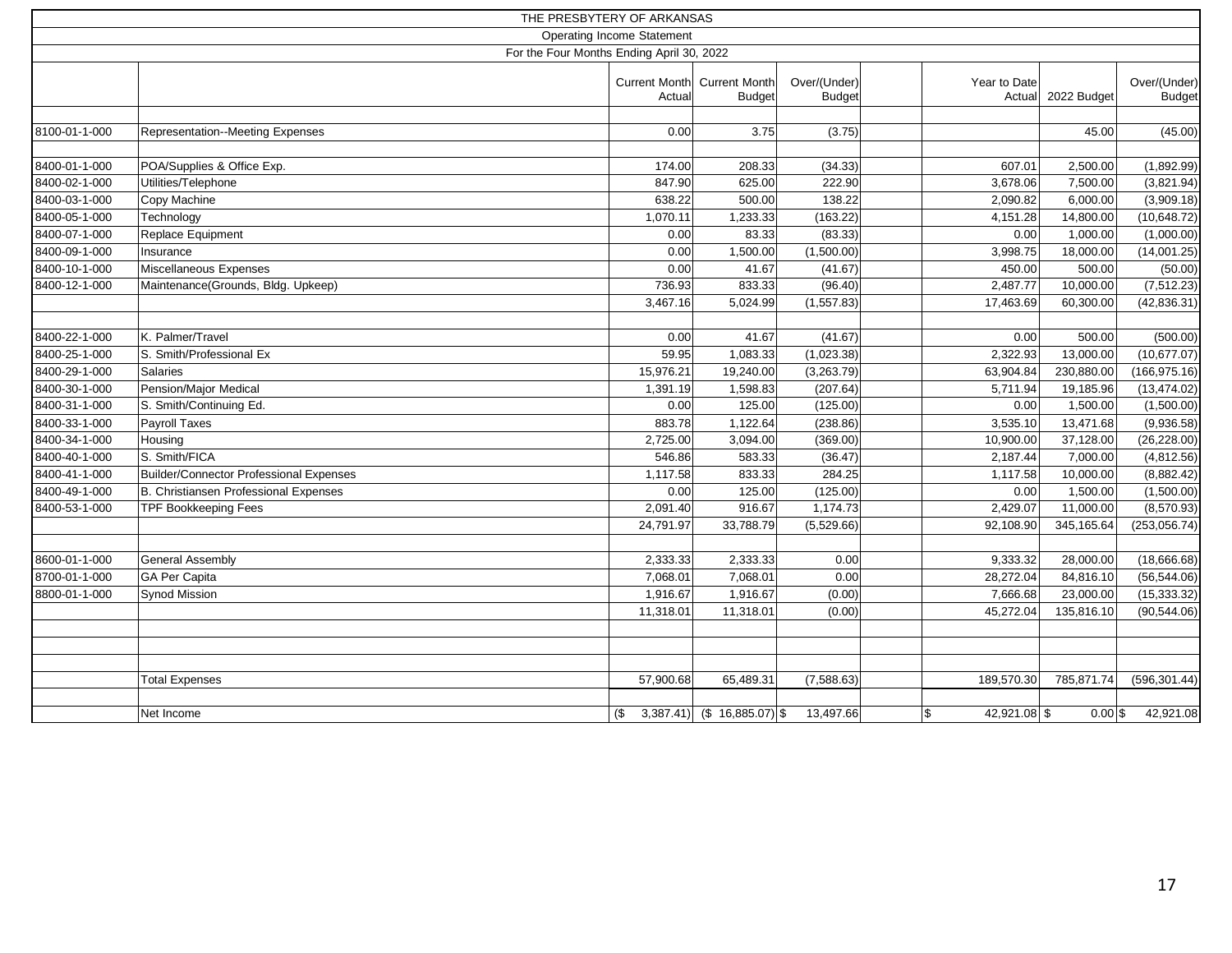|               |                                                | THE PRESBYTERY OF ARKANSAS                |                                   |                                              |                               |                        |             |                               |
|---------------|------------------------------------------------|-------------------------------------------|-----------------------------------|----------------------------------------------|-------------------------------|------------------------|-------------|-------------------------------|
|               |                                                |                                           | <b>Operating Income Statement</b> |                                              |                               |                        |             |                               |
|               |                                                | For the Four Months Ending April 30, 2022 |                                   |                                              |                               |                        |             |                               |
|               |                                                |                                           | Actual                            | Current Month Current Month<br><b>Budget</b> | Over/(Under)<br><b>Budget</b> | Year to Date<br>Actual | 2022 Budget | Over/(Under)<br><b>Budget</b> |
|               |                                                |                                           |                                   |                                              |                               |                        |             |                               |
| 8100-01-1-000 | Representation--Meeting Expenses               |                                           | 0.00                              | 3.75                                         | (3.75)                        |                        | 45.00       | (45.00)                       |
|               |                                                |                                           |                                   |                                              |                               |                        |             |                               |
| 8400-01-1-000 | POA/Supplies & Office Exp.                     |                                           | 174.00                            | 208.33                                       | (34.33)                       | 607.01                 | 2,500.00    | (1,892.99)                    |
| 8400-02-1-000 | Utilities/Telephone                            |                                           | 847.90                            | 625.00                                       | 222.90                        | 3,678.06               | 7,500.00    | (3,821.94)                    |
| 8400-03-1-000 | Copy Machine                                   |                                           | 638.22                            | 500.00                                       | 138.22                        | 2,090.82               | 6,000.00    | (3,909.18)                    |
| 8400-05-1-000 | Technology                                     |                                           | 1,070.11                          | 1,233.33                                     | (163.22)                      | 4,151.28               | 14,800.00   | (10, 648.72)                  |
| 8400-07-1-000 | Replace Equipment                              |                                           | 0.00                              | 83.33                                        | (83.33)                       | 0.00                   | 1,000.00    | (1,000.00)                    |
| 8400-09-1-000 | Insurance                                      |                                           | 0.00                              | 1,500.00                                     | (1,500.00)                    | 3,998.75               | 18,000.00   | (14,001.25)                   |
| 8400-10-1-000 | Miscellaneous Expenses                         |                                           | 0.00                              | 41.67                                        | (41.67)                       | 450.00                 | 500.00      | (50.00)                       |
| 8400-12-1-000 | Maintenance(Grounds, Bldg. Upkeep)             |                                           | 736.93                            | 833.33                                       | (96.40)                       | 2,487.77               | 10,000.00   | (7, 512.23)                   |
|               |                                                |                                           | 3,467.16                          | 5,024.99                                     | (1, 557.83)                   | 17,463.69              | 60,300.00   | (42, 836.31)                  |
|               |                                                |                                           |                                   |                                              |                               |                        |             |                               |
| 8400-22-1-000 | K. Palmer/Travel                               |                                           | 0.00                              | 41.67                                        | (41.67)                       | 0.00                   | 500.00      | (500.00)                      |
| 8400-25-1-000 | S. Smith/Professional Ex                       |                                           | 59.95                             | 1,083.33                                     | (1,023.38)                    | 2,322.93               | 13,000.00   | (10, 677.07)                  |
| 8400-29-1-000 | <b>Salaries</b>                                |                                           | 15,976.21                         | 19,240.00                                    | (3,263.79)                    | 63,904.84              | 230,880.00  | (166, 975.16)                 |
| 8400-30-1-000 | Pension/Major Medical                          |                                           | 1,391.19                          | 1,598.83                                     | (207.64)                      | 5,711.94               | 19,185.96   | (13, 474.02)                  |
| 8400-31-1-000 | S. Smith/Continuing Ed.                        |                                           | 0.00                              | 125.00                                       | (125.00)                      | 0.00                   | 1,500.00    | (1,500.00)                    |
| 8400-33-1-000 | Payroll Taxes                                  |                                           | 883.78                            | 1,122.64                                     | (238.86)                      | 3,535.10               | 13,471.68   | (9,936.58)                    |
| 8400-34-1-000 | Housing                                        |                                           | 2,725.00                          | 3,094.00                                     | (369.00)                      | 10,900.00              | 37,128.00   | (26, 228.00)                  |
| 8400-40-1-000 | S. Smith/FICA                                  |                                           | 546.86                            | 583.33                                       | (36.47)                       | 2,187.44               | 7,000.00    | (4,812.56)                    |
| 8400-41-1-000 | <b>Builder/Connector Professional Expenses</b> |                                           | 1,117.58                          | 833.33                                       | 284.25                        | 1,117.58               | 10,000.00   | (8,882.42)                    |
| 8400-49-1-000 | B. Christiansen Professional Expenses          |                                           | 0.00                              | 125.00                                       | (125.00)                      | 0.00                   | 1,500.00    | (1,500.00)                    |
| 8400-53-1-000 | <b>TPF Bookkeeping Fees</b>                    |                                           | 2,091.40                          | 916.67                                       | 1,174.73                      | 2,429.07               | 11,000.00   | (8,570.93)                    |
|               |                                                |                                           | 24,791.97                         | 33,788.79                                    | (5,529.66)                    | 92,108.90              | 345,165.64  | (253, 056.74)                 |
|               |                                                |                                           |                                   |                                              |                               |                        |             |                               |
| 8600-01-1-000 | <b>General Assembly</b>                        |                                           | 2,333.33                          | 2,333.33                                     | 0.00                          | 9,333.32               | 28,000.00   | (18,666.68)                   |
| 8700-01-1-000 | <b>GA Per Capita</b>                           |                                           | 7,068.01                          | 7,068.01                                     | 0.00                          | 28,272.04              | 84,816.10   | (56, 544.06)                  |
| 8800-01-1-000 | <b>Synod Mission</b>                           |                                           | 1,916.67                          | 1,916.67                                     | (0.00)                        | 7,666.68               | 23,000.00   | (15, 333.32)                  |
|               |                                                |                                           | 11,318.01                         | 11,318.01                                    | (0.00)                        | 45,272.04              | 135,816.10  | (90, 544.06)                  |
|               |                                                |                                           |                                   |                                              |                               |                        |             |                               |
|               |                                                |                                           |                                   |                                              |                               |                        |             |                               |
|               |                                                |                                           |                                   |                                              |                               |                        |             |                               |
|               | <b>Total Expenses</b>                          |                                           | 57,900.68                         | 65,489.31                                    | (7,588.63)                    | 189,570.30             | 785,871.74  | (596, 301.44)                 |
|               |                                                |                                           |                                   |                                              |                               |                        |             |                               |
|               | Net Income                                     |                                           | (\$                               | $3,387.41$ (\$ 16,885.07) \$                 | 13,497.66                     | 42,921.08 \$<br>l\$    | $0.00$ \$   | 42,921.08                     |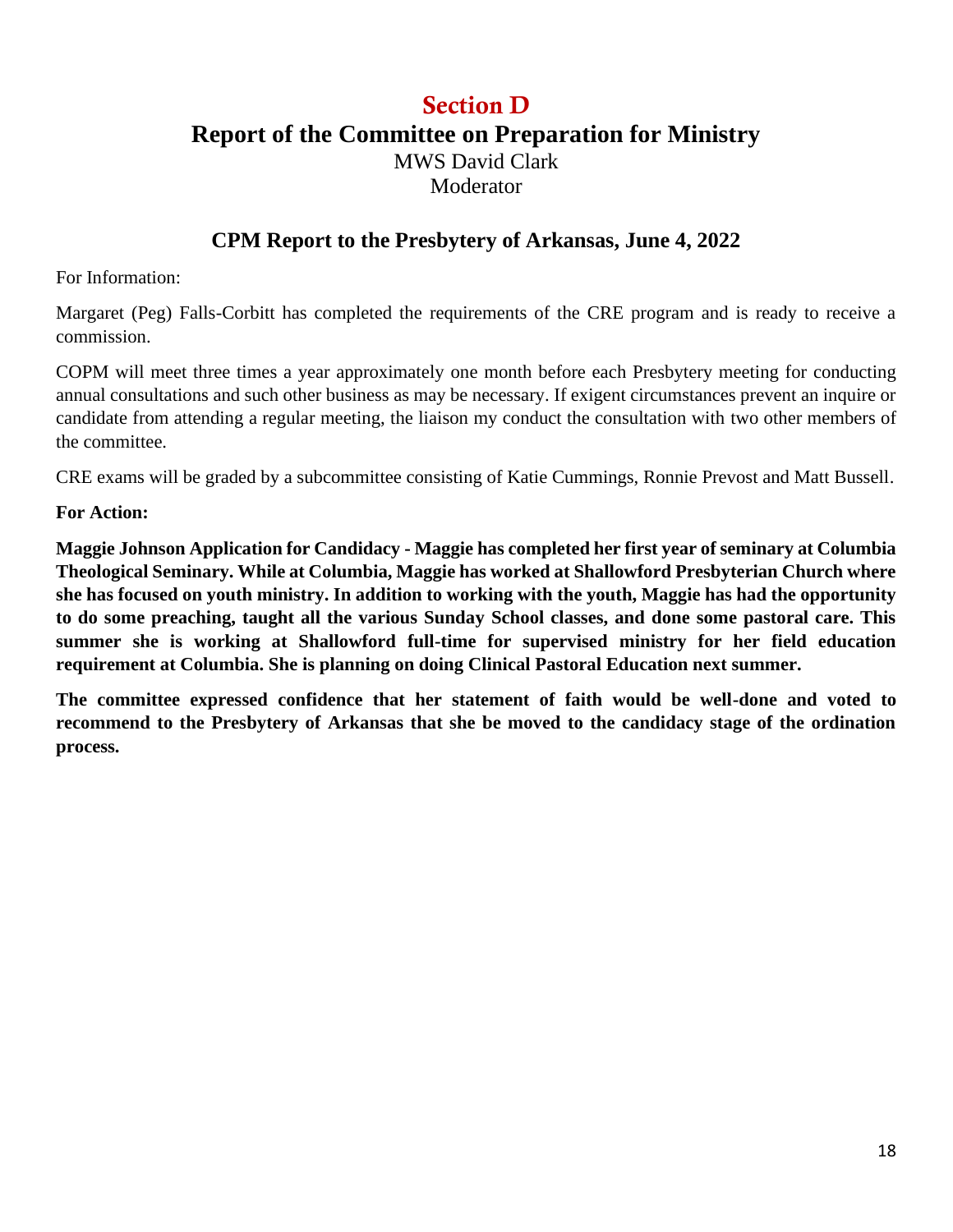### Section D

**Report of the Committee on Preparation for Ministry**

MWS David Clark Moderator

### **CPM Report to the Presbytery of Arkansas, June 4, 2022**

For Information:

Margaret (Peg) Falls-Corbitt has completed the requirements of the CRE program and is ready to receive a commission.

COPM will meet three times a year approximately one month before each Presbytery meeting for conducting annual consultations and such other business as may be necessary. If exigent circumstances prevent an inquire or candidate from attending a regular meeting, the liaison my conduct the consultation with two other members of the committee.

CRE exams will be graded by a subcommittee consisting of Katie Cummings, Ronnie Prevost and Matt Bussell.

**For Action:**

**Maggie Johnson Application for Candidacy - Maggie has completed her first year of seminary at Columbia Theological Seminary. While at Columbia, Maggie has worked at Shallowford Presbyterian Church where she has focused on youth ministry. In addition to working with the youth, Maggie has had the opportunity to do some preaching, taught all the various Sunday School classes, and done some pastoral care. This summer she is working at Shallowford full-time for supervised ministry for her field education requirement at Columbia. She is planning on doing Clinical Pastoral Education next summer.**

**The committee expressed confidence that her statement of faith would be well-done and voted to recommend to the Presbytery of Arkansas that she be moved to the candidacy stage of the ordination process.**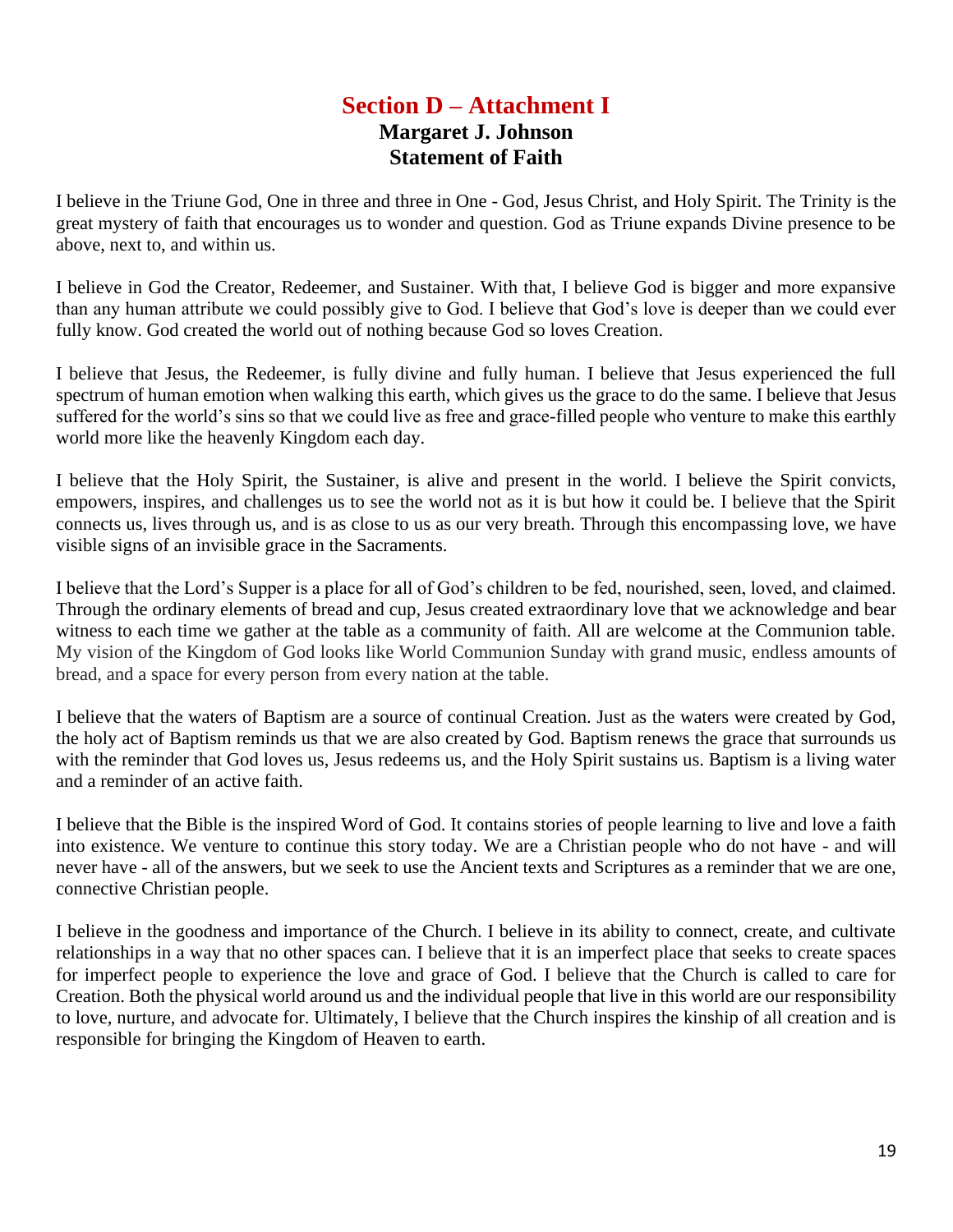### **Section D – Attachment I Margaret J. Johnson Statement of Faith**

I believe in the Triune God, One in three and three in One - God, Jesus Christ, and Holy Spirit. The Trinity is the great mystery of faith that encourages us to wonder and question. God as Triune expands Divine presence to be above, next to, and within us.

I believe in God the Creator, Redeemer, and Sustainer. With that, I believe God is bigger and more expansive than any human attribute we could possibly give to God. I believe that God's love is deeper than we could ever fully know. God created the world out of nothing because God so loves Creation.

I believe that Jesus, the Redeemer, is fully divine and fully human. I believe that Jesus experienced the full spectrum of human emotion when walking this earth, which gives us the grace to do the same. I believe that Jesus suffered for the world's sins so that we could live as free and grace-filled people who venture to make this earthly world more like the heavenly Kingdom each day.

I believe that the Holy Spirit, the Sustainer, is alive and present in the world. I believe the Spirit convicts, empowers, inspires, and challenges us to see the world not as it is but how it could be. I believe that the Spirit connects us, lives through us, and is as close to us as our very breath. Through this encompassing love, we have visible signs of an invisible grace in the Sacraments.

I believe that the Lord's Supper is a place for all of God's children to be fed, nourished, seen, loved, and claimed. Through the ordinary elements of bread and cup, Jesus created extraordinary love that we acknowledge and bear witness to each time we gather at the table as a community of faith. All are welcome at the Communion table. My vision of the Kingdom of God looks like World Communion Sunday with grand music, endless amounts of bread, and a space for every person from every nation at the table.

I believe that the waters of Baptism are a source of continual Creation. Just as the waters were created by God, the holy act of Baptism reminds us that we are also created by God. Baptism renews the grace that surrounds us with the reminder that God loves us, Jesus redeems us, and the Holy Spirit sustains us. Baptism is a living water and a reminder of an active faith.

I believe that the Bible is the inspired Word of God. It contains stories of people learning to live and love a faith into existence. We venture to continue this story today. We are a Christian people who do not have - and will never have - all of the answers, but we seek to use the Ancient texts and Scriptures as a reminder that we are one, connective Christian people.

I believe in the goodness and importance of the Church. I believe in its ability to connect, create, and cultivate relationships in a way that no other spaces can. I believe that it is an imperfect place that seeks to create spaces for imperfect people to experience the love and grace of God. I believe that the Church is called to care for Creation. Both the physical world around us and the individual people that live in this world are our responsibility to love, nurture, and advocate for. Ultimately, I believe that the Church inspires the kinship of all creation and is responsible for bringing the Kingdom of Heaven to earth.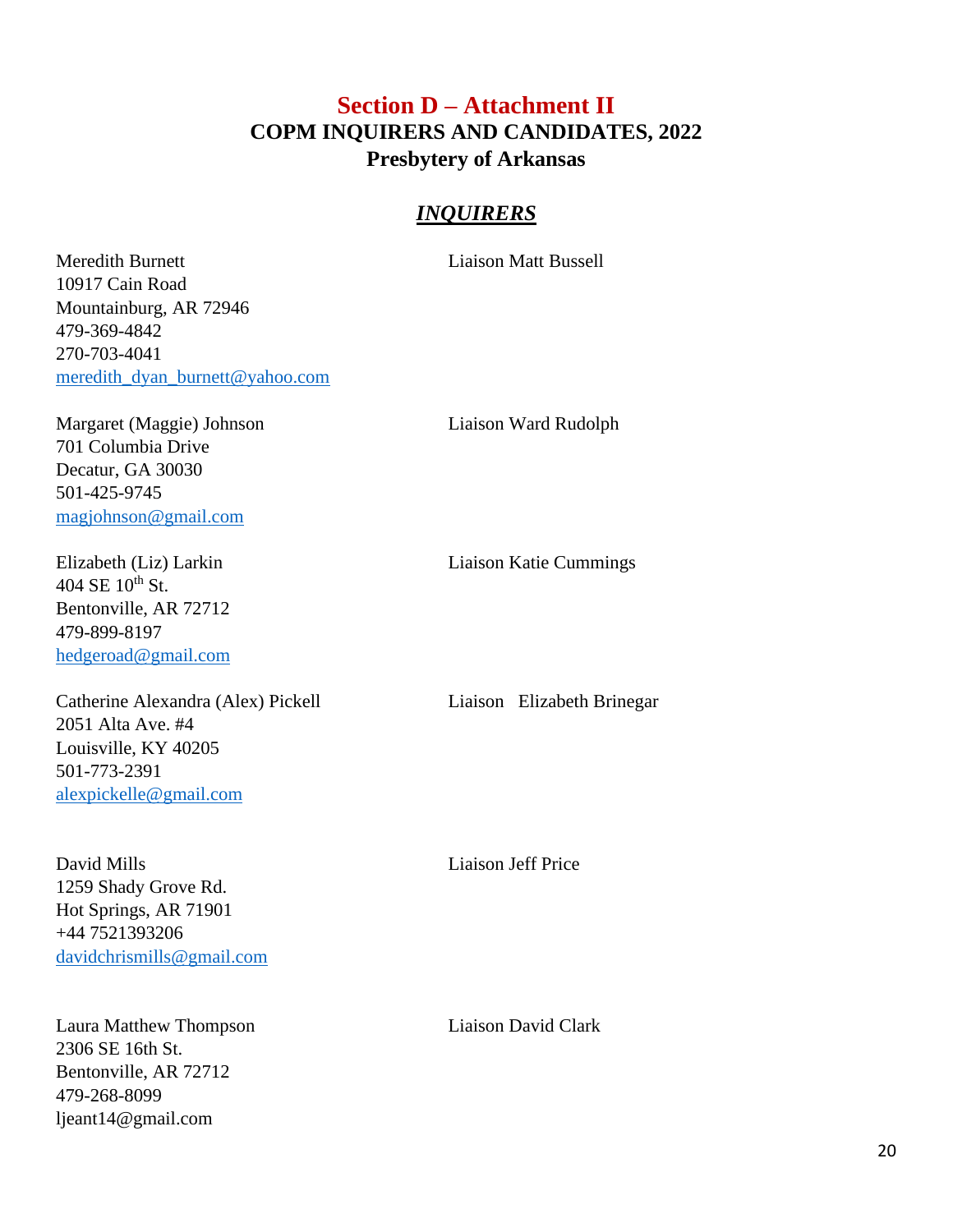### **Section D – Attachment II COPM INQUIRERS AND CANDIDATES, 2022 Presbytery of Arkansas**

#### *INQUIRERS*

Meredith Burnett Liaison Matt Bussell 10917 Cain Road Mountainburg, AR 72946 479-369-4842 270-703-4041 [meredith\\_dyan\\_burnett@yahoo.com](mailto:meredith_dyan_burnett@yahoo.com)

Margaret (Maggie) Johnson Liaison Ward Rudolph 701 Columbia Drive Decatur, GA 30030 501-425-9745 [magjohnson@gmail.com](mailto:magjohnson@gmail.com)

 $404$  SE  $10^{th}$  St. Bentonville, AR 72712 479-899-8197 [hedgeroad@gmail.com](mailto:hedgeroad@gmail.com)

Catherine Alexandra (Alex) Pickell Liaison Elizabeth Brinegar 2051 Alta Ave. #4 Louisville, KY 40205 501-773-2391 [alexpickelle@gmail.com](mailto:alexpickelle@gmail.com)

David Mills Liaison Jeff Price 1259 Shady Grove Rd. Hot Springs, AR 71901 +44 7521393206 [davidchrismills@gmail.com](mailto:davidchrismills@gmail.com)

Laura Matthew Thompson Liaison David Clark 2306 SE 16th St. Bentonville, AR 72712 479-268-8099 ljeant14@gmail.com

Elizabeth (Liz) Larkin Liaison Katie Cummings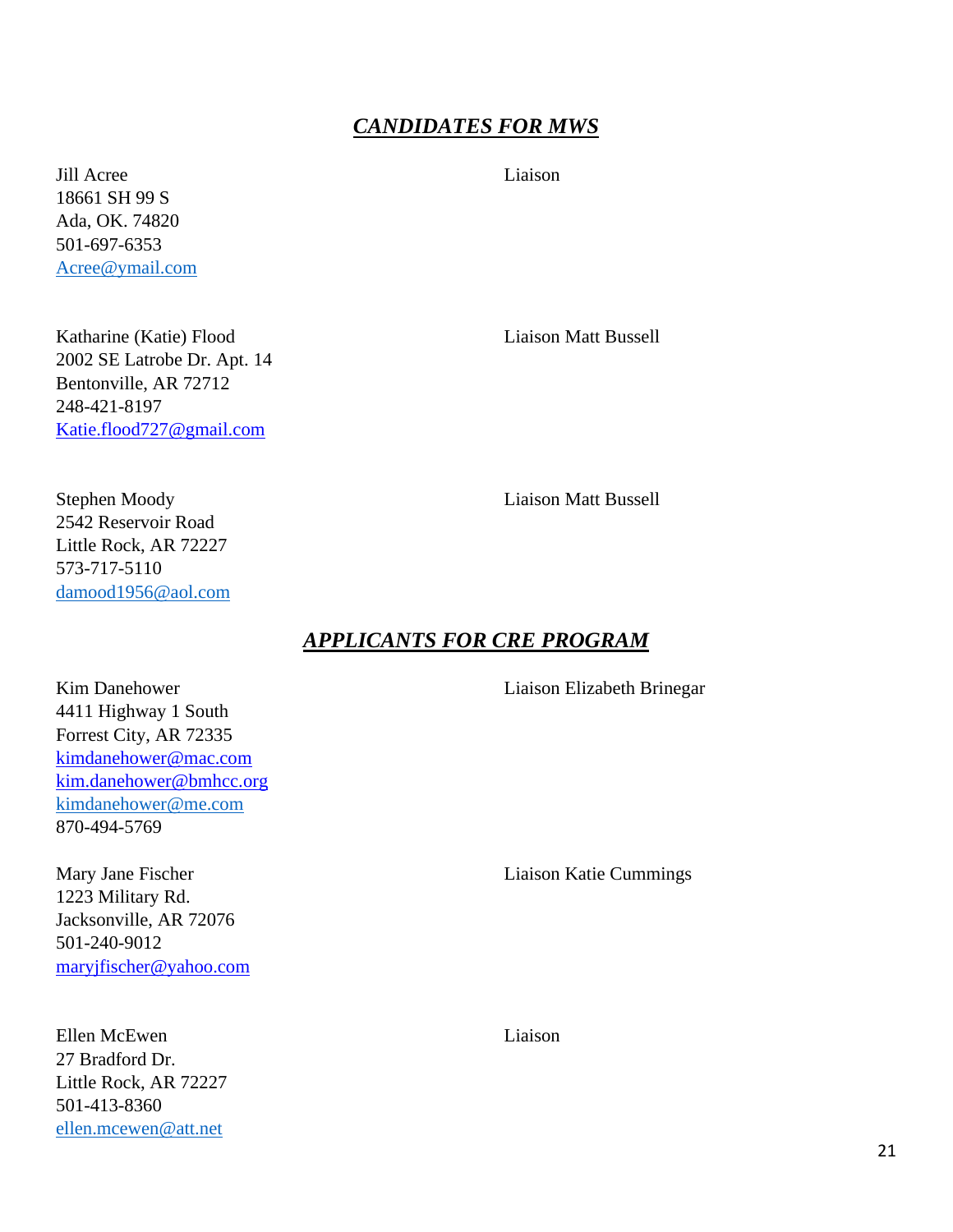### *CANDIDATES FOR MWS*

Jill Acree Liaison 18661 SH 99 S Ada, OK. 74820 501-697-6353 [Acree@ymail.com](mailto:Acree@ymail.com)

Katharine (Katie) Flood Liaison Matt Bussell 2002 SE Latrobe Dr. Apt. 14 Bentonville, AR 72712 248-421-8197 [Katie.flood727@gmail.com](mailto:Katie.flood727@gmail.com)

Stephen Moody Liaison Matt Bussell 2542 Reservoir Road Little Rock, AR 72227 573-717-5110 [damood1956@aol.com](mailto:damood1956@aol.com)

#### *APPLICANTS FOR CRE PROGRAM*

Kim Danehower Liaison Elizabeth Brinegar 4411 Highway 1 South Forrest City, AR 72335 [kimdanehower@mac.com](mailto:kimdanehower@mac.com) [kim.danehower@bmhcc.org](mailto:kim.danehower@bmhcc.org) [kimdanehower@me.com](mailto:kimdanehower@me.com) 870-494-5769

Mary Jane Fischer Liaison Katie Cummings 1223 Military Rd. Jacksonville, AR 72076 501-240-9012 [maryjfischer@yahoo.com](mailto:maryjfischer@yahoo.com)

Ellen McEwen Liaison 27 Bradford Dr. Little Rock, AR 72227 501-413-8360 [ellen.mcewen@att.net](mailto:ellen.mcewen@att.net)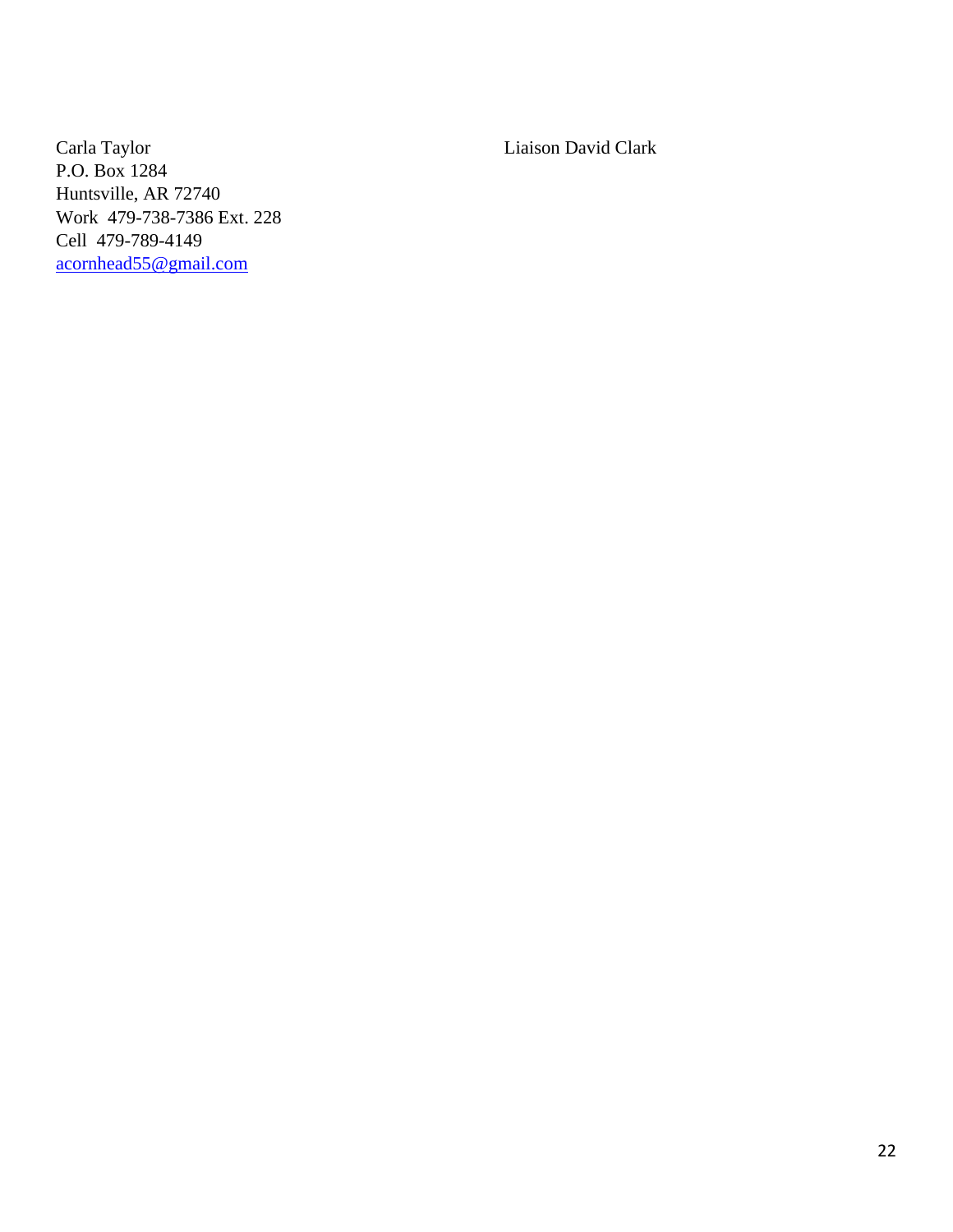Carla Taylor Liaison David Clark P.O. Box 1284 Huntsville, AR 72740 Work 479-738-7386 Ext. 228 Cell 479-789-4149 [acornhead55@gmail.com](mailto:acornhead55@gmail.com)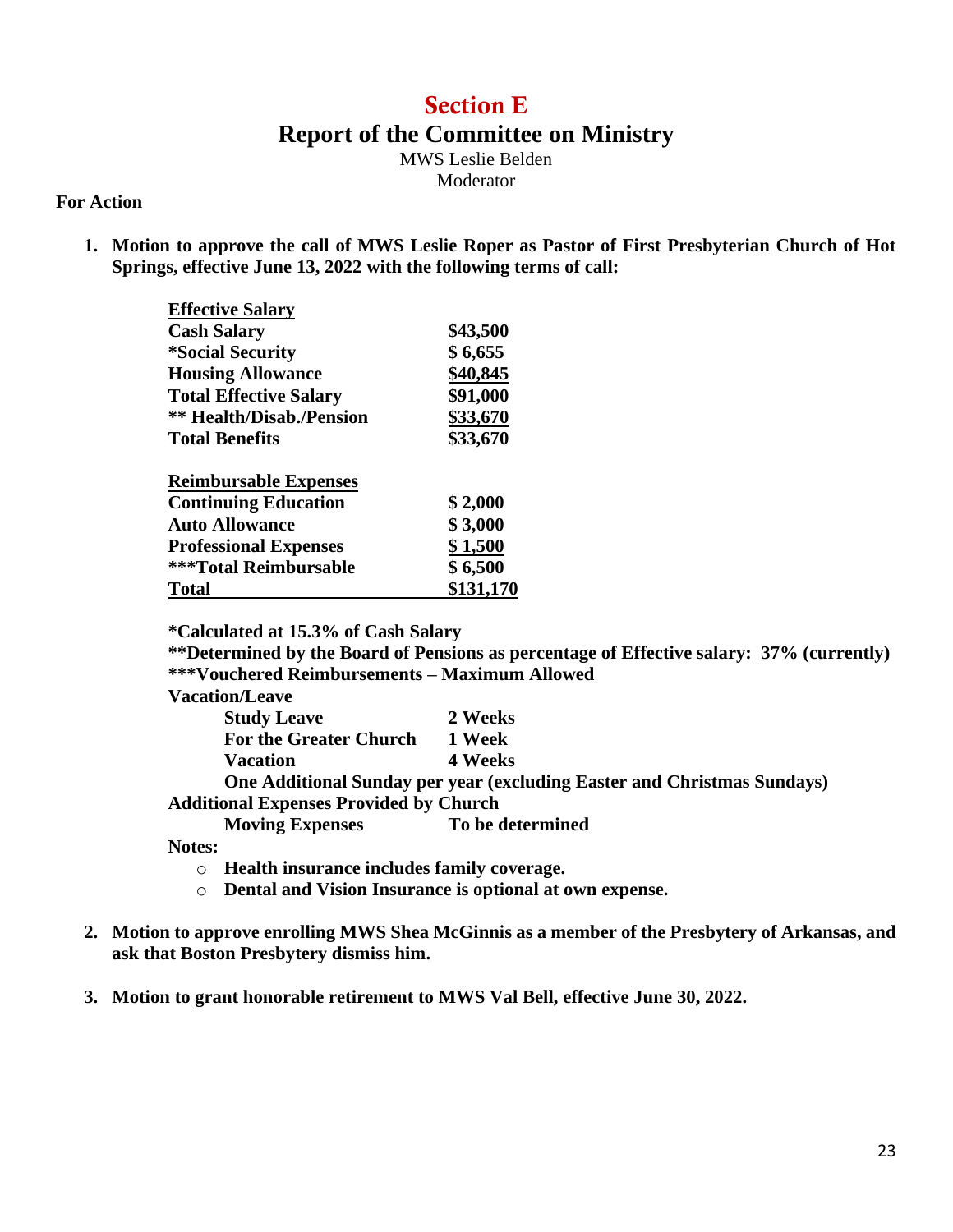### Section E **Report of the Committee on Ministry**

MWS Leslie Belden Moderator

#### **For Action**

**1. Motion to approve the call of MWS Leslie Roper as Pastor of First Presbyterian Church of Hot Springs, effective June 13, 2022 with the following terms of call:**

| <b>Effective Salary</b>         |           |
|---------------------------------|-----------|
| <b>Cash Salary</b>              | \$43,500  |
| <i><b>*Social Security</b></i>  | \$6,655   |
| <b>Housing Allowance</b>        | \$40,845  |
| <b>Total Effective Salary</b>   | \$91,000  |
| <b>** Health/Disab./Pension</b> | \$33,670  |
| <b>Total Benefits</b>           | \$33,670  |
| <b>Reimbursable Expenses</b>    |           |
| <b>Continuing Education</b>     | \$2,000   |
| <b>Auto Allowance</b>           | \$3,000   |
| <b>Professional Expenses</b>    | \$1,500   |
| <b>***Total Reimbursable</b>    | \$6,500   |
| Tot <u>al</u>                   | \$131,170 |

**\*Calculated at 15.3% of Cash Salary**

**\*\*Determined by the Board of Pensions as percentage of Effective salary: 37% (currently) \*\*\*Vouchered Reimbursements – Maximum Allowed Vacation/Leave**

| vacation/Leave                                |                                                                                |
|-----------------------------------------------|--------------------------------------------------------------------------------|
| <b>Study Leave</b>                            | 2 Weeks                                                                        |
| <b>For the Greater Church</b>                 | 1 Week                                                                         |
| <b>Vacation</b>                               | 4 Weeks                                                                        |
|                                               | <b>One Additional Sunday per year (excluding Easter and Christmas Sundays)</b> |
| <b>Additional Expenses Provided by Church</b> |                                                                                |
| <b>Moving Expenses</b>                        | To be determined                                                               |
| Notos•                                        |                                                                                |

**Notes:**

- o **Health insurance includes family coverage.**
- o **Dental and Vision Insurance is optional at own expense.**
- **2. Motion to approve enrolling MWS Shea McGinnis as a member of the Presbytery of Arkansas, and ask that Boston Presbytery dismiss him.**
- **3. Motion to grant honorable retirement to MWS Val Bell, effective June 30, 2022.**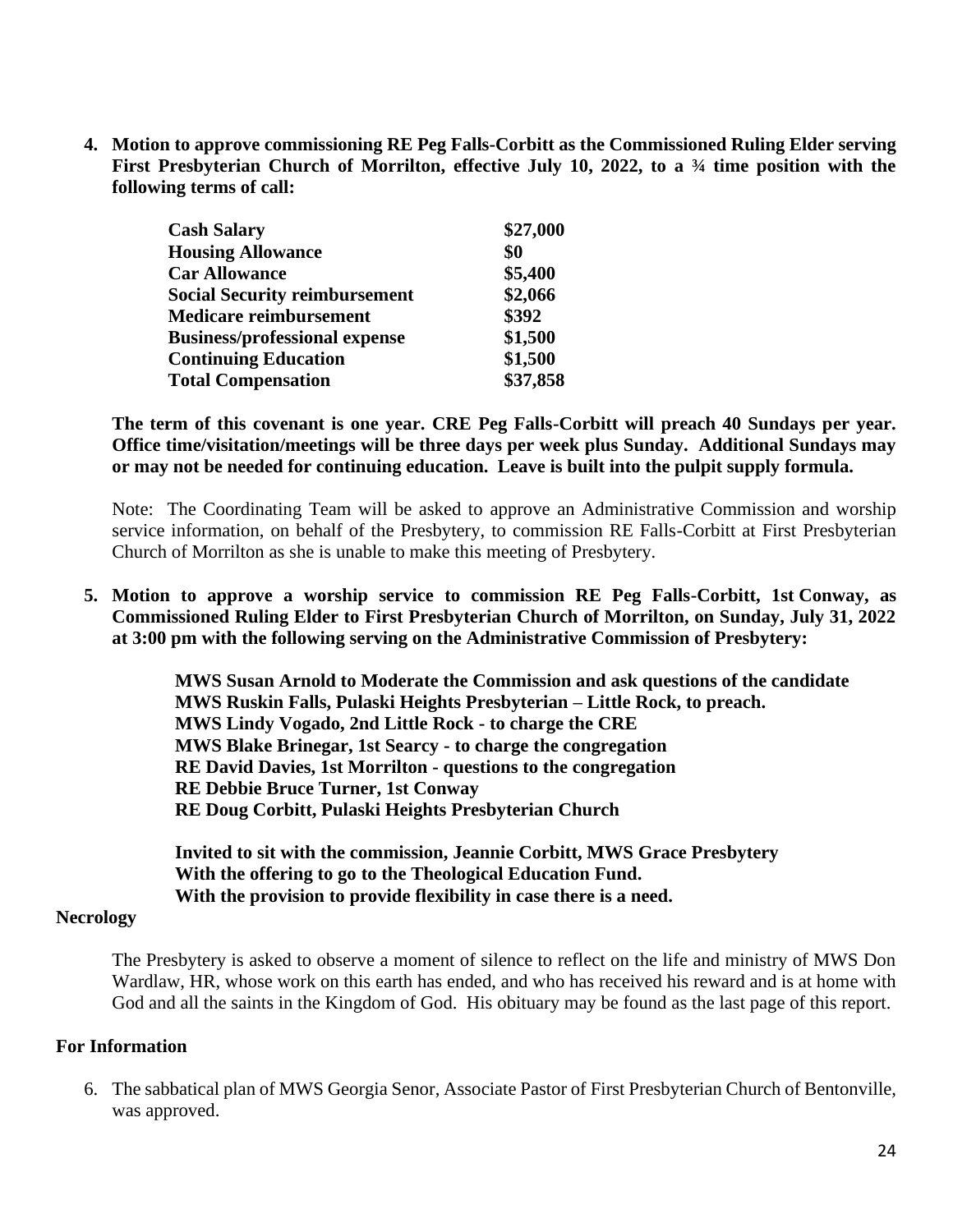**4. Motion to approve commissioning RE Peg Falls-Corbitt as the Commissioned Ruling Elder serving First Presbyterian Church of Morrilton, effective July 10, 2022, to a ¾ time position with the following terms of call:**

| <b>Cash Salary</b>                   | \$27,000 |
|--------------------------------------|----------|
| <b>Housing Allowance</b>             | \$0      |
| <b>Car Allowance</b>                 | \$5,400  |
| <b>Social Security reimbursement</b> | \$2,066  |
| <b>Medicare reimbursement</b>        | \$392    |
| <b>Business/professional expense</b> | \$1,500  |
| <b>Continuing Education</b>          | \$1,500  |
| <b>Total Compensation</b>            | \$37,858 |

**The term of this covenant is one year. CRE Peg Falls-Corbitt will preach 40 Sundays per year. Office time/visitation/meetings will be three days per week plus Sunday. Additional Sundays may or may not be needed for continuing education. Leave is built into the pulpit supply formula.** 

Note: The Coordinating Team will be asked to approve an Administrative Commission and worship service information, on behalf of the Presbytery, to commission RE Falls-Corbitt at First Presbyterian Church of Morrilton as she is unable to make this meeting of Presbytery.

**5. Motion to approve a worship service to commission RE Peg Falls-Corbitt, 1st Conway, as Commissioned Ruling Elder to First Presbyterian Church of Morrilton, on Sunday, July 31, 2022 at 3:00 pm with the following serving on the Administrative Commission of Presbytery:**

> **MWS Susan Arnold to Moderate the Commission and ask questions of the candidate MWS Ruskin Falls, Pulaski Heights Presbyterian – Little Rock, to preach. MWS Lindy Vogado, 2nd Little Rock - to charge the CRE MWS Blake Brinegar, 1st Searcy - to charge the congregation RE David Davies, 1st Morrilton - questions to the congregation RE Debbie Bruce Turner, 1st Conway RE Doug Corbitt, Pulaski Heights Presbyterian Church**

**Invited to sit with the commission, Jeannie Corbitt, MWS Grace Presbytery With the offering to go to the Theological Education Fund. With the provision to provide flexibility in case there is a need.**

#### **Necrology**

The Presbytery is asked to observe a moment of silence to reflect on the life and ministry of MWS Don Wardlaw, HR, whose work on this earth has ended, and who has received his reward and is at home with God and all the saints in the Kingdom of God. His obituary may be found as the last page of this report.

#### **For Information**

6. The sabbatical plan of MWS Georgia Senor, Associate Pastor of First Presbyterian Church of Bentonville, was approved.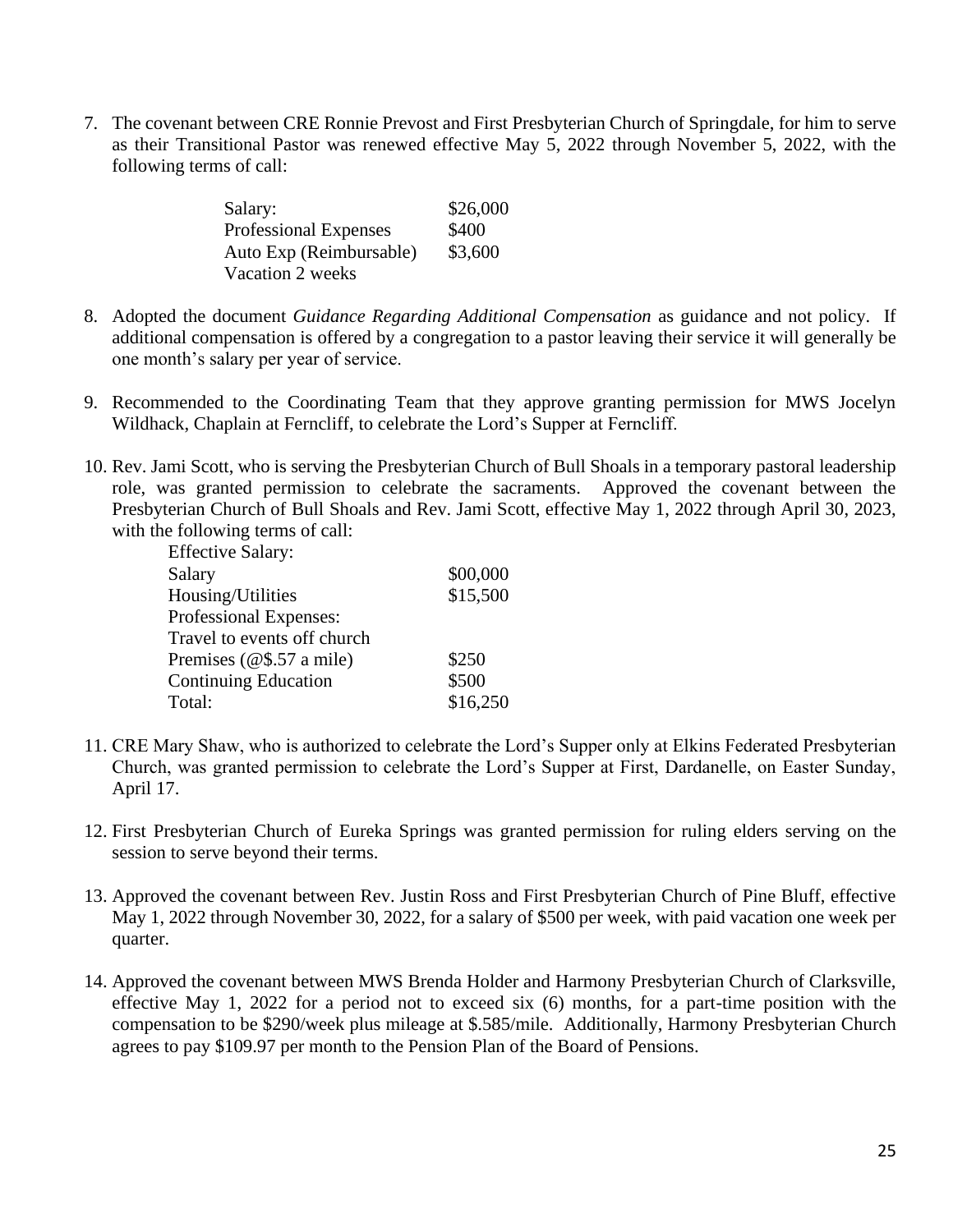7. The covenant between CRE Ronnie Prevost and First Presbyterian Church of Springdale, for him to serve as their Transitional Pastor was renewed effective May 5, 2022 through November 5, 2022, with the following terms of call:

| Salary:                 | \$26,000 |
|-------------------------|----------|
| Professional Expenses   | \$400    |
| Auto Exp (Reimbursable) | \$3,600  |
| Vacation 2 weeks        |          |

- 8. Adopted the document *Guidance Regarding Additional Compensation* as guidance and not policy. If additional compensation is offered by a congregation to a pastor leaving their service it will generally be one month's salary per year of service.
- 9. Recommended to the Coordinating Team that they approve granting permission for MWS Jocelyn Wildhack, Chaplain at Ferncliff, to celebrate the Lord's Supper at Ferncliff.
- 10. Rev. Jami Scott, who is serving the Presbyterian Church of Bull Shoals in a temporary pastoral leadership role, was granted permission to celebrate the sacraments. Approved the covenant between the Presbyterian Church of Bull Shoals and Rev. Jami Scott, effective May 1, 2022 through April 30, 2023, with the following terms of call:

| <b>Effective Salary:</b>    |          |
|-----------------------------|----------|
| Salary                      | \$00,000 |
| Housing/Utilities           | \$15,500 |
| Professional Expenses:      |          |
| Travel to events off church |          |
| Premises $(@$.57 a mile)$   | \$250    |
| <b>Continuing Education</b> | \$500    |
| Total:                      | \$16,250 |

- 11. CRE Mary Shaw, who is authorized to celebrate the Lord's Supper only at Elkins Federated Presbyterian Church, was granted permission to celebrate the Lord's Supper at First, Dardanelle, on Easter Sunday, April 17.
- 12. First Presbyterian Church of Eureka Springs was granted permission for ruling elders serving on the session to serve beyond their terms.
- 13. Approved the covenant between Rev. Justin Ross and First Presbyterian Church of Pine Bluff, effective May 1, 2022 through November 30, 2022, for a salary of \$500 per week, with paid vacation one week per quarter.
- 14. Approved the covenant between MWS Brenda Holder and Harmony Presbyterian Church of Clarksville, effective May 1, 2022 for a period not to exceed six (6) months, for a part-time position with the compensation to be \$290/week plus mileage at \$.585/mile. Additionally, Harmony Presbyterian Church agrees to pay \$109.97 per month to the Pension Plan of the Board of Pensions.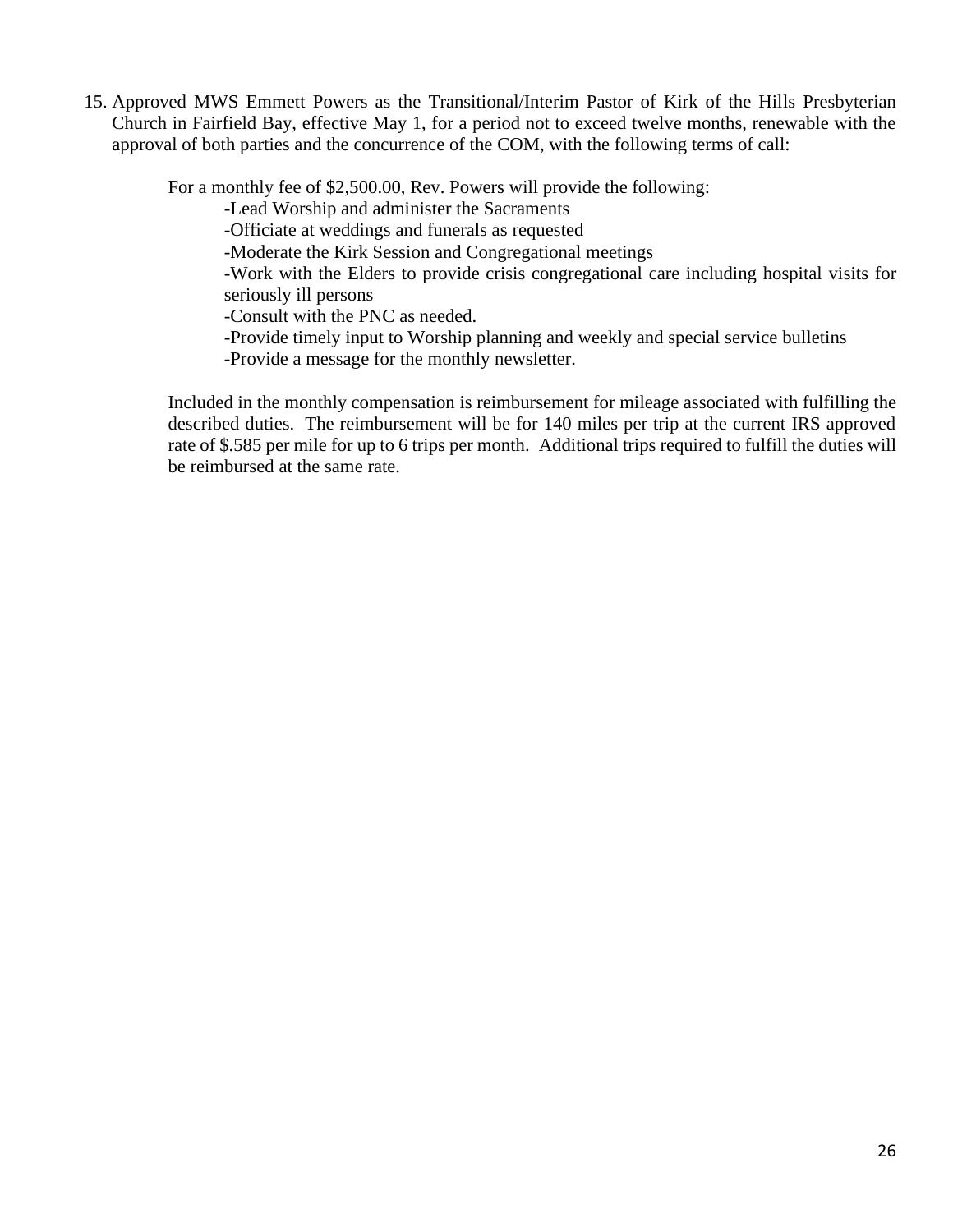15. Approved MWS Emmett Powers as the Transitional/Interim Pastor of Kirk of the Hills Presbyterian Church in Fairfield Bay, effective May 1, for a period not to exceed twelve months, renewable with the approval of both parties and the concurrence of the COM, with the following terms of call:

For a monthly fee of \$2,500.00, Rev. Powers will provide the following:

-Lead Worship and administer the Sacraments

-Officiate at weddings and funerals as requested

-Moderate the Kirk Session and Congregational meetings

-Work with the Elders to provide crisis congregational care including hospital visits for seriously ill persons

- -Consult with the PNC as needed.
- -Provide timely input to Worship planning and weekly and special service bulletins
- -Provide a message for the monthly newsletter.

Included in the monthly compensation is reimbursement for mileage associated with fulfilling the described duties. The reimbursement will be for 140 miles per trip at the current IRS approved rate of \$.585 per mile for up to 6 trips per month. Additional trips required to fulfill the duties will be reimbursed at the same rate.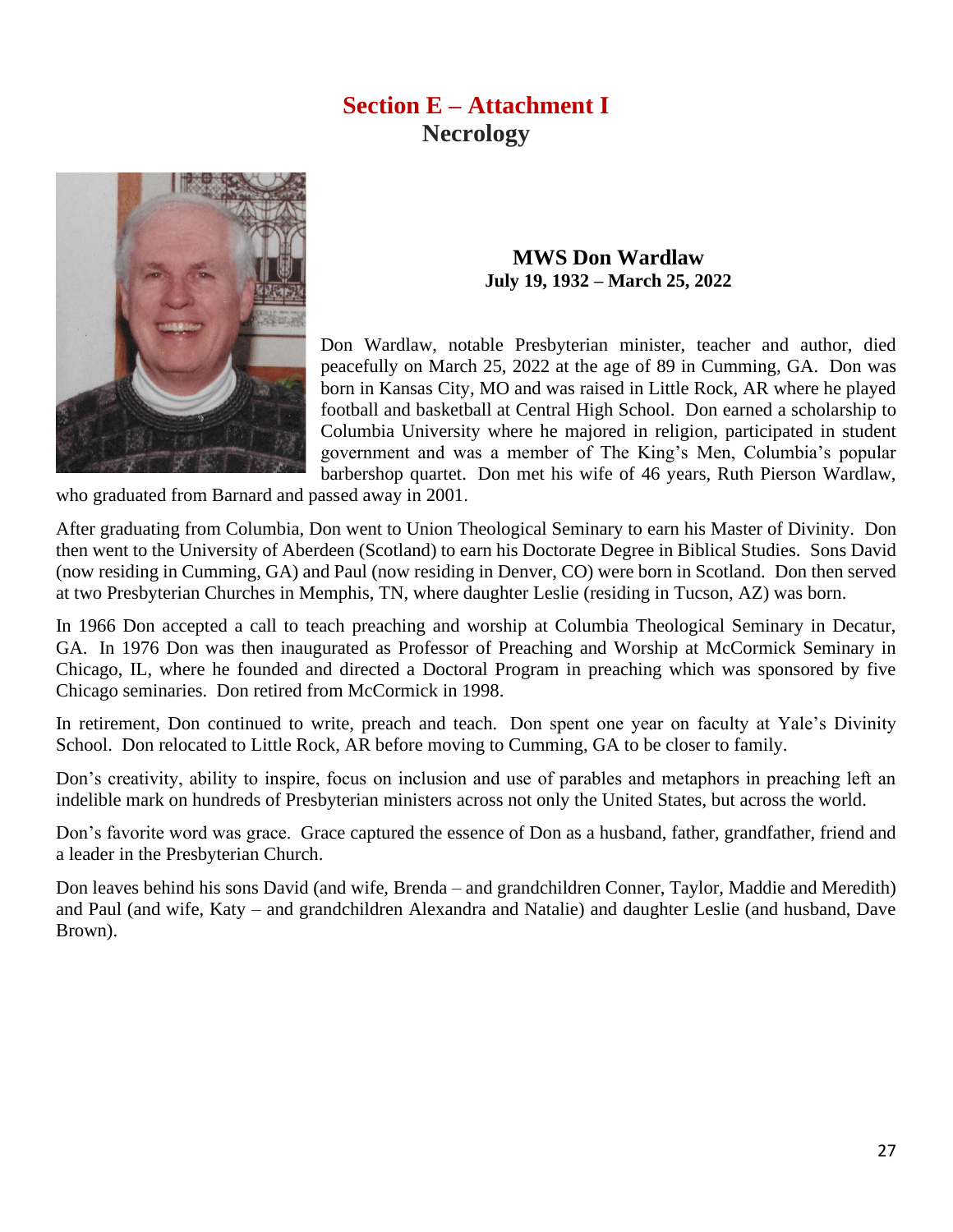### **Section E – Attachment I Necrology**



#### **MWS Don Wardlaw July 19, 1932 – March 25, 2022**

Don Wardlaw, notable Presbyterian minister, teacher and author, died peacefully on March 25, 2022 at the age of 89 in Cumming, GA. Don was born in Kansas City, MO and was raised in Little Rock, AR where he played football and basketball at Central High School. Don earned a scholarship to Columbia University where he majored in religion, participated in student government and was a member of The King's Men, Columbia's popular barbershop quartet. Don met his wife of 46 years, Ruth Pierson Wardlaw,

who graduated from Barnard and passed away in 2001.

After graduating from Columbia, Don went to Union Theological Seminary to earn his Master of Divinity. Don then went to the University of Aberdeen (Scotland) to earn his Doctorate Degree in Biblical Studies. Sons David (now residing in Cumming, GA) and Paul (now residing in Denver, CO) were born in Scotland. Don then served at two Presbyterian Churches in Memphis, TN, where daughter Leslie (residing in Tucson, AZ) was born.

In 1966 Don accepted a call to teach preaching and worship at Columbia Theological Seminary in Decatur, GA. In 1976 Don was then inaugurated as Professor of Preaching and Worship at McCormick Seminary in Chicago, IL, where he founded and directed a Doctoral Program in preaching which was sponsored by five Chicago seminaries. Don retired from McCormick in 1998.

In retirement, Don continued to write, preach and teach. Don spent one year on faculty at Yale's Divinity School. Don relocated to Little Rock, AR before moving to Cumming, GA to be closer to family.

Don's creativity, ability to inspire, focus on inclusion and use of parables and metaphors in preaching left an indelible mark on hundreds of Presbyterian ministers across not only the United States, but across the world.

Don's favorite word was grace. Grace captured the essence of Don as a husband, father, grandfather, friend and a leader in the Presbyterian Church.

Don leaves behind his sons David (and wife, Brenda – and grandchildren Conner, Taylor, Maddie and Meredith) and Paul (and wife, Katy – and grandchildren Alexandra and Natalie) and daughter Leslie (and husband, Dave Brown).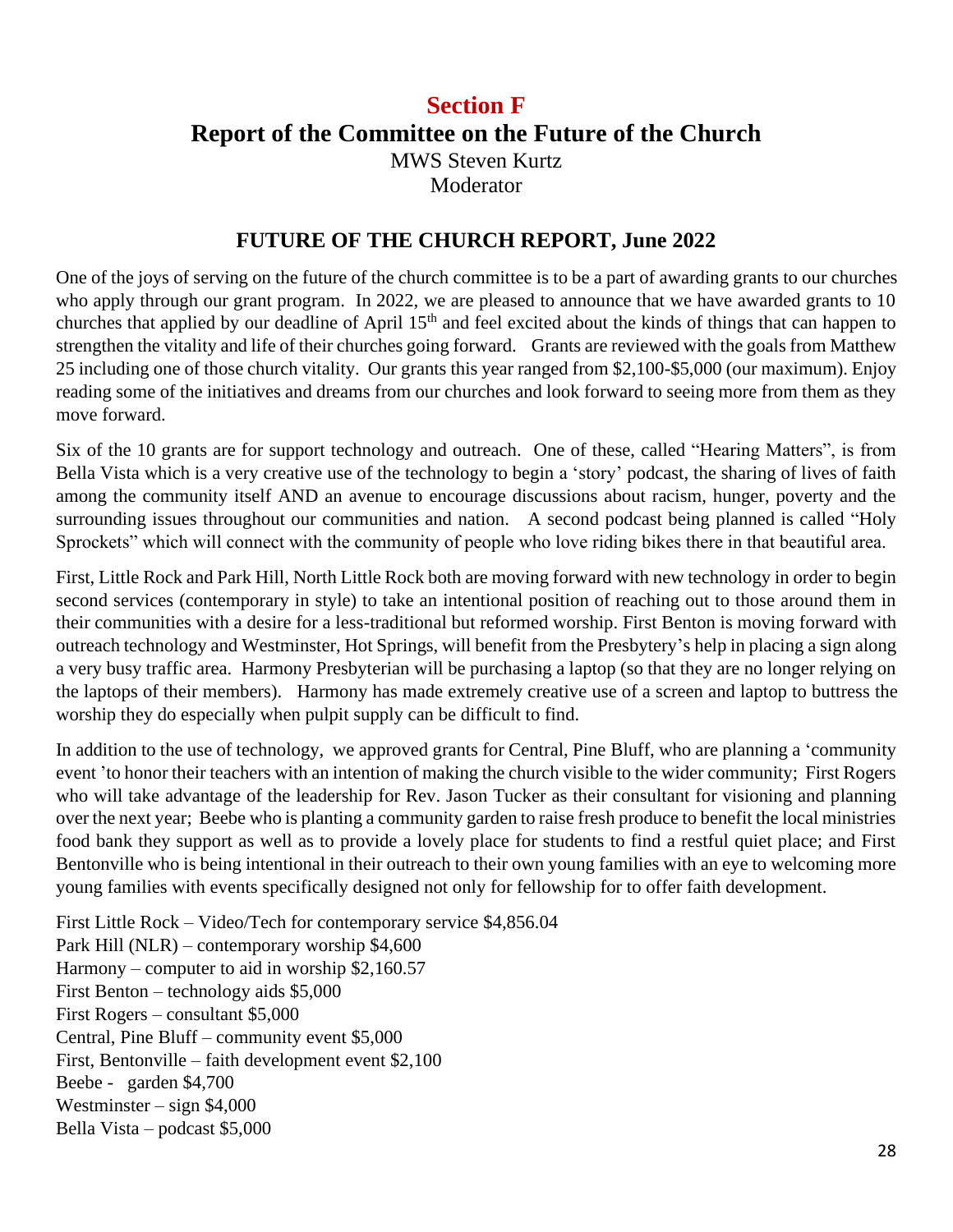### **Section F Report of the Committee on the Future of the Church** MWS Steven Kurtz Moderator

#### **FUTURE OF THE CHURCH REPORT, June 2022**

One of the joys of serving on the future of the church committee is to be a part of awarding grants to our churches who apply through our grant program. In 2022, we are pleased to announce that we have awarded grants to 10 churches that applied by our deadline of April  $15<sup>th</sup>$  and feel excited about the kinds of things that can happen to strengthen the vitality and life of their churches going forward. Grants are reviewed with the goals from Matthew 25 including one of those church vitality. Our grants this year ranged from \$2,100-\$5,000 (our maximum). Enjoy reading some of the initiatives and dreams from our churches and look forward to seeing more from them as they move forward.

Six of the 10 grants are for support technology and outreach. One of these, called "Hearing Matters", is from Bella Vista which is a very creative use of the technology to begin a 'story' podcast, the sharing of lives of faith among the community itself AND an avenue to encourage discussions about racism, hunger, poverty and the surrounding issues throughout our communities and nation. A second podcast being planned is called "Holy Sprockets" which will connect with the community of people who love riding bikes there in that beautiful area.

First, Little Rock and Park Hill, North Little Rock both are moving forward with new technology in order to begin second services (contemporary in style) to take an intentional position of reaching out to those around them in their communities with a desire for a less-traditional but reformed worship. First Benton is moving forward with outreach technology and Westminster, Hot Springs, will benefit from the Presbytery's help in placing a sign along a very busy traffic area. Harmony Presbyterian will be purchasing a laptop (so that they are no longer relying on the laptops of their members). Harmony has made extremely creative use of a screen and laptop to buttress the worship they do especially when pulpit supply can be difficult to find.

In addition to the use of technology, we approved grants for Central, Pine Bluff, who are planning a 'community event 'to honor their teachers with an intention of making the church visible to the wider community; First Rogers who will take advantage of the leadership for Rev. Jason Tucker as their consultant for visioning and planning over the next year; Beebe who is planting a community garden to raise fresh produce to benefit the local ministries food bank they support as well as to provide a lovely place for students to find a restful quiet place; and First Bentonville who is being intentional in their outreach to their own young families with an eye to welcoming more young families with events specifically designed not only for fellowship for to offer faith development.

First Little Rock – Video/Tech for contemporary service \$4,856.04 Park Hill (NLR) – contemporary worship \$4,600 Harmony – computer to aid in worship \$2,160.57 First Benton – technology aids \$5,000 First Rogers – consultant \$5,000 Central, Pine Bluff – community event \$5,000 First, Bentonville – faith development event \$2,100 Beebe - garden \$4,700 Westminster – sign \$4,000 Bella Vista – podcast \$5,000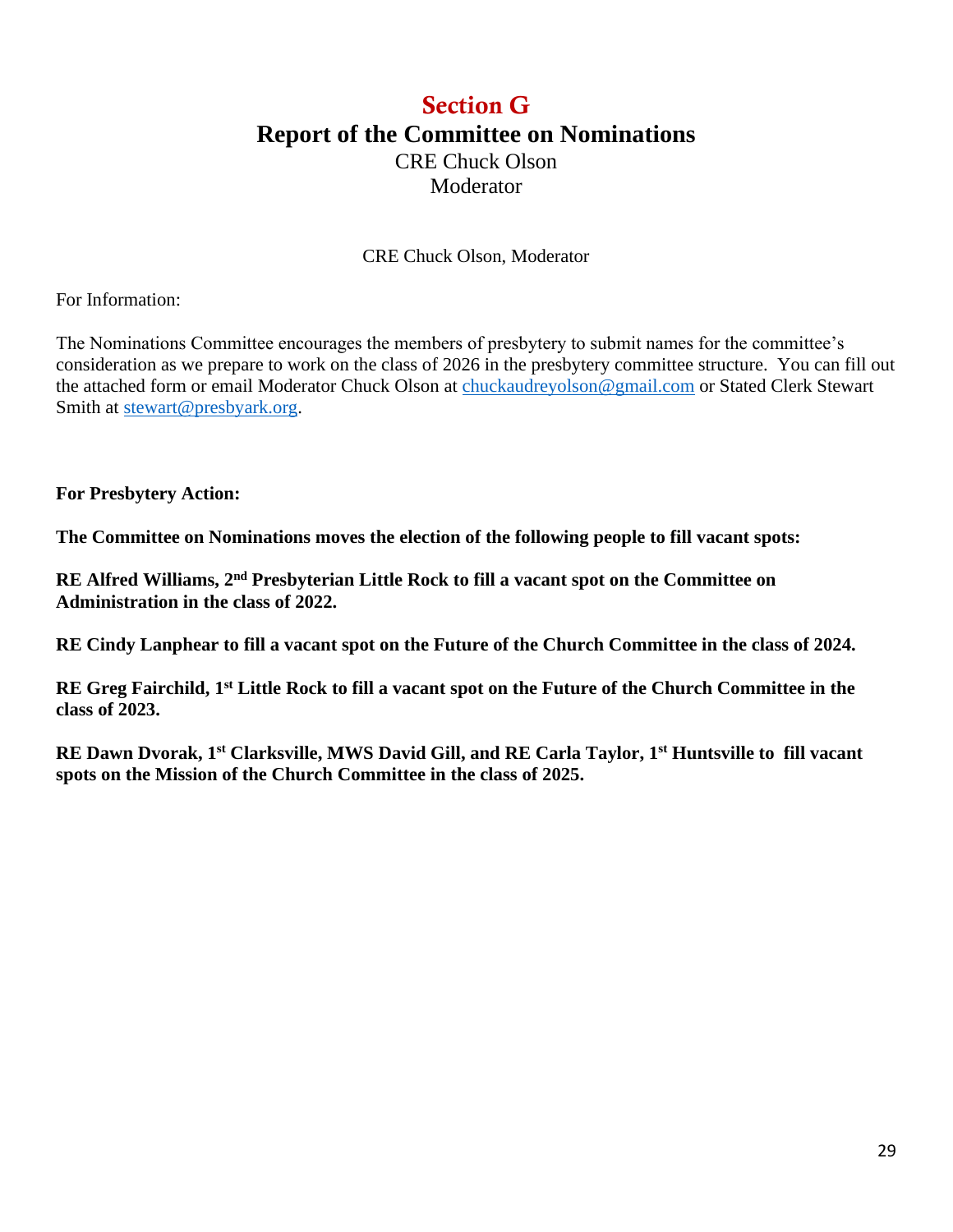### Section G **Report of the Committee on Nominations** CRE Chuck Olson Moderator

CRE Chuck Olson, Moderator

For Information:

The Nominations Committee encourages the members of presbytery to submit names for the committee's consideration as we prepare to work on the class of 2026 in the presbytery committee structure. You can fill out the attached form or email Moderator Chuck Olson at [chuckaudreyolson@gmail.com](mailto:chuckaudreyolson@gmail.com) or Stated Clerk Stewart Smith at [stewart@presbyark.org.](mailto:stewart@presbyark.org)

**For Presbytery Action:** 

**The Committee on Nominations moves the election of the following people to fill vacant spots:**

**RE Alfred Williams, 2nd Presbyterian Little Rock to fill a vacant spot on the Committee on Administration in the class of 2022.**

**RE Cindy Lanphear to fill a vacant spot on the Future of the Church Committee in the class of 2024.**

**RE Greg Fairchild, 1st Little Rock to fill a vacant spot on the Future of the Church Committee in the class of 2023.** 

**RE Dawn Dvorak, 1st Clarksville, MWS David Gill, and RE Carla Taylor, 1st Huntsville to fill vacant spots on the Mission of the Church Committee in the class of 2025.**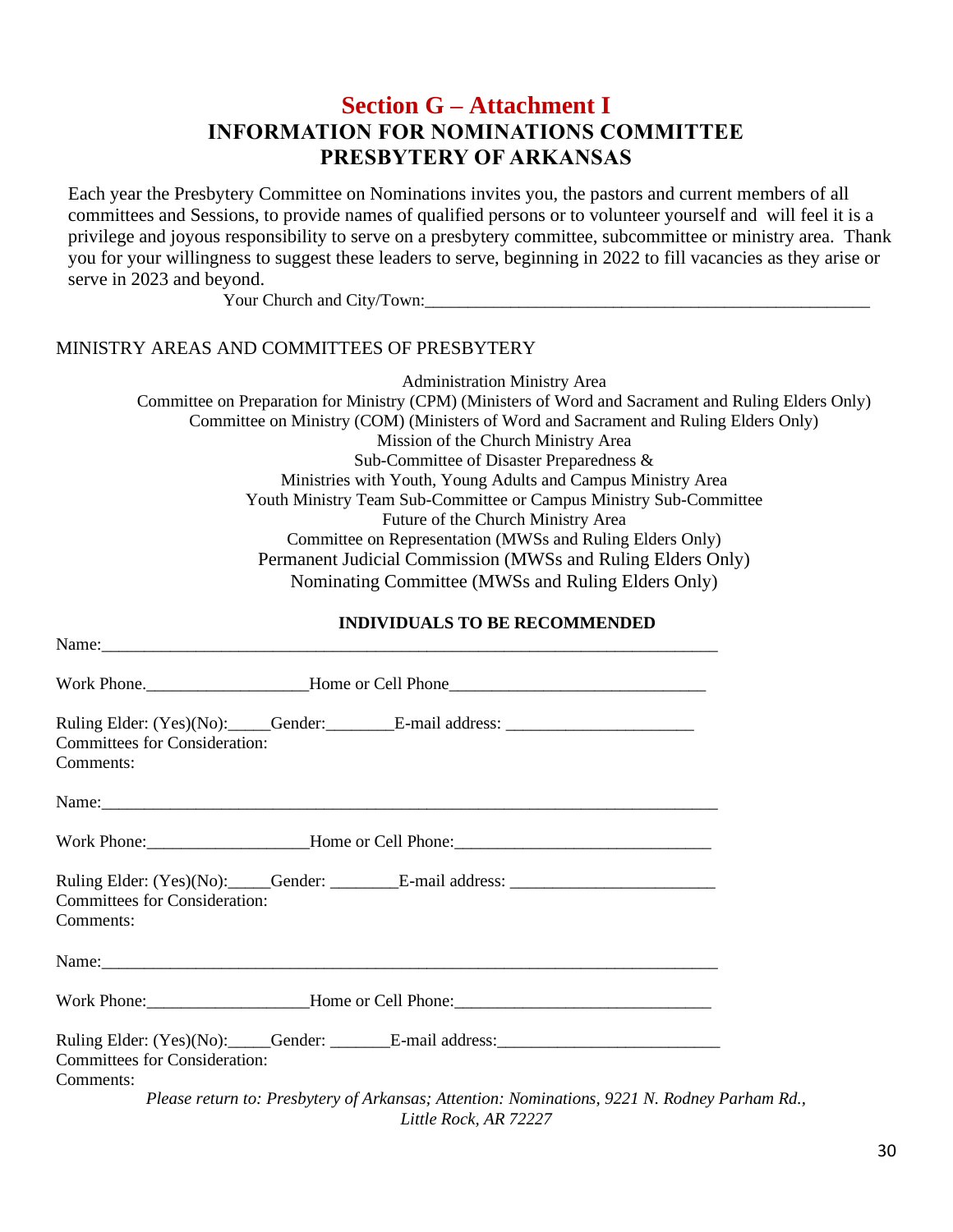### **Section G – Attachment I INFORMATION FOR NOMINATIONS COMMITTEE PRESBYTERY OF ARKANSAS**

Each year the Presbytery Committee on Nominations invites you, the pastors and current members of all committees and Sessions, to provide names of qualified persons or to volunteer yourself and will feel it is a privilege and joyous responsibility to serve on a presbytery committee, subcommittee or ministry area. Thank you for your willingness to suggest these leaders to serve, beginning in 2022 to fill vacancies as they arise or serve in 2023 and beyond.

Your Church and City/Town:

#### MINISTRY AREAS AND COMMITTEES OF PRESBYTERY

Administration Ministry Area Committee on Preparation for Ministry (CPM) (Ministers of Word and Sacrament and Ruling Elders Only) Committee on Ministry (COM) (Ministers of Word and Sacrament and Ruling Elders Only) Mission of the Church Ministry Area Sub-Committee of Disaster Preparedness & Ministries with Youth, Young Adults and Campus Ministry Area Youth Ministry Team Sub-Committee or Campus Ministry Sub-Committee Future of the Church Ministry Area Committee on Representation (MWSs and Ruling Elders Only) Permanent Judicial Commission (MWSs and Ruling Elders Only) Nominating Committee (MWSs and Ruling Elders Only)

#### **INDIVIDUALS TO BE RECOMMENDED**

| Name: Name:                                                                                                                            |  |
|----------------------------------------------------------------------------------------------------------------------------------------|--|
|                                                                                                                                        |  |
| Ruling Elder: (Yes)(No): _____Gender: _________E-mail address: __________________<br><b>Committees for Consideration:</b><br>Comments: |  |
| Name:                                                                                                                                  |  |
| Work Phone: _________________________Home or Cell Phone: ________________________                                                      |  |
| <b>Committees for Consideration:</b><br>Comments:                                                                                      |  |
|                                                                                                                                        |  |
|                                                                                                                                        |  |
| Ruling Elder: (Yes)(No): Gender: E-mail address:<br><b>Committees for Consideration:</b><br>Comments:                                  |  |
| Please return to: Presbytery of Arkansas; Attention: Nominations, 9221 N. Rodney Parham Rd.,<br>Little Rock, AR 72227                  |  |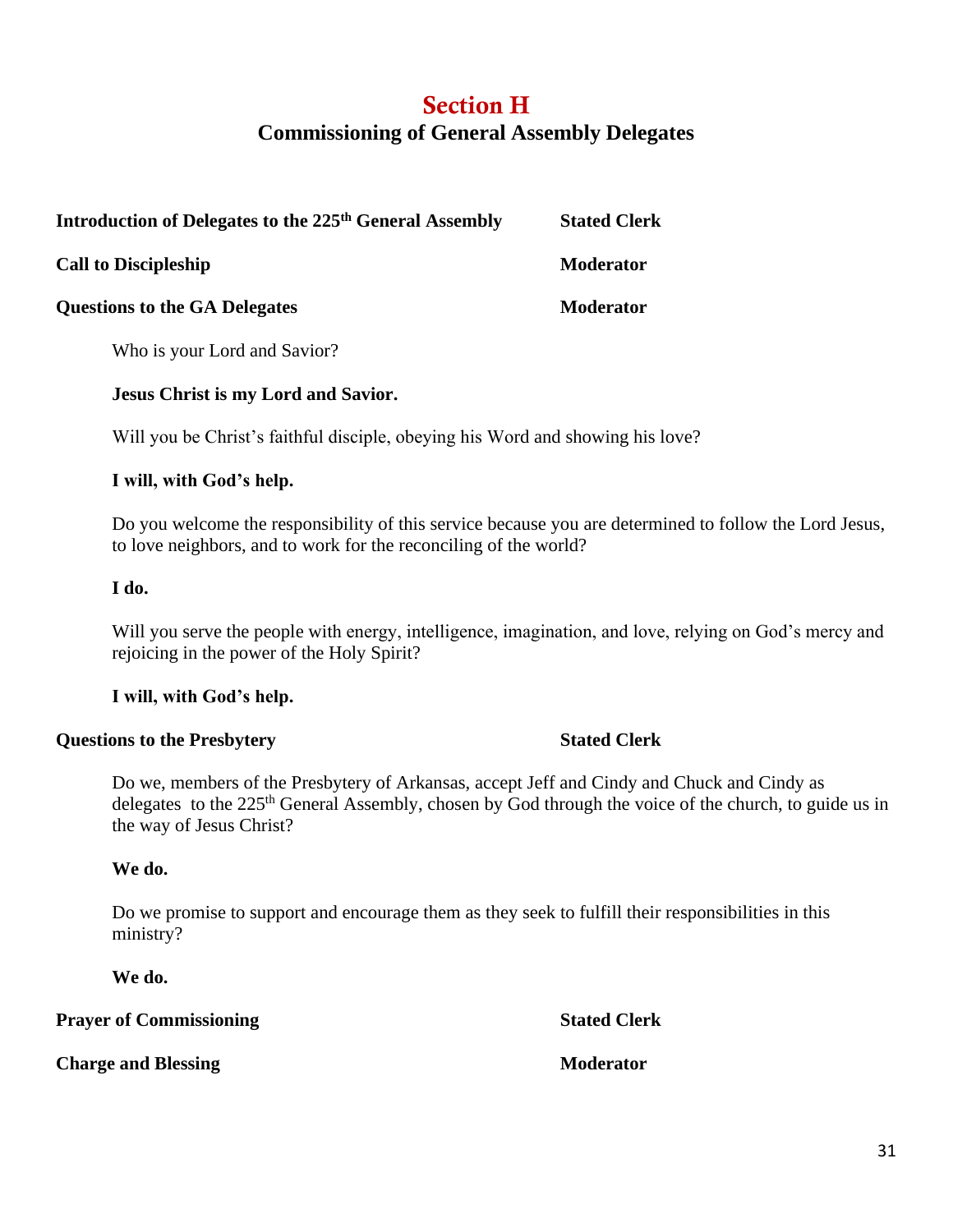### Section H **Commissioning of General Assembly Delegates**

| Introduction of Delegates to the 225 <sup>th</sup> General Assembly | <b>Stated Clerk</b> |
|---------------------------------------------------------------------|---------------------|
| <b>Call to Discipleship</b>                                         | <b>Moderator</b>    |
| <b>Questions to the GA Delegates</b>                                | <b>Moderator</b>    |

Who is your Lord and Savior?

#### **Jesus Christ is my Lord and Savior.**

Will you be Christ's faithful disciple, obeying his Word and showing his love?

#### **I will, with God's help.**

Do you welcome the responsibility of this service because you are determined to follow the Lord Jesus, to love neighbors, and to work for the reconciling of the world?

#### **I do.**

Will you serve the people with energy, intelligence, imagination, and love, relying on God's mercy and rejoicing in the power of the Holy Spirit?

#### **I will, with God's help.**

#### **Questions to the Presbytery Stated Clerk**

Do we, members of the Presbytery of Arkansas, accept Jeff and Cindy and Chuck and Cindy as delegates to the 225<sup>th</sup> General Assembly, chosen by God through the voice of the church, to guide us in the way of Jesus Christ?

#### **We do.**

Do we promise to support and encourage them as they seek to fulfill their responsibilities in this ministry?

**We do.** 

**Prayer of Commissioning Stated Clerk** 

**Charge and Blessing Moderator**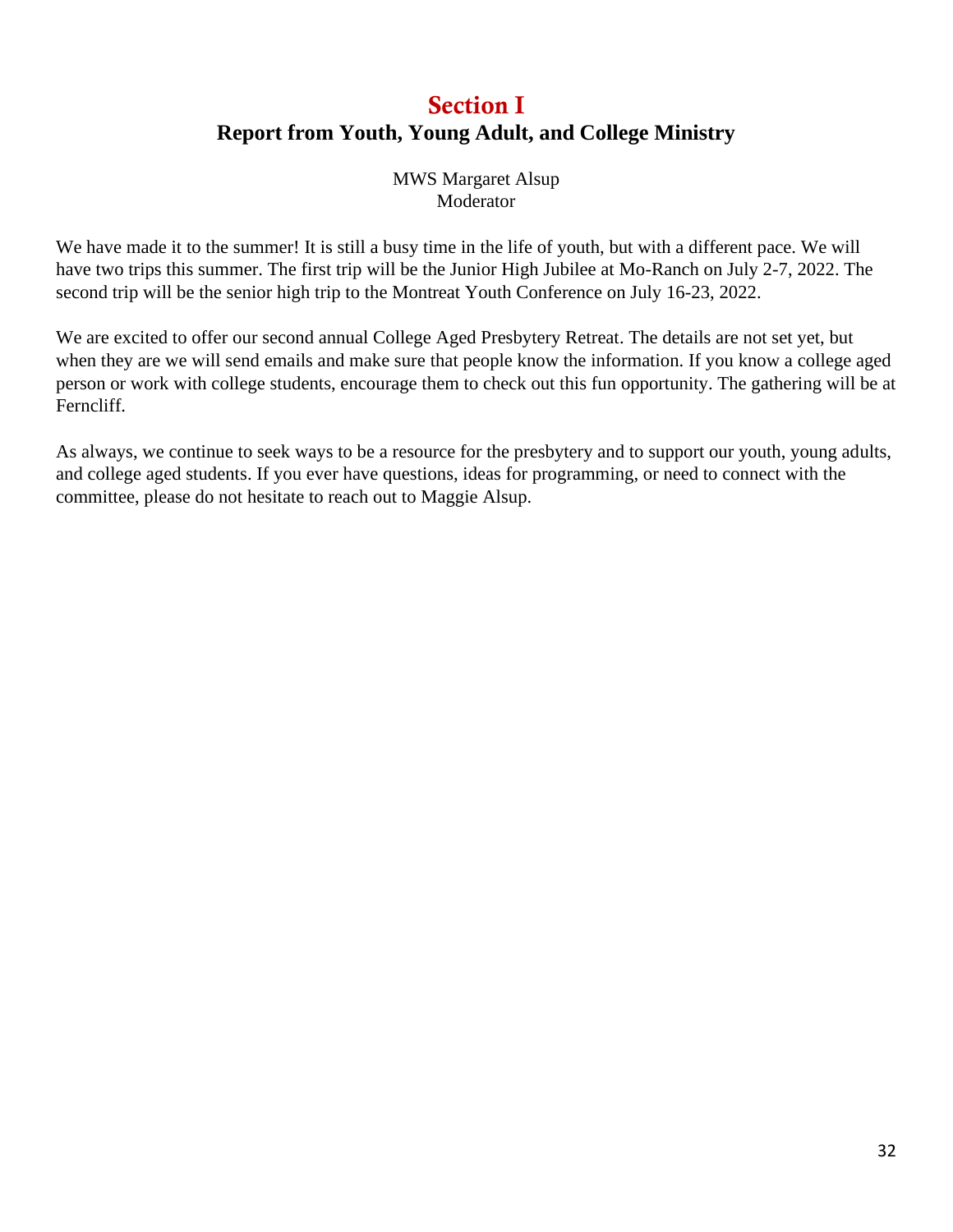### Section I **Report from Youth, Young Adult, and College Ministry**

MWS Margaret Alsup Moderator

We have made it to the summer! It is still a busy time in the life of youth, but with a different pace. We will have two trips this summer. The first trip will be the Junior High Jubilee at Mo-Ranch on July 2-7, 2022. The second trip will be the senior high trip to the Montreat Youth Conference on July 16-23, 2022.

We are excited to offer our second annual College Aged Presbytery Retreat. The details are not set yet, but when they are we will send emails and make sure that people know the information. If you know a college aged person or work with college students, encourage them to check out this fun opportunity. The gathering will be at Ferncliff.

As always, we continue to seek ways to be a resource for the presbytery and to support our youth, young adults, and college aged students. If you ever have questions, ideas for programming, or need to connect with the committee, please do not hesitate to reach out to Maggie Alsup.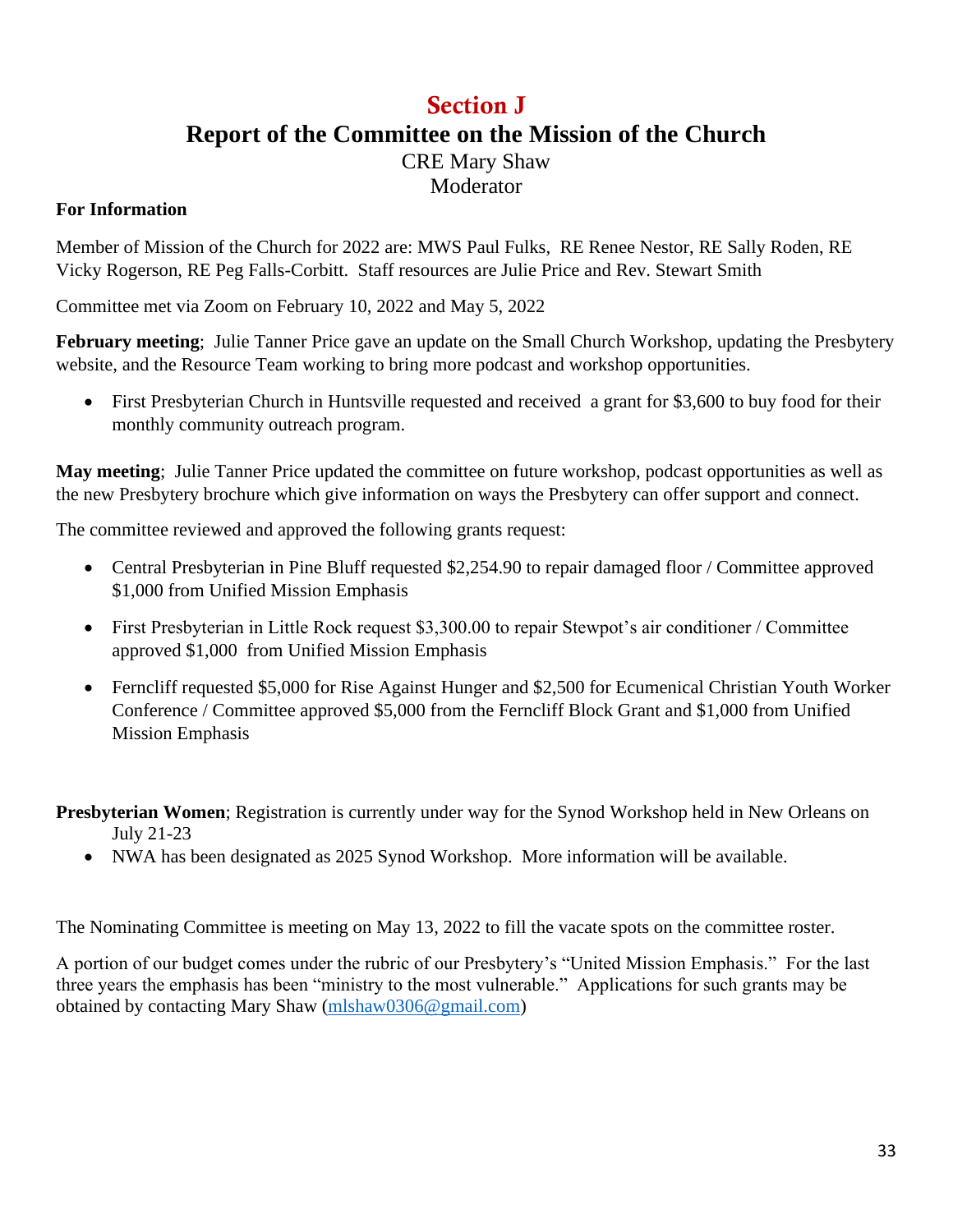### Section J **Report of the Committee on the Mission of the Church** CRE Mary Shaw

Moderator

#### **For Information**

Member of Mission of the Church for 2022 are: MWS Paul Fulks, RE Renee Nestor, RE Sally Roden, RE Vicky Rogerson, RE Peg Falls-Corbitt. Staff resources are Julie Price and Rev. Stewart Smith

Committee met via Zoom on February 10, 2022 and May 5, 2022

**February meeting**; Julie Tanner Price gave an update on the Small Church Workshop, updating the Presbytery website, and the Resource Team working to bring more podcast and workshop opportunities.

• First Presbyterian Church in Huntsville requested and received a grant for \$3,600 to buy food for their monthly community outreach program.

**May meeting**; Julie Tanner Price updated the committee on future workshop, podcast opportunities as well as the new Presbytery brochure which give information on ways the Presbytery can offer support and connect.

The committee reviewed and approved the following grants request:

- Central Presbyterian in Pine Bluff requested \$2,254.90 to repair damaged floor / Committee approved \$1,000 from Unified Mission Emphasis
- First Presbyterian in Little Rock request \$3,300.00 to repair Stewpot's air conditioner / Committee approved \$1,000 from Unified Mission Emphasis
- Ferncliff requested \$5,000 for Rise Against Hunger and \$2,500 for Ecumenical Christian Youth Worker Conference / Committee approved \$5,000 from the Ferncliff Block Grant and \$1,000 from Unified Mission Emphasis

**Presbyterian Women**; Registration is currently under way for the Synod Workshop held in New Orleans on July 21-23

• NWA has been designated as 2025 Synod Workshop. More information will be available.

The Nominating Committee is meeting on May 13, 2022 to fill the vacate spots on the committee roster.

A portion of our budget comes under the rubric of our Presbytery's "United Mission Emphasis." For the last three years the emphasis has been "ministry to the most vulnerable." Applications for such grants may be obtained by contacting Mary Shaw [\(mlshaw0306@gmail.com\)](mailto:mlshaw0306@gmail.com)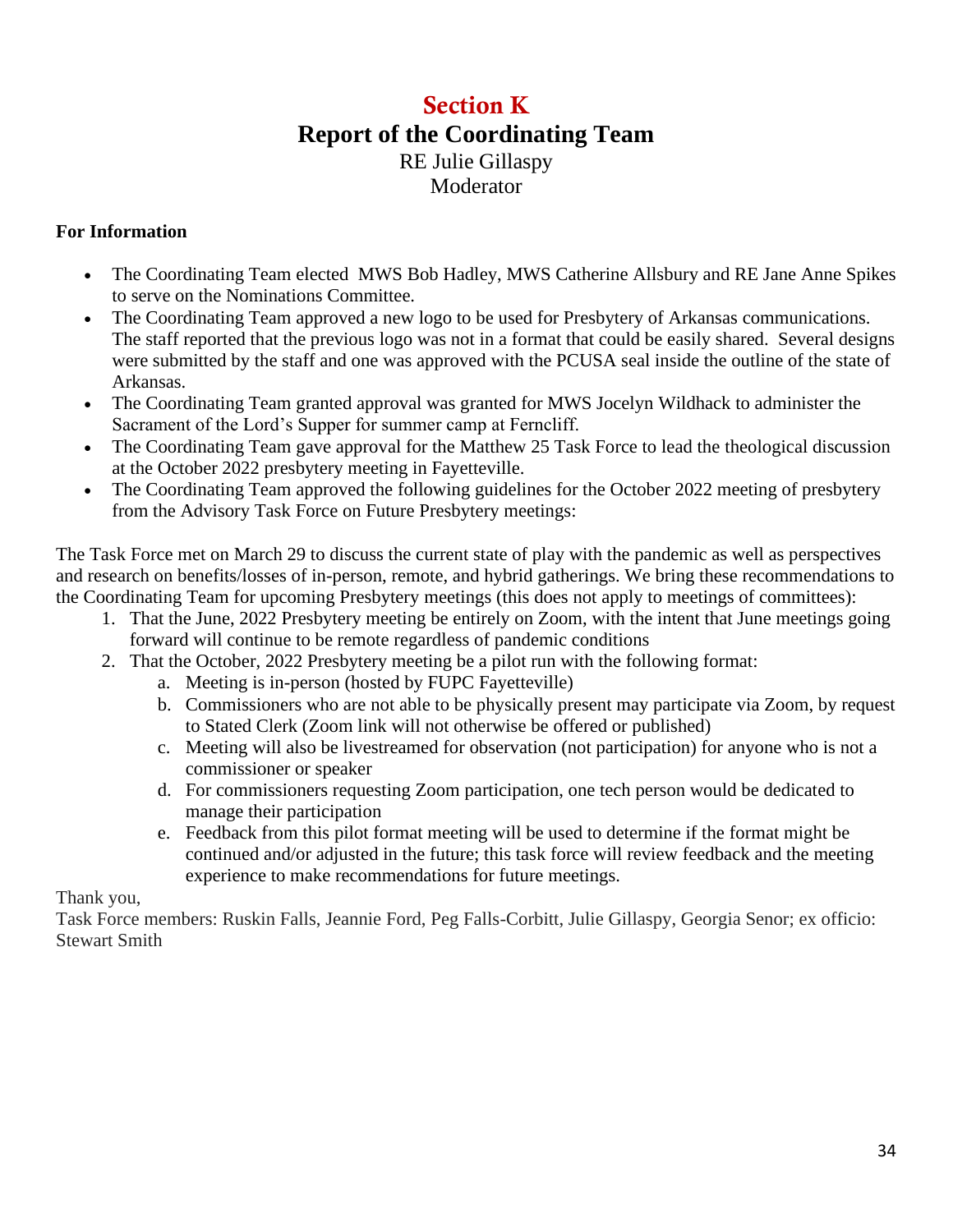### Section K **Report of the Coordinating Team** RE Julie Gillaspy Moderator

#### **For Information**

- The Coordinating Team elected MWS Bob Hadley, MWS Catherine Allsbury and RE Jane Anne Spikes to serve on the Nominations Committee.
- The Coordinating Team approved a new logo to be used for Presbytery of Arkansas communications. The staff reported that the previous logo was not in a format that could be easily shared. Several designs were submitted by the staff and one was approved with the PCUSA seal inside the outline of the state of Arkansas.
- The Coordinating Team granted approval was granted for MWS Jocelyn Wildhack to administer the Sacrament of the Lord's Supper for summer camp at Ferncliff.
- The Coordinating Team gave approval for the Matthew 25 Task Force to lead the theological discussion at the October 2022 presbytery meeting in Fayetteville.
- The Coordinating Team approved the following guidelines for the October 2022 meeting of presbytery from the Advisory Task Force on Future Presbytery meetings:

The Task Force met on March 29 to discuss the current state of play with the pandemic as well as perspectives and research on benefits/losses of in-person, remote, and hybrid gatherings. We bring these recommendations to the Coordinating Team for upcoming Presbytery meetings (this does not apply to meetings of committees):

- 1. That the June, 2022 Presbytery meeting be entirely on Zoom, with the intent that June meetings going forward will continue to be remote regardless of pandemic conditions
- 2. That the October, 2022 Presbytery meeting be a pilot run with the following format:
	- a. Meeting is in-person (hosted by FUPC Fayetteville)
	- b. Commissioners who are not able to be physically present may participate via Zoom, by request to Stated Clerk (Zoom link will not otherwise be offered or published)
	- c. Meeting will also be livestreamed for observation (not participation) for anyone who is not a commissioner or speaker
	- d. For commissioners requesting Zoom participation, one tech person would be dedicated to manage their participation
	- e. Feedback from this pilot format meeting will be used to determine if the format might be continued and/or adjusted in the future; this task force will review feedback and the meeting experience to make recommendations for future meetings.

Thank you,

Task Force members: Ruskin Falls, Jeannie Ford, Peg Falls-Corbitt, Julie Gillaspy, Georgia Senor; ex officio: Stewart Smith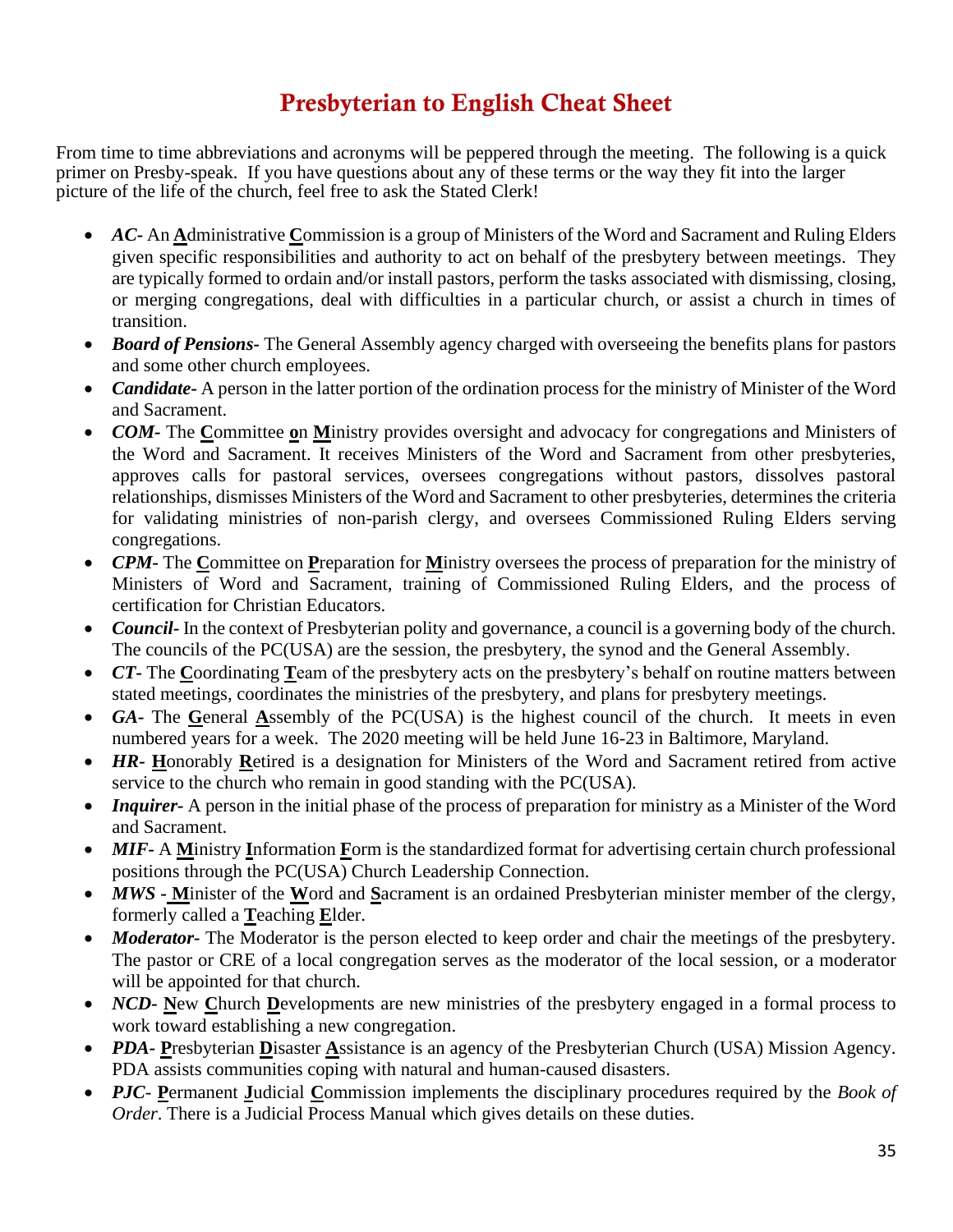### Presbyterian to English Cheat Sheet

From time to time abbreviations and acronyms will be peppered through the meeting. The following is a quick primer on Presby-speak. If you have questions about any of these terms or the way they fit into the larger picture of the life of the church, feel free to ask the Stated Clerk!

- *AC-* An **A**dministrative **C**ommission is a group of Ministers of the Word and Sacrament and Ruling Elders given specific responsibilities and authority to act on behalf of the presbytery between meetings. They are typically formed to ordain and/or install pastors, perform the tasks associated with dismissing, closing, or merging congregations, deal with difficulties in a particular church, or assist a church in times of transition.
- *Board of Pensions-* The General Assembly agency charged with overseeing the benefits plans for pastors and some other church employees.
- *Candidate-* A person in the latter portion of the ordination process for the ministry of Minister of the Word and Sacrament.
- *COM-* The **C**ommittee **o**n **M**inistry provides oversight and advocacy for congregations and Ministers of the Word and Sacrament. It receives Ministers of the Word and Sacrament from other presbyteries, approves calls for pastoral services, oversees congregations without pastors, dissolves pastoral relationships, dismisses Ministers of the Word and Sacrament to other presbyteries, determines the criteria for validating ministries of non-parish clergy, and oversees Commissioned Ruling Elders serving congregations.
- *CPM-* The **C**ommittee on **P**reparation for **M**inistry oversees the process of preparation for the ministry of Ministers of Word and Sacrament, training of Commissioned Ruling Elders, and the process of certification for Christian Educators.
- *Council* In the context of Presbyterian polity and governance, a council is a governing body of the church. The councils of the PC(USA) are the session, the presbytery, the synod and the General Assembly.
- *CT-* The **C**oordinating **T**eam of the presbytery acts on the presbytery's behalf on routine matters between stated meetings, coordinates the ministries of the presbytery, and plans for presbytery meetings.
- *GA* The General Assembly of the PC(USA) is the highest council of the church. It meets in even numbered years for a week. The 2020 meeting will be held June 16-23 in Baltimore, Maryland.
- *HR-* **H**onorably **R**etired is a designation for Ministers of the Word and Sacrament retired from active service to the church who remain in good standing with the PC(USA).
- *Inquirer-* A person in the initial phase of the process of preparation for ministry as a Minister of the Word and Sacrament.
- *MIF-* A **M**inistry **I**nformation **F**orm is the standardized format for advertising certain church professional positions through the PC(USA) Church Leadership Connection.
- *MWS -* **M**inister of the **W**ord and **S**acrament is an ordained Presbyterian minister member of the clergy, formerly called a **T**eaching **E**lder.
- *Moderator-* The Moderator is the person elected to keep order and chair the meetings of the presbytery. The pastor or CRE of a local congregation serves as the moderator of the local session, or a moderator will be appointed for that church.
- *NCD* New Church Developments are new ministries of the presbytery engaged in a formal process to work toward establishing a new congregation.
- *PDA-* **P**resbyterian **D**isaster **A**ssistance is an agency of the Presbyterian Church (USA) Mission Agency. PDA assists communities coping with natural and human-caused disasters.
- *PJC* **P**ermanent **J**udicial **C**ommission implements the disciplinary procedures required by the *Book of Order*. There is a Judicial Process Manual which gives details on these duties.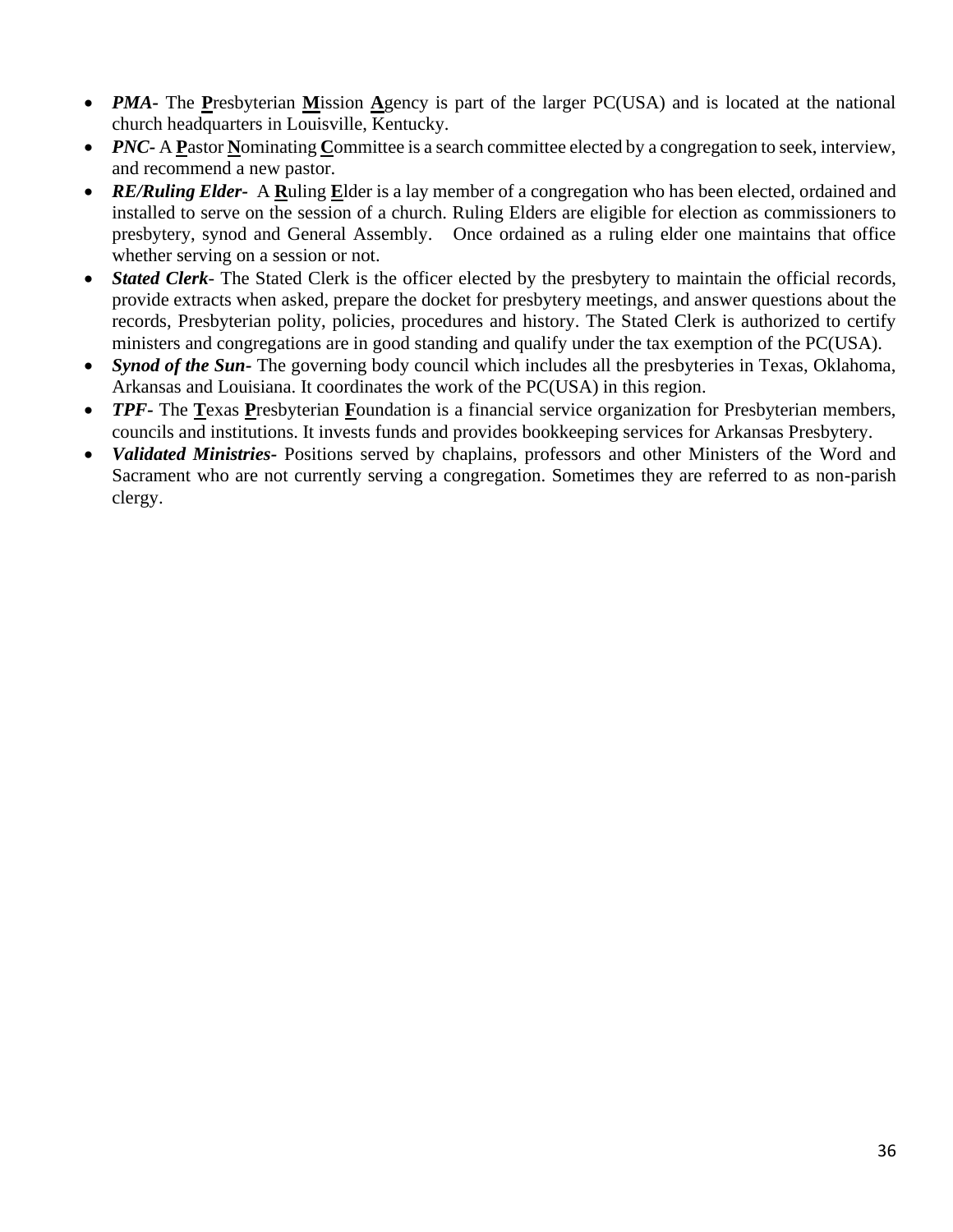- *PMA* The Presbyterian Mission Agency is part of the larger PC(USA) and is located at the national church headquarters in Louisville, Kentucky.
- *PNC* A **P**astor **N**ominating Committee is a search committee elected by a congregation to seek, interview, and recommend a new pastor.
- *RE/Ruling Elder-* A **R**uling **E**lder is a lay member of a congregation who has been elected, ordained and installed to serve on the session of a church. Ruling Elders are eligible for election as commissioners to presbytery, synod and General Assembly. Once ordained as a ruling elder one maintains that office whether serving on a session or not.
- *Stated Clerk* The Stated Clerk is the officer elected by the presbytery to maintain the official records, provide extracts when asked, prepare the docket for presbytery meetings, and answer questions about the records, Presbyterian polity, policies, procedures and history. The Stated Clerk is authorized to certify ministers and congregations are in good standing and qualify under the tax exemption of the PC(USA).
- *Synod of the Sun-* The governing body council which includes all the presbyteries in Texas, Oklahoma, Arkansas and Louisiana. It coordinates the work of the PC(USA) in this region.
- *TPF-* The **T**exas **P**resbyterian **F**oundation is a financial service organization for Presbyterian members, councils and institutions. It invests funds and provides bookkeeping services for Arkansas Presbytery.
- *Validated Ministries-* Positions served by chaplains, professors and other Ministers of the Word and Sacrament who are not currently serving a congregation. Sometimes they are referred to as non-parish clergy.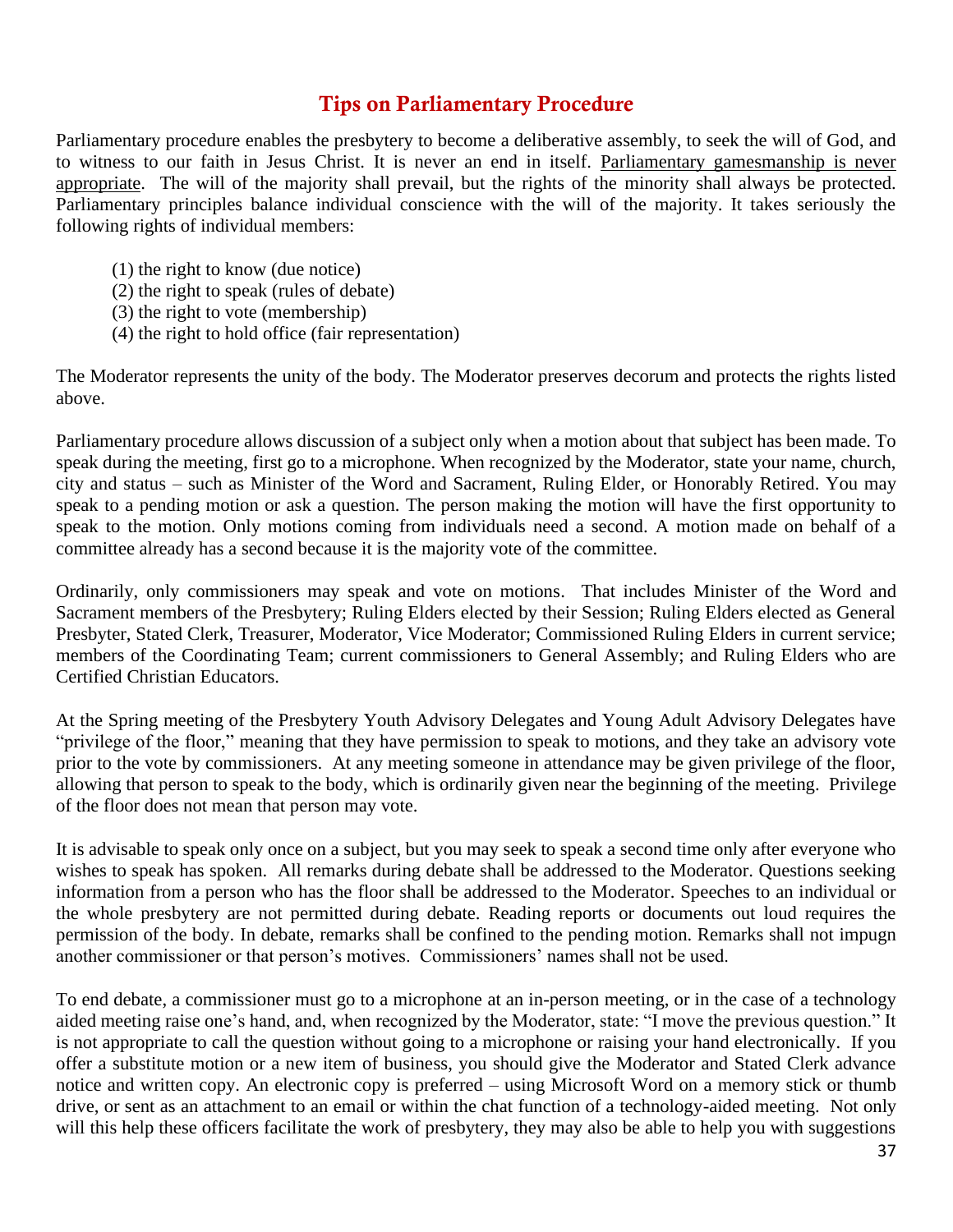#### Tips on Parliamentary Procedure

Parliamentary procedure enables the presbytery to become a deliberative assembly, to seek the will of God, and to witness to our faith in Jesus Christ. It is never an end in itself. Parliamentary gamesmanship is never appropriate. The will of the majority shall prevail, but the rights of the minority shall always be protected. Parliamentary principles balance individual conscience with the will of the majority. It takes seriously the following rights of individual members:

- (1) the right to know (due notice)
- (2) the right to speak (rules of debate)
- (3) the right to vote (membership)
- (4) the right to hold office (fair representation)

The Moderator represents the unity of the body. The Moderator preserves decorum and protects the rights listed above.

Parliamentary procedure allows discussion of a subject only when a motion about that subject has been made. To speak during the meeting, first go to a microphone. When recognized by the Moderator, state your name, church, city and status – such as Minister of the Word and Sacrament, Ruling Elder, or Honorably Retired. You may speak to a pending motion or ask a question. The person making the motion will have the first opportunity to speak to the motion. Only motions coming from individuals need a second. A motion made on behalf of a committee already has a second because it is the majority vote of the committee.

Ordinarily, only commissioners may speak and vote on motions. That includes Minister of the Word and Sacrament members of the Presbytery; Ruling Elders elected by their Session; Ruling Elders elected as General Presbyter, Stated Clerk, Treasurer, Moderator, Vice Moderator; Commissioned Ruling Elders in current service; members of the Coordinating Team; current commissioners to General Assembly; and Ruling Elders who are Certified Christian Educators.

At the Spring meeting of the Presbytery Youth Advisory Delegates and Young Adult Advisory Delegates have "privilege of the floor," meaning that they have permission to speak to motions, and they take an advisory vote prior to the vote by commissioners. At any meeting someone in attendance may be given privilege of the floor, allowing that person to speak to the body, which is ordinarily given near the beginning of the meeting. Privilege of the floor does not mean that person may vote.

It is advisable to speak only once on a subject, but you may seek to speak a second time only after everyone who wishes to speak has spoken. All remarks during debate shall be addressed to the Moderator. Questions seeking information from a person who has the floor shall be addressed to the Moderator. Speeches to an individual or the whole presbytery are not permitted during debate. Reading reports or documents out loud requires the permission of the body. In debate, remarks shall be confined to the pending motion. Remarks shall not impugn another commissioner or that person's motives. Commissioners' names shall not be used.

To end debate, a commissioner must go to a microphone at an in-person meeting, or in the case of a technology aided meeting raise one's hand, and, when recognized by the Moderator, state: "I move the previous question." It is not appropriate to call the question without going to a microphone or raising your hand electronically. If you offer a substitute motion or a new item of business, you should give the Moderator and Stated Clerk advance notice and written copy. An electronic copy is preferred – using Microsoft Word on a memory stick or thumb drive, or sent as an attachment to an email or within the chat function of a technology-aided meeting. Not only will this help these officers facilitate the work of presbytery, they may also be able to help you with suggestions